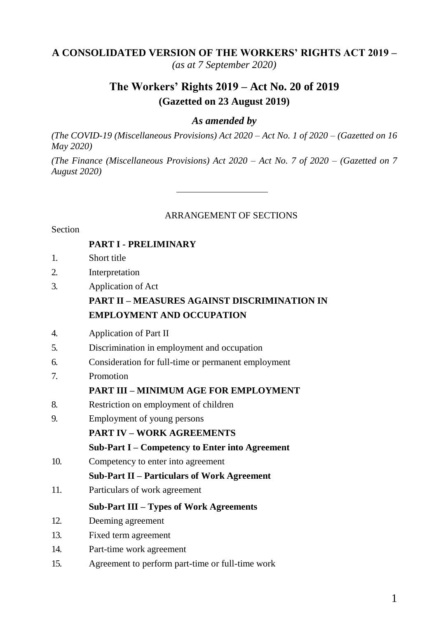#### **A CONSOLIDATED VERSION OF THE WORKERS' RIGHTS ACT 2019 –**

*(as at 7 September 2020)*

# **The Workers' Rights 2019 – Act No. 20 of 2019 (Gazetted on 23 August 2019)**

#### *As amended by*

*(The COVID-19 (Miscellaneous Provisions) Act 2020 – Act No. 1 of 2020 – (Gazetted on 16 May 2020)*

*(The Finance (Miscellaneous Provisions) Act 2020 – Act No. 7 of 2020 – (Gazetted on 7 August 2020)*

#### ARRANGEMENT OF SECTIONS

#### **Section**

#### **PART I - PRELIMINARY**

- 1. Short title
- 2. Interpretation
- 3. Application of Act

#### **PART II – MEASURES AGAINST DISCRIMINATION IN EMPLOYMENT AND OCCUPATION**

- 4. Application of Part II
- 5. Discrimination in employment and occupation
- 6. Consideration for full-time or permanent employment
- 7. Promotion

#### **PART III – MINIMUM AGE FOR EMPLOYMENT**

- 8. Restriction on employment of children
- 9. Employment of young persons
	- **PART IV – WORK AGREEMENTS**
	- **Sub-Part I – Competency to Enter into Agreement**
- 10. Competency to enter into agreement
	- **Sub-Part II – Particulars of Work Agreement**
- 11. Particulars of work agreement

#### **Sub-Part III – Types of Work Agreements**

- 12. Deeming agreement
- 13. Fixed term agreement
- 14. Part-time work agreement
- 15. Agreement to perform part-time or full-time work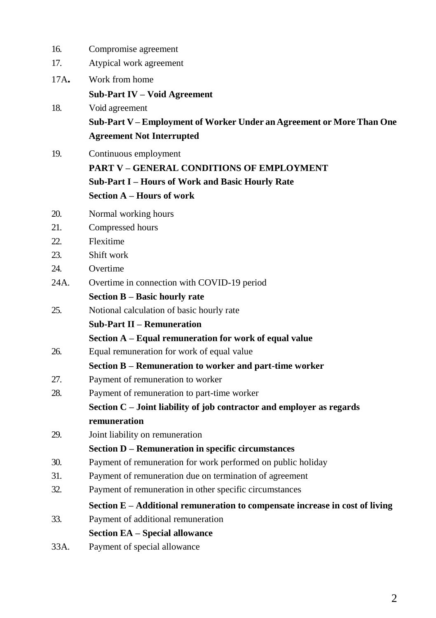| 16.  | Compromise agreement                                                            |
|------|---------------------------------------------------------------------------------|
| 17.  | Atypical work agreement                                                         |
| 17A. | Work from home                                                                  |
|      | <b>Sub-Part IV – Void Agreement</b>                                             |
| 18.  | Void agreement                                                                  |
|      | Sub-Part V - Employment of Worker Under an Agreement or More Than One           |
|      | <b>Agreement Not Interrupted</b>                                                |
| 19.  | Continuous employment                                                           |
|      | <b>PART V – GENERAL CONDITIONS OF EMPLOYMENT</b>                                |
|      | Sub-Part I - Hours of Work and Basic Hourly Rate                                |
|      | Section A – Hours of work                                                       |
| 20.  | Normal working hours                                                            |
| 21.  | Compressed hours                                                                |
| 22.  | Flexitime                                                                       |
| 23.  | Shift work                                                                      |
| 24.  | Overtime                                                                        |
| 24A. | Overtime in connection with COVID-19 period                                     |
|      | Section B – Basic hourly rate                                                   |
| 25.  | Notional calculation of basic hourly rate                                       |
|      | <b>Sub-Part II – Remuneration</b>                                               |
|      | Section A - Equal remuneration for work of equal value                          |
| 26.  | Equal remuneration for work of equal value                                      |
|      | Section B - Remuneration to worker and part-time worker                         |
| 27.  | Payment of remuneration to worker                                               |
| 28.  | Payment of remuneration to part-time worker                                     |
|      | Section C - Joint liability of job contractor and employer as regards           |
|      | remuneration                                                                    |
| 29.  | Joint liability on remuneration                                                 |
|      | Section D – Remuneration in specific circumstances                              |
| 30.  | Payment of remuneration for work performed on public holiday                    |
| 31.  | Payment of remuneration due on termination of agreement                         |
| 32.  | Payment of remuneration in other specific circumstances                         |
|      | Section $E - A$ dditional remuneration to compensate increase in cost of living |
| 33.  | Payment of additional remuneration                                              |
|      | Section EA – Special allowance                                                  |
| 33A. | Payment of special allowance                                                    |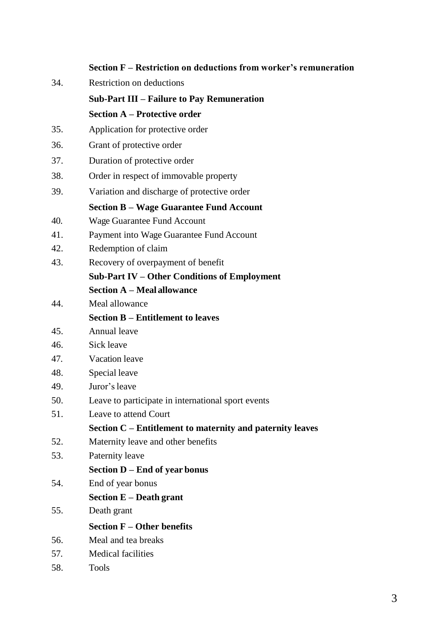|     | Section F - Restriction on deductions from worker's remuneration |
|-----|------------------------------------------------------------------|
| 34. | Restriction on deductions                                        |
|     | <b>Sub-Part III - Failure to Pay Remuneration</b>                |
|     | <b>Section A – Protective order</b>                              |
| 35. | Application for protective order                                 |
| 36. | Grant of protective order                                        |
| 37. | Duration of protective order                                     |
| 38. | Order in respect of immovable property                           |
| 39. | Variation and discharge of protective order                      |
|     | <b>Section B – Wage Guarantee Fund Account</b>                   |
| 40. | Wage Guarantee Fund Account                                      |
| 41. | Payment into Wage Guarantee Fund Account                         |
| 42. | Redemption of claim                                              |
| 43. | Recovery of overpayment of benefit                               |
|     | Sub-Part IV - Other Conditions of Employment                     |
|     | <b>Section A – Meal allowance</b>                                |
| 44. | Meal allowance                                                   |
|     | <b>Section B – Entitlement to leaves</b>                         |
| 45. | Annual leave                                                     |
| 46. | Sick leave                                                       |
| 47. | Vacation leave                                                   |
| 48. | Special leave                                                    |
| 49. | Juror's leave                                                    |
| 50. | Leave to participate in international sport events               |
| 51. | Leave to attend Court                                            |
|     | Section C - Entitlement to maternity and paternity leaves        |
| 52. | Maternity leave and other benefits                               |
| 53. | Paternity leave                                                  |
|     | Section D - End of year bonus                                    |
| 54. | End of year bonus                                                |
|     | Section E - Death grant                                          |
| 55. | Death grant                                                      |
|     | Section $F -$ Other benefits                                     |
| 56. | Meal and tea breaks                                              |
| 57. | Medical facilities                                               |
| 58. | Tools                                                            |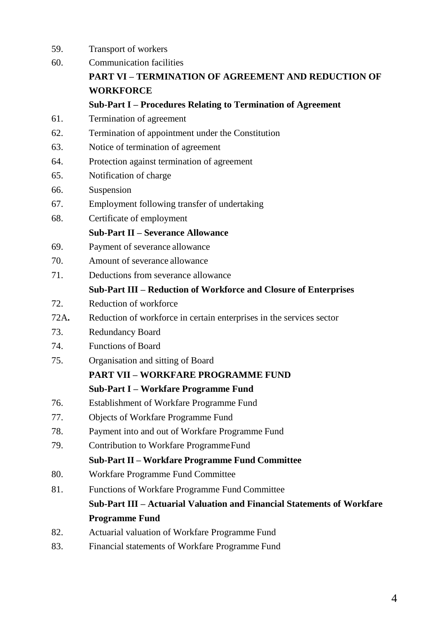- 59. Transport of workers 60. Communication facilities **PART VI – TERMINATION OF AGREEMENT AND REDUCTION OF WORKFORCE Sub-Part I – Procedures Relating to Termination of Agreement** 61. Termination of agreement 62. Termination of appointment under the Constitution 63. Notice of termination of agreement 64. Protection against termination of agreement 65. Notification of charge 66. Suspension 67. Employment following transfer of undertaking 68. Certificate of employment **Sub-Part II – Severance Allowance** 69. Payment of severance allowance 70. Amount of severance allowance 71. Deductions from severance allowance **Sub-Part III – Reduction of Workforce and Closure of Enterprises** 72. Reduction of workforce 72A**.** Reduction of workforce in certain enterprises in the services sector 73. Redundancy Board 74. Functions of Board 75. Organisation and sitting of Board **PART VII – WORKFARE PROGRAMME FUND Sub-Part I – Workfare Programme Fund** 76. Establishment of Workfare Programme Fund 77. Objects of Workfare Programme Fund 78. Payment into and out of Workfare Programme Fund 79. Contribution to Workfare ProgrammeFund **Sub-Part II – Workfare Programme Fund Committee** 80. Workfare Programme Fund Committee 81. Functions of Workfare Programme Fund Committee **Sub-Part III – Actuarial Valuation and Financial Statements of Workfare Programme Fund** 82. Actuarial valuation of Workfare Programme Fund
- 83. Financial statements of Workfare Programme Fund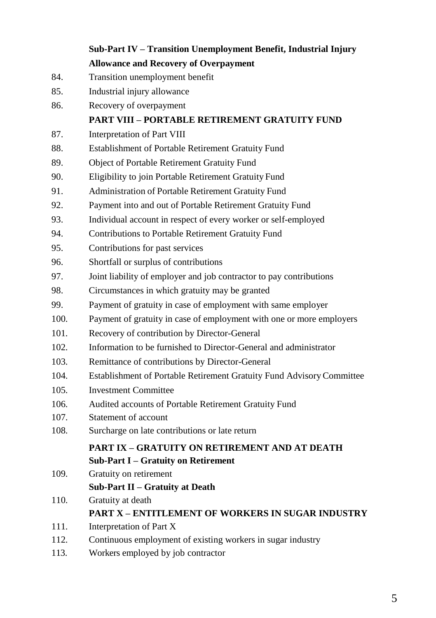|      | Sub-Part IV - Transition Unemployment Benefit, Industrial Injury      |
|------|-----------------------------------------------------------------------|
|      | <b>Allowance and Recovery of Overpayment</b>                          |
| 84.  | Transition unemployment benefit                                       |
| 85.  | Industrial injury allowance                                           |
| 86.  | Recovery of overpayment                                               |
|      | <b>PART VIII – PORTABLE RETIREMENT GRATUITY FUND</b>                  |
| 87.  | Interpretation of Part VIII                                           |
| 88.  | Establishment of Portable Retirement Gratuity Fund                    |
| 89.  | Object of Portable Retirement Gratuity Fund                           |
| 90.  | Eligibility to join Portable Retirement Gratuity Fund                 |
| 91.  | Administration of Portable Retirement Gratuity Fund                   |
| 92.  | Payment into and out of Portable Retirement Gratuity Fund             |
| 93.  | Individual account in respect of every worker or self-employed        |
| 94.  | Contributions to Portable Retirement Gratuity Fund                    |
| 95.  | Contributions for past services                                       |
| 96.  | Shortfall or surplus of contributions                                 |
| 97.  | Joint liability of employer and job contractor to pay contributions   |
| 98.  | Circumstances in which gratuity may be granted                        |
| 99.  | Payment of gratuity in case of employment with same employer          |
| 100. | Payment of gratuity in case of employment with one or more employers  |
| 101. | Recovery of contribution by Director-General                          |
| 102. | Information to be furnished to Director-General and administrator     |
| 103. | Remittance of contributions by Director-General                       |
| 104. | Establishment of Portable Retirement Gratuity Fund Advisory Committee |
| 105. | <b>Investment Committee</b>                                           |
| 106. | Audited accounts of Portable Retirement Gratuity Fund                 |
| 107. | Statement of account                                                  |
| 108. | Surcharge on late contributions or late return                        |
|      | PART IX – GRATUITY ON RETIREMENT AND AT DEATH                         |
|      | <b>Sub-Part I – Gratuity on Retirement</b>                            |
| 109. | Gratuity on retirement                                                |
|      | Sub-Part II - Gratuity at Death                                       |
| 110. | Gratuity at death                                                     |
|      | <b>PART X – ENTITLEMENT OF WORKERS IN SUGAR INDUSTRY</b>              |
| 111. | Interpretation of Part X                                              |
| 112. | Continuous employment of existing workers in sugar industry           |
| 113. | Workers employed by job contractor                                    |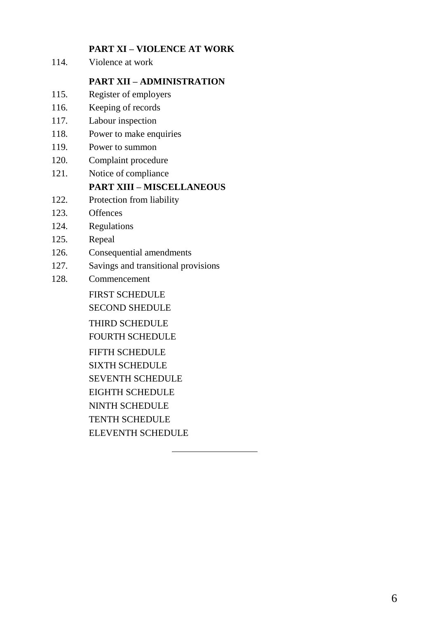#### **PART XI – VIOLENCE AT WORK**

114. Violence at work

#### **PART XII – ADMINISTRATION**

- 115. Register of employers
- 116. Keeping of records
- 117. Labour inspection
- 118. Power to make enquiries
- 119. Power to summon
- 120. Complaint procedure
- 121. Notice of compliance

#### **PART XIII – MISCELLANEOUS**

- 122. Protection from liability
- 123. Offences
- 124. Regulations
- 125. Repeal
- 126. Consequential amendments
- 127. Savings and transitional provisions
- 128. Commencement

FIRST SCHEDULE

SECOND SHEDULE

THIRD SCHEDULE

FOURTH SCHEDULE

FIFTH SCHEDULE SIXTH SCHEDULE SEVENTH SCHEDULE EIGHTH SCHEDULE NINTH SCHEDULE TENTH SCHEDULE

ELEVENTH SCHEDULE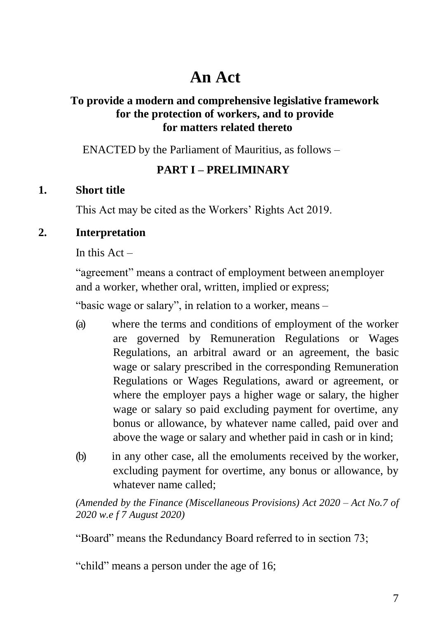# **An Act**

# **To provide a modern and comprehensive legislative framework for the protection of workers, and to provide for matters related thereto**

ENACTED by the Parliament of Mauritius, as follows –

## **PART I – PRELIMINARY**

## **1. Short title**

This Act may be cited as the Workers' Rights Act 2019.

## **2. Interpretation**

In this  $Act -$ 

"agreement" means a contract of employment between anemployer and a worker, whether oral, written, implied or express;

"basic wage or salary", in relation to a worker, means –

- (a) where the terms and conditions of employment of the worker are governed by Remuneration Regulations or Wages Regulations, an arbitral award or an agreement, the basic wage or salary prescribed in the corresponding Remuneration Regulations or Wages Regulations, award or agreement, or where the employer pays a higher wage or salary, the higher wage or salary so paid excluding payment for overtime, any bonus or allowance, by whatever name called, paid over and above the wage or salary and whether paid in cash or in kind;
- (b) in any other case, all the emoluments received by the worker, excluding payment for overtime, any bonus or allowance, by whatever name called;

*(Amended by the Finance (Miscellaneous Provisions) Act 2020 – Act No.7 of 2020 w.e f 7 August 2020)*

"Board" means the Redundancy Board referred to in section 73;

"child" means a person under the age of 16;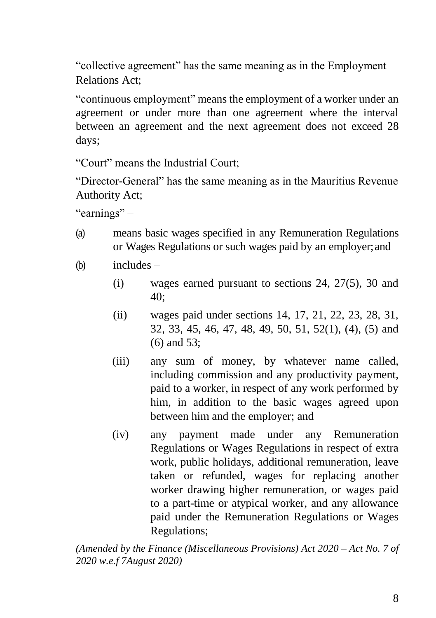"collective agreement" has the same meaning as in the Employment Relations Act;

"continuous employment" means the employment of a worker under an agreement or under more than one agreement where the interval between an agreement and the next agreement does not exceed 28 days;

"Court" means the Industrial Court;

"Director-General" has the same meaning as in the Mauritius Revenue Authority Act;

"earnings" –

- (a) means basic wages specified in any Remuneration Regulations or Wages Regulations or such wages paid by an employer;and
- (b) includes
	- (i) wages earned pursuant to sections 24, 27(5), 30 and 40;
	- (ii) wages paid under sections 14, 17, 21, 22, 23, 28, 31, 32, 33, 45, 46, 47, 48, 49, 50, 51, 52(1), (4), (5) and (6) and 53;
	- (iii) any sum of money, by whatever name called, including commission and any productivity payment, paid to a worker, in respect of any work performed by him, in addition to the basic wages agreed upon between him and the employer; and
	- (iv) any payment made under any Remuneration Regulations or Wages Regulations in respect of extra work, public holidays, additional remuneration, leave taken or refunded, wages for replacing another worker drawing higher remuneration, or wages paid to a part-time or atypical worker, and any allowance paid under the Remuneration Regulations or Wages Regulations;

*(Amended by the Finance (Miscellaneous Provisions) Act 2020 – Act No. 7 of 2020 w.e.f 7August 2020)*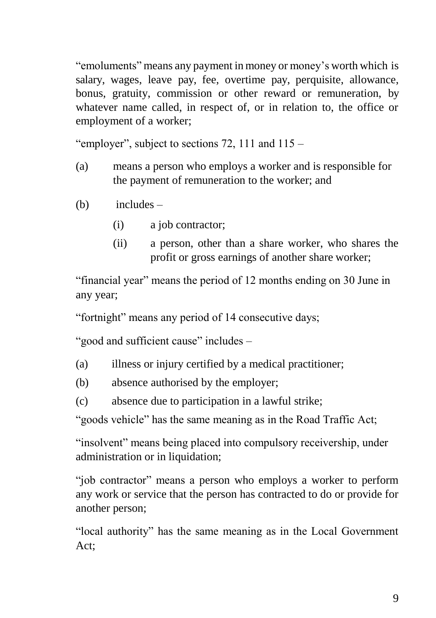"emoluments" means any payment in money or money's worth which is salary, wages, leave pay, fee, overtime pay, perquisite, allowance, bonus, gratuity, commission or other reward or remuneration, by whatever name called, in respect of, or in relation to, the office or employment of a worker;

"employer", subject to sections  $72$ ,  $111$  and  $115$  –

- (a) means a person who employs a worker and is responsible for the payment of remuneration to the worker; and
- (b) includes
	- (i) a job contractor;
	- (ii) a person, other than a share worker, who shares the profit or gross earnings of another share worker;

"financial year" means the period of 12 months ending on 30 June in any year;

"fortnight" means any period of 14 consecutive days;

"good and sufficient cause" includes –

- (a) illness or injury certified by a medical practitioner;
- (b) absence authorised by the employer;
- (c) absence due to participation in a lawful strike;

"goods vehicle" has the same meaning as in the Road Traffic Act;

"insolvent" means being placed into compulsory receivership, under administration or in liquidation;

"job contractor" means a person who employs a worker to perform any work or service that the person has contracted to do or provide for another person;

"local authority" has the same meaning as in the Local Government Act;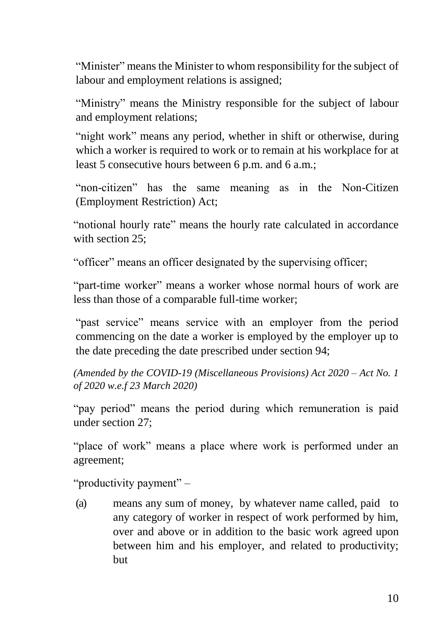"Minister" means the Minister to whom responsibility for the subject of labour and employment relations is assigned;

"Ministry" means the Ministry responsible for the subject of labour and employment relations;

"night work" means any period, whether in shift or otherwise, during which a worker is required to work or to remain at his workplace for at least 5 consecutive hours between 6 p.m. and 6 a.m.;

"non-citizen" has the same meaning as in the Non-Citizen (Employment Restriction) Act;

"notional hourly rate" means the hourly rate calculated in accordance with section 25:

"officer" means an officer designated by the supervising officer;

"part-time worker" means a worker whose normal hours of work are less than those of a comparable full-time worker;

"past service" means service with an employer from the period commencing on the date a worker is employed by the employer up to the date preceding the date prescribed under section 94;

*(Amended by the COVID-19 (Miscellaneous Provisions) Act 2020 – Act No. 1 of 2020 w.e.f 23 March 2020)*

"pay period" means the period during which remuneration is paid under section 27;

"place of work" means a place where work is performed under an agreement;

"productivity payment" –

(a) means any sum of money, by whatever name called, paid to any category of worker in respect of work performed by him, over and above or in addition to the basic work agreed upon between him and his employer, and related to productivity; but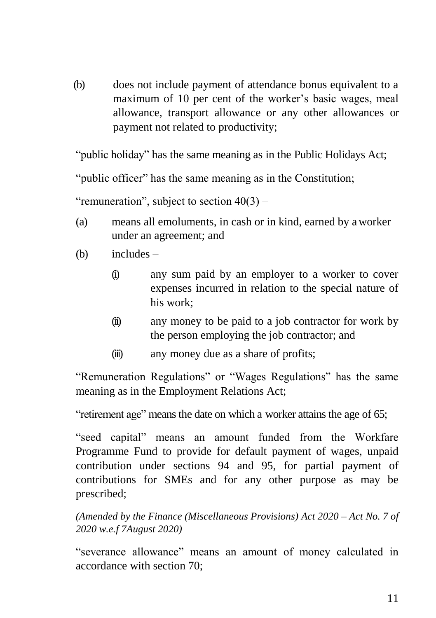(b) does not include payment of attendance bonus equivalent to a maximum of 10 per cent of the worker's basic wages, meal allowance, transport allowance or any other allowances or payment not related to productivity;

"public holiday" has the same meaning as in the Public Holidays Act;

"public officer" has the same meaning as in the Constitution;

"remuneration", subject to section  $40(3)$  –

- (a) means all emoluments, in cash or in kind, earned by aworker under an agreement; and
- (b) includes
	- (i) any sum paid by an employer to a worker to cover expenses incurred in relation to the special nature of his work;
	- (ii) any money to be paid to a job contractor for work by the person employing the job contractor; and
	- (iii) any money due as a share of profits;

"Remuneration Regulations" or "Wages Regulations" has the same meaning as in the Employment Relations Act;

"retirement age" means the date on which a worker attains the age of 65;

"seed capital" means an amount funded from the Workfare Programme Fund to provide for default payment of wages, unpaid contribution under sections 94 and 95, for partial payment of contributions for SMEs and for any other purpose as may be prescribed;

*(Amended by the Finance (Miscellaneous Provisions) Act 2020 – Act No. 7 of 2020 w.e.f 7August 2020)*

"severance allowance" means an amount of money calculated in accordance with section 70;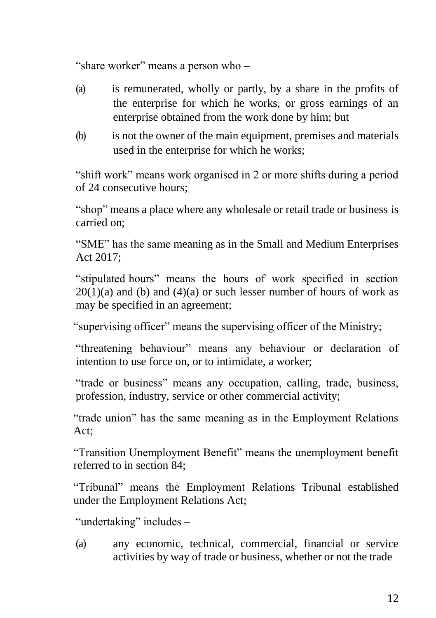"share worker" means a person who –

- (a) is remunerated, wholly or partly, by a share in the profits of the enterprise for which he works, or gross earnings of an enterprise obtained from the work done by him; but
- (b) is not the owner of the main equipment, premises and materials used in the enterprise for which he works;

"shift work" means work organised in 2 or more shifts during a period of 24 consecutive hours;

"shop" means a place where any wholesale or retail trade or business is carried on;

"SME" has the same meaning as in the Small and Medium Enterprises Act 2017;

"stipulated hours" means the hours of work specified in section  $20(1)(a)$  and (b) and (4)(a) or such lesser number of hours of work as may be specified in an agreement;

"supervising officer" means the supervising officer of the Ministry;

"threatening behaviour" means any behaviour or declaration of intention to use force on, or to intimidate, a worker;

"trade or business" means any occupation, calling, trade, business, profession, industry, service or other commercial activity;

"trade union" has the same meaning as in the Employment Relations Act;

"Transition Unemployment Benefit" means the unemployment benefit referred to in section 84;

"Tribunal" means the Employment Relations Tribunal established under the Employment Relations Act;

"undertaking" includes –

(a) any economic, technical, commercial, financial or service activities by way of trade or business, whether or not the trade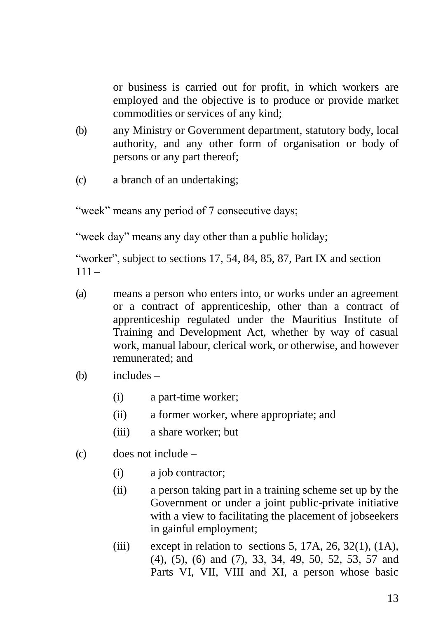or business is carried out for profit, in which workers are employed and the objective is to produce or provide market commodities or services of any kind;

- (b) any Ministry or Government department, statutory body, local authority, and any other form of organisation or body of persons or any part thereof;
- (c) a branch of an undertaking;

"week" means any period of 7 consecutive days;

"week day" means any day other than a public holiday;

"worker", subject to sections 17, 54, 84, 85, 87, Part IX and section  $111 -$ 

- (a) means a person who enters into, or works under an agreement or a contract of apprenticeship, other than a contract of apprenticeship regulated under the Mauritius Institute of Training and Development Act, whether by way of casual work, manual labour, clerical work, or otherwise, and however remunerated; and
- (b) includes
	- (i) a part-time worker;
	- (ii) a former worker, where appropriate; and
	- (iii) a share worker; but
- (c) does not include
	- (i) a job contractor;
	- (ii) a person taking part in a training scheme set up by the Government or under a joint public-private initiative with a view to facilitating the placement of jobseekers in gainful employment;
	- (iii) except in relation to sections 5, 17A, 26, 32(1),  $(1A)$ , (4), (5), (6) and (7), 33, 34, 49, 50, 52, 53, 57 and Parts VI, VII, VIII and XI, a person whose basic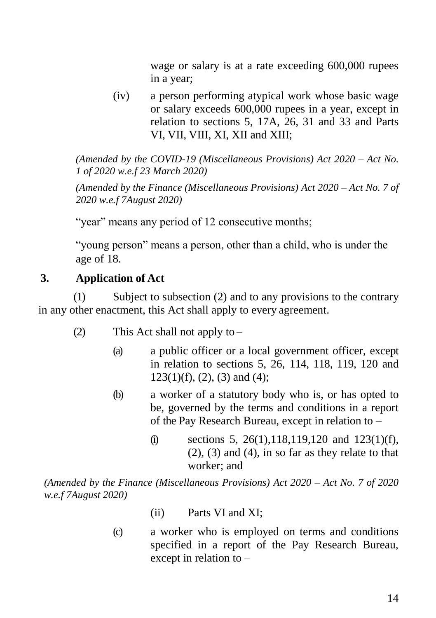wage or salary is at a rate exceeding 600,000 rupees in a year;

(iv) a person performing atypical work whose basic wage or salary exceeds 600,000 rupees in a year, except in relation to sections 5, 17A, 26, 31 and 33 and Parts VI, VII, VIII, XI, XII and XIII;

*(Amended by the COVID-19 (Miscellaneous Provisions) Act 2020 – Act No. 1 of 2020 w.e.f 23 March 2020)*

*(Amended by the Finance (Miscellaneous Provisions) Act 2020 – Act No. 7 of 2020 w.e.f 7August 2020)*

"year" means any period of 12 consecutive months;

"young person" means a person, other than a child, who is under the age of 18.

# **3. Application of Act**

(1) Subject to subsection (2) and to any provisions to the contrary in any other enactment, this Act shall apply to every agreement.

- (2) This Act shall not apply to  $-$ 
	- (a) a public officer or a local government officer, except in relation to sections 5, 26, 114, 118, 119, 120 and  $123(1)(f)$ ,  $(2)$ ,  $(3)$  and  $(4)$ ;
	- (b) a worker of a statutory body who is, or has opted to be, governed by the terms and conditions in a report of the Pay Research Bureau, except in relation to –
		- (i) sections 5, 26(1), 118, 119, 120 and 123(1)(f),  $(2)$ ,  $(3)$  and  $(4)$ , in so far as they relate to that worker; and

*(Amended by the Finance (Miscellaneous Provisions) Act 2020 – Act No. 7 of 2020 w.e.f 7August 2020)*

- (ii) Parts VI and XI;
- (c) a worker who is employed on terms and conditions specified in a report of the Pay Research Bureau, except in relation to –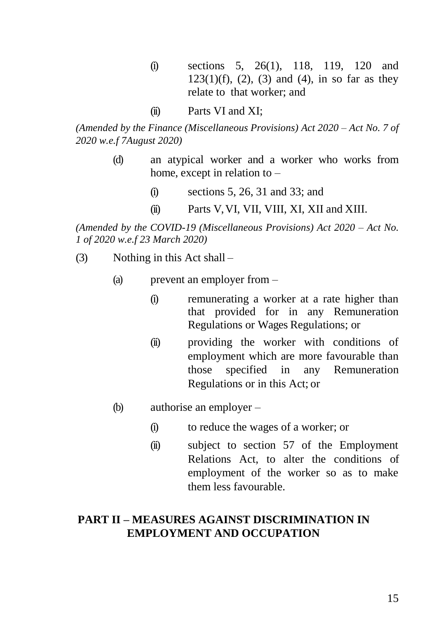- (i) sections 5, 26(1), 118, 119, 120 and  $123(1)(f)$ ,  $(2)$ ,  $(3)$  and  $(4)$ , in so far as they relate to that worker; and
- (ii) Parts VI and XI;

*(Amended by the Finance (Miscellaneous Provisions) Act 2020 – Act No. 7 of 2020 w.e.f 7August 2020)*

- (d) an atypical worker and a worker who works from home, except in relation to –
	- (i) sections 5, 26, 31 and 33; and
	- (ii) Parts V, VI, VII, VIII, XI, XII and XIII.

*(Amended by the COVID-19 (Miscellaneous Provisions) Act 2020 – Act No. 1 of 2020 w.e.f 23 March 2020)*

- (3) Nothing in this Act shall
	- (a) prevent an employer from
		- (i) remunerating a worker at a rate higher than that provided for in any Remuneration Regulations or Wages Regulations; or
		- (ii) providing the worker with conditions of employment which are more favourable than those specified in any Remuneration Regulations or in this Act; or
	- (b) authorise an employer
		- (i) to reduce the wages of a worker; or
		- (ii) subject to section 57 of the Employment Relations Act, to alter the conditions of employment of the worker so as to make them less favourable.

## **PART II – MEASURES AGAINST DISCRIMINATION IN EMPLOYMENT AND OCCUPATION**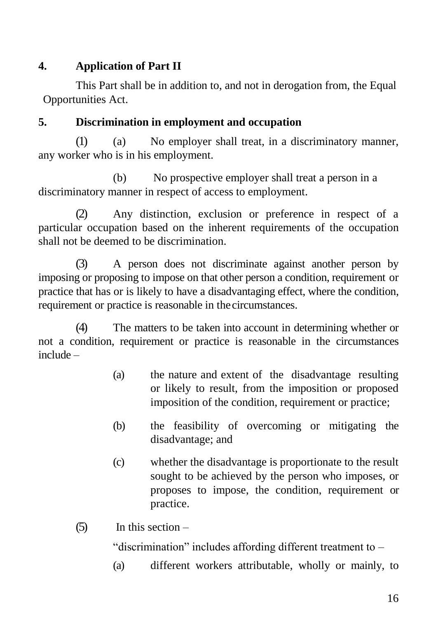# **4. Application of Part II**

This Part shall be in addition to, and not in derogation from, the Equal Opportunities Act.

# **5. Discrimination in employment and occupation**

(1) (a) No employer shall treat, in a discriminatory manner, any worker who is in his employment.

(b) No prospective employer shall treat a person in a discriminatory manner in respect of access to employment.

(2) Any distinction, exclusion or preference in respect of a particular occupation based on the inherent requirements of the occupation shall not be deemed to be discrimination.

(3) A person does not discriminate against another person by imposing or proposing to impose on that other person a condition, requirement or practice that has or is likely to have a disadvantaging effect, where the condition, requirement or practice is reasonable in thecircumstances.

(4) The matters to be taken into account in determining whether or not a condition, requirement or practice is reasonable in the circumstances include –

- (a) the nature and extent of the disadvantage resulting or likely to result, from the imposition or proposed imposition of the condition, requirement or practice;
- (b) the feasibility of overcoming or mitigating the disadvantage; and
- (c) whether the disadvantage is proportionate to the result sought to be achieved by the person who imposes, or proposes to impose, the condition, requirement or practice.
- $(5)$  In this section –

"discrimination" includes affording different treatment to –

(a) different workers attributable, wholly or mainly, to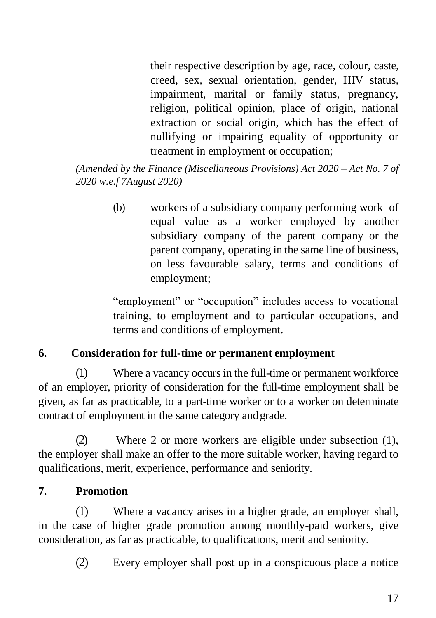their respective description by age, race, colour, caste, creed, sex, sexual orientation, gender, HIV status, impairment, marital or family status, pregnancy, religion, political opinion, place of origin, national extraction or social origin, which has the effect of nullifying or impairing equality of opportunity or treatment in employment or occupation;

*(Amended by the Finance (Miscellaneous Provisions) Act 2020 – Act No. 7 of 2020 w.e.f 7August 2020)*

> (b) workers of a subsidiary company performing work of equal value as a worker employed by another subsidiary company of the parent company or the parent company, operating in the same line of business, on less favourable salary, terms and conditions of employment;

> "employment" or "occupation" includes access to vocational training, to employment and to particular occupations, and terms and conditions of employment.

# **6. Consideration for full-time or permanent employment**

(1) Where a vacancy occurs in the full-time or permanent workforce of an employer, priority of consideration for the full-time employment shall be given, as far as practicable, to a part-time worker or to a worker on determinate contract of employment in the same category andgrade.

(2) Where 2 or more workers are eligible under subsection (1), the employer shall make an offer to the more suitable worker, having regard to qualifications, merit, experience, performance and seniority.

# **7. Promotion**

(1) Where a vacancy arises in a higher grade, an employer shall, in the case of higher grade promotion among monthly-paid workers, give consideration, as far as practicable, to qualifications, merit and seniority.

(2) Every employer shall post up in a conspicuous place a notice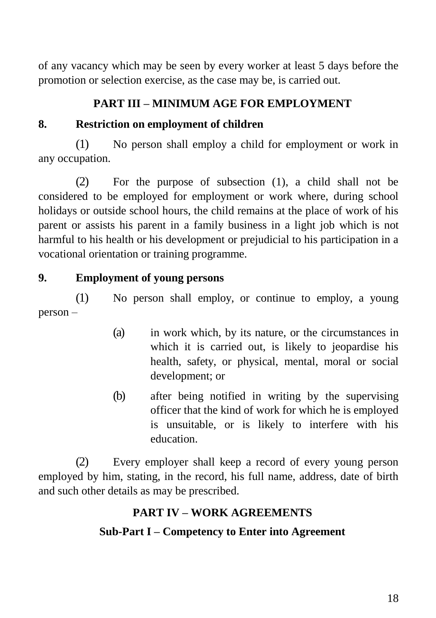of any vacancy which may be seen by every worker at least 5 days before the promotion or selection exercise, as the case may be, is carried out.

# **PART III – MINIMUM AGE FOR EMPLOYMENT**

# **8. Restriction on employment of children**

(1) No person shall employ a child for employment or work in any occupation.

(2) For the purpose of subsection (1), a child shall not be considered to be employed for employment or work where, during school holidays or outside school hours, the child remains at the place of work of his parent or assists his parent in a family business in a light job which is not harmful to his health or his development or prejudicial to his participation in a vocational orientation or training programme.

## **9. Employment of young persons**

(1) No person shall employ, or continue to employ, a young person –

- (a) in work which, by its nature, or the circumstances in which it is carried out, is likely to jeopardise his health, safety, or physical, mental, moral or social development; or
- (b) after being notified in writing by the supervising officer that the kind of work for which he is employed is unsuitable, or is likely to interfere with his education.

(2) Every employer shall keep a record of every young person employed by him, stating, in the record, his full name, address, date of birth and such other details as may be prescribed.

## **PART IV – WORK AGREEMENTS**

## **Sub-Part I – Competency to Enter into Agreement**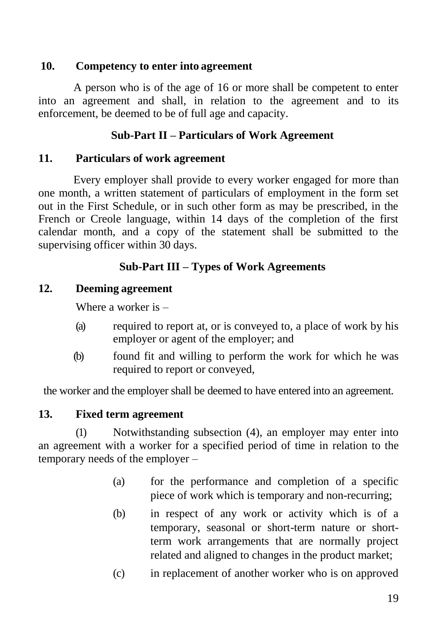## **10. Competency to enter into agreement**

A person who is of the age of 16 or more shall be competent to enter into an agreement and shall, in relation to the agreement and to its enforcement, be deemed to be of full age and capacity.

# **Sub-Part II – Particulars of Work Agreement**

## **11. Particulars of work agreement**

Every employer shall provide to every worker engaged for more than one month, a written statement of particulars of employment in the form set out in the First Schedule, or in such other form as may be prescribed, in the French or Creole language, within 14 days of the completion of the first calendar month, and a copy of the statement shall be submitted to the supervising officer within 30 days.

# **Sub-Part III – Types of Work Agreements**

## **12. Deeming agreement**

Where a worker is –

- (a) required to report at, or is conveyed to, a place of work by his employer or agent of the employer; and
- (b) found fit and willing to perform the work for which he was required to report or conveyed,

the worker and the employer shall be deemed to have entered into an agreement.

## **13. Fixed term agreement**

(1) Notwithstanding subsection (4), an employer may enter into an agreement with a worker for a specified period of time in relation to the temporary needs of the employer –

- (a) for the performance and completion of a specific piece of work which is temporary and non-recurring;
- (b) in respect of any work or activity which is of a temporary, seasonal or short-term nature or shortterm work arrangements that are normally project related and aligned to changes in the product market;
- (c) in replacement of another worker who is on approved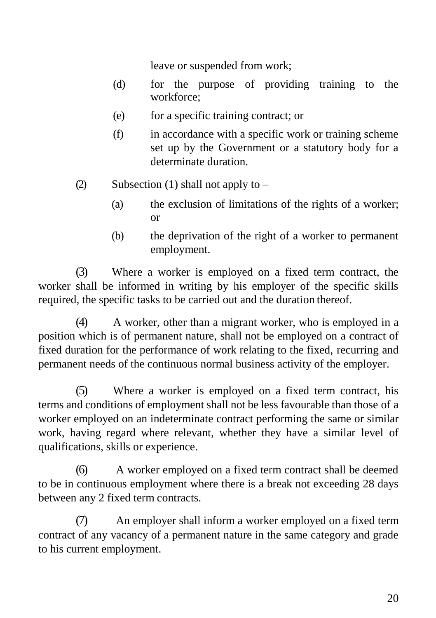leave or suspended from work;

- (d) for the purpose of providing training to the workforce;
- (e) for a specific training contract; or
- (f) in accordance with a specific work or training scheme set up by the Government or a statutory body for a determinate duration.
- (2) Subsection (1) shall not apply to  $-$ 
	- (a) the exclusion of limitations of the rights of a worker; or
	- (b) the deprivation of the right of a worker to permanent employment.

(3) Where a worker is employed on a fixed term contract, the worker shall be informed in writing by his employer of the specific skills required, the specific tasks to be carried out and the duration thereof.

(4) A worker, other than a migrant worker, who is employed in a position which is of permanent nature, shall not be employed on a contract of fixed duration for the performance of work relating to the fixed, recurring and permanent needs of the continuous normal business activity of the employer.

(5) Where a worker is employed on a fixed term contract, his terms and conditions of employment shall not be less favourable than those of a worker employed on an indeterminate contract performing the same or similar work, having regard where relevant, whether they have a similar level of qualifications, skills or experience.

(6) A worker employed on a fixed term contract shall be deemed to be in continuous employment where there is a break not exceeding 28 days between any 2 fixed term contracts.

(7) An employer shall inform a worker employed on a fixed term contract of any vacancy of a permanent nature in the same category and grade to his current employment.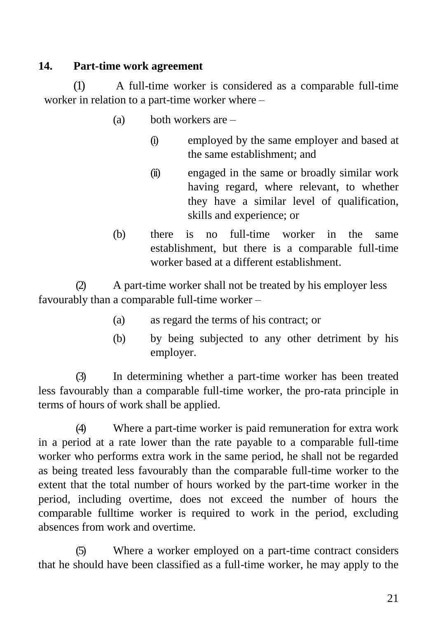# **14. Part-time work agreement**

(1) A full-time worker is considered as a comparable full-time worker in relation to a part-time worker where –

- (a) both workers are
	- (i) employed by the same employer and based at the same establishment; and
	- (ii) engaged in the same or broadly similar work having regard, where relevant, to whether they have a similar level of qualification, skills and experience; or
- (b) there is no full-time worker in the same establishment, but there is a comparable full-time worker based at a different establishment.

(2) A part-time worker shall not be treated by his employer less favourably than a comparable full-time worker –

- (a) as regard the terms of his contract; or
- (b) by being subjected to any other detriment by his employer.

(3) In determining whether a part-time worker has been treated less favourably than a comparable full-time worker, the pro-rata principle in terms of hours of work shall be applied.

(4) Where a part-time worker is paid remuneration for extra work in a period at a rate lower than the rate payable to a comparable full-time worker who performs extra work in the same period, he shall not be regarded as being treated less favourably than the comparable full-time worker to the extent that the total number of hours worked by the part-time worker in the period, including overtime, does not exceed the number of hours the comparable fulltime worker is required to work in the period, excluding absences from work and overtime.

(5) Where a worker employed on a part-time contract considers that he should have been classified as a full-time worker, he may apply to the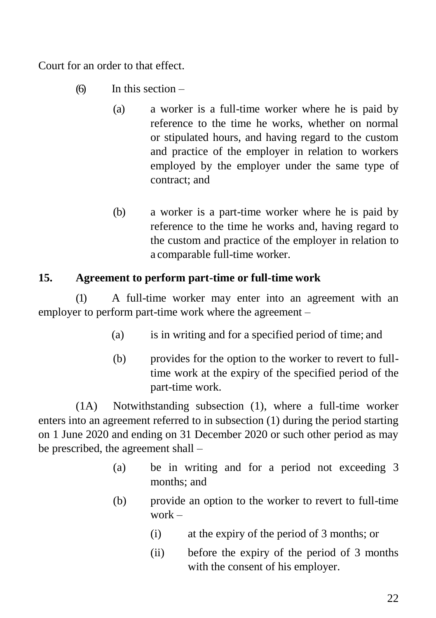Court for an order to that effect.

- (6) In this section
	- (a) a worker is a full-time worker where he is paid by reference to the time he works, whether on normal or stipulated hours, and having regard to the custom and practice of the employer in relation to workers employed by the employer under the same type of contract; and
	- (b) a worker is a part-time worker where he is paid by reference to the time he works and, having regard to the custom and practice of the employer in relation to a comparable full-time worker.

## **15. Agreement to perform part-time or full-time work**

(1) A full-time worker may enter into an agreement with an employer to perform part-time work where the agreement –

- (a) is in writing and for a specified period of time; and
- (b) provides for the option to the worker to revert to fulltime work at the expiry of the specified period of the part-time work.

(1A) Notwithstanding subsection (1), where a full-time worker enters into an agreement referred to in subsection (1) during the period starting on 1 June 2020 and ending on 31 December 2020 or such other period as may be prescribed, the agreement shall –

- (a) be in writing and for a period not exceeding 3 months; and
- (b) provide an option to the worker to revert to full-time work –
	- (i) at the expiry of the period of 3 months; or
	- (ii) before the expiry of the period of 3 months with the consent of his employer.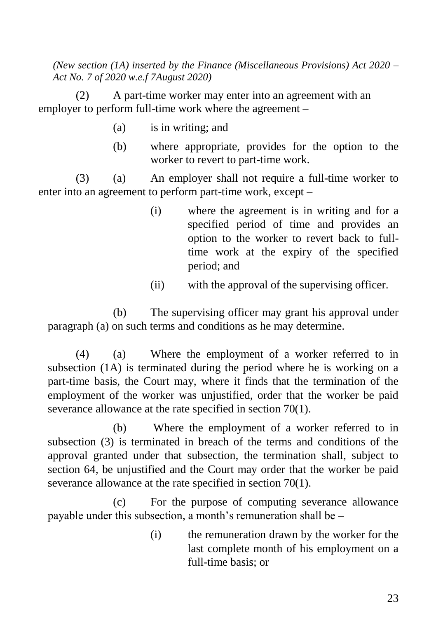*(New section (1A) inserted by the Finance (Miscellaneous Provisions) Act 2020 – Act No. 7 of 2020 w.e.f 7August 2020)*

(2) A part-time worker may enter into an agreement with an employer to perform full-time work where the agreement –

- (a) is in writing; and
- (b) where appropriate, provides for the option to the worker to revert to part-time work.

(3) (a) An employer shall not require a full-time worker to enter into an agreement to perform part-time work, except –

- (i) where the agreement is in writing and for a specified period of time and provides an option to the worker to revert back to fulltime work at the expiry of the specified period; and
- (ii) with the approval of the supervising officer.

(b) The supervising officer may grant his approval under paragraph (a) on such terms and conditions as he may determine.

(4) (a) Where the employment of a worker referred to in subsection (1A) is terminated during the period where he is working on a part-time basis, the Court may, where it finds that the termination of the employment of the worker was unjustified, order that the worker be paid severance allowance at the rate specified in section 70(1).

(b) Where the employment of a worker referred to in subsection (3) is terminated in breach of the terms and conditions of the approval granted under that subsection, the termination shall, subject to section 64, be unjustified and the Court may order that the worker be paid severance allowance at the rate specified in section 70(1).

(c) For the purpose of computing severance allowance payable under this subsection, a month's remuneration shall be –

> (i) the remuneration drawn by the worker for the last complete month of his employment on a full-time basis; or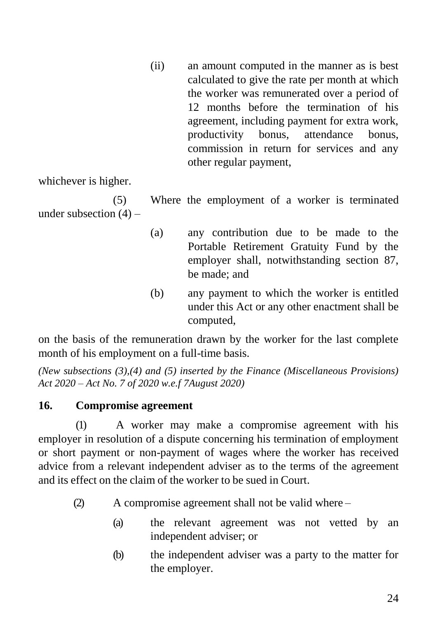(ii) an amount computed in the manner as is best calculated to give the rate per month at which the worker was remunerated over a period of 12 months before the termination of his agreement, including payment for extra work, productivity bonus, attendance bonus, commission in return for services and any other regular payment,

whichever is higher.

(5) Where the employment of a worker is terminated under subsection  $(4)$  –

- (a) any contribution due to be made to the Portable Retirement Gratuity Fund by the employer shall, notwithstanding section 87, be made; and
- (b) any payment to which the worker is entitled under this Act or any other enactment shall be computed,

on the basis of the remuneration drawn by the worker for the last complete month of his employment on a full-time basis.

*(New subsections (3),(4) and (5) inserted by the Finance (Miscellaneous Provisions) Act 2020 – Act No. 7 of 2020 w.e.f 7August 2020)*

# **16. Compromise agreement**

(1) A worker may make a compromise agreement with his employer in resolution of a dispute concerning his termination of employment or short payment or non-payment of wages where the worker has received advice from a relevant independent adviser as to the terms of the agreement and its effect on the claim of the worker to be sued in Court.

(2) A compromise agreement shall not be valid where –

- (a) the relevant agreement was not vetted by an independent adviser; or
- (b) the independent adviser was a party to the matter for the employer.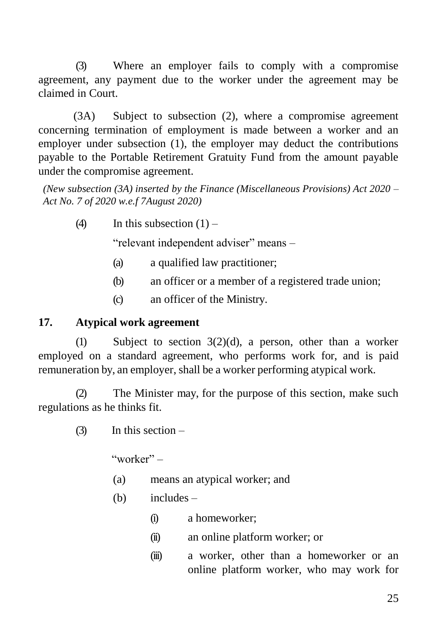(3) Where an employer fails to comply with a compromise agreement, any payment due to the worker under the agreement may be claimed in Court.

(3A) Subject to subsection (2), where a compromise agreement concerning termination of employment is made between a worker and an employer under subsection (1), the employer may deduct the contributions payable to the Portable Retirement Gratuity Fund from the amount payable under the compromise agreement.

*(New subsection (3A) inserted by the Finance (Miscellaneous Provisions) Act 2020 – Act No. 7 of 2020 w.e.f 7August 2020)*

(4) In this subsection  $(1)$  –

"relevant independent adviser" means –

- (a) a qualified law practitioner;
- (b) an officer or a member of a registered trade union;
- (c) an officer of the Ministry.

# **17. Atypical work agreement**

(1) Subject to section 3(2)(d), a person, other than a worker employed on a standard agreement, who performs work for, and is paid remuneration by, an employer, shall be a worker performing atypical work.

(2) The Minister may, for the purpose of this section, make such regulations as he thinks fit.

 $(3)$  In this section –

"worker"  $-$ 

- (a) means an atypical worker; and
- (b) includes
	- (i) a homeworker;
	- (ii) an online platform worker; or
	- (iii) a worker, other than a homeworker or an online platform worker, who may work for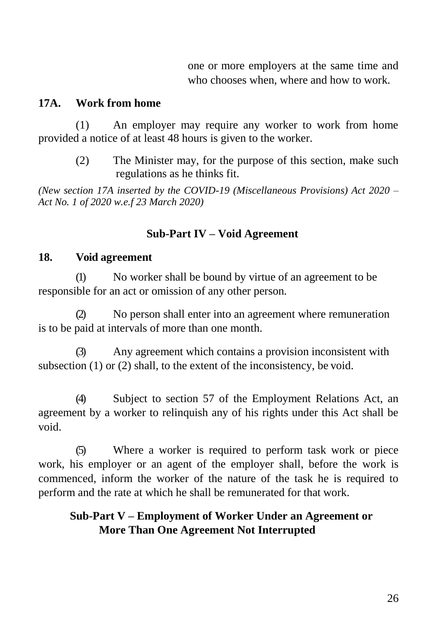one or more employers at the same time and who chooses when, where and how to work.

#### **17A. Work from home**

(1) An employer may require any worker to work from home provided a notice of at least 48 hours is given to the worker.

> (2) The Minister may, for the purpose of this section, make such regulations as he thinks fit.

*(New section 17A inserted by the COVID-19 (Miscellaneous Provisions) Act 2020 – Act No. 1 of 2020 w.e.f 23 March 2020)*

## **Sub-Part IV – Void Agreement**

#### **18. Void agreement**

(1) No worker shall be bound by virtue of an agreement to be responsible for an act or omission of any other person.

(2) No person shall enter into an agreement where remuneration is to be paid at intervals of more than one month.

(3) Any agreement which contains a provision inconsistent with subsection (1) or (2) shall, to the extent of the inconsistency, be void.

(4) Subject to section 57 of the Employment Relations Act, an agreement by a worker to relinquish any of his rights under this Act shall be void.

(5) Where a worker is required to perform task work or piece work, his employer or an agent of the employer shall, before the work is commenced, inform the worker of the nature of the task he is required to perform and the rate at which he shall be remunerated for that work.

# **Sub-Part V – Employment of Worker Under an Agreement or More Than One Agreement Not Interrupted**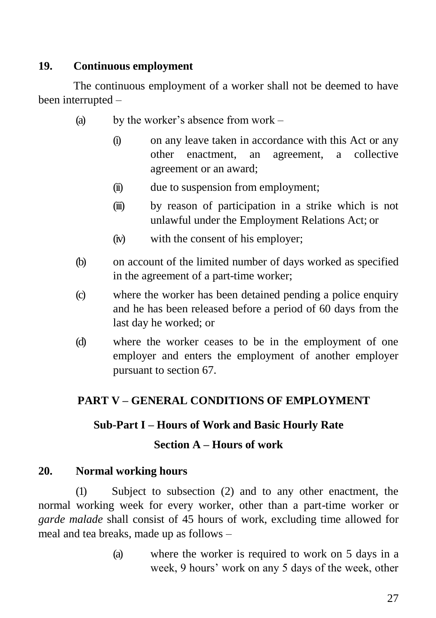# **19. Continuous employment**

The continuous employment of a worker shall not be deemed to have been interrupted –

- (a) by the worker's absence from work
	- (i) on any leave taken in accordance with this Act or any other enactment, an agreement, a collective agreement or an award;
	- (ii) due to suspension from employment;
	- (iii) by reason of participation in a strike which is not unlawful under the Employment Relations Act; or
	- (iv) with the consent of his employer;
- (b) on account of the limited number of days worked as specified in the agreement of a part-time worker;
- (c) where the worker has been detained pending a police enquiry and he has been released before a period of 60 days from the last day he worked; or
- (d) where the worker ceases to be in the employment of one employer and enters the employment of another employer pursuant to section 67.

# **PART V – GENERAL CONDITIONS OF EMPLOYMENT**

# **Sub-Part I – Hours of Work and Basic Hourly Rate**

# **Section A – Hours of work**

# **20. Normal working hours**

(1) Subject to subsection (2) and to any other enactment, the normal working week for every worker, other than a part-time worker or *garde malade* shall consist of 45 hours of work, excluding time allowed for meal and tea breaks, made up as follows –

> (a) where the worker is required to work on 5 days in a week, 9 hours' work on any 5 days of the week, other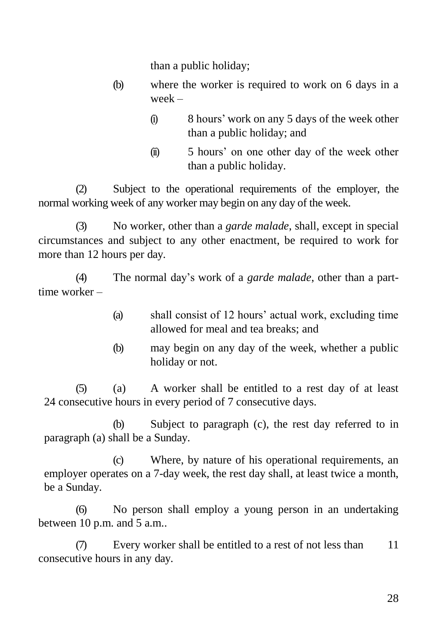than a public holiday;

- (b) where the worker is required to work on 6 days in a week –
	- (i) 8 hours' work on any 5 days of the week other than a public holiday; and
	- (ii) 5 hours' on one other day of the week other than a public holiday.

(2) Subject to the operational requirements of the employer, the normal working week of any worker may begin on any day of the week.

(3) No worker, other than a *garde malade*, shall, except in special circumstances and subject to any other enactment, be required to work for more than 12 hours per day.

(4) The normal day's work of a *garde malade*, other than a parttime worker –

- (a) shall consist of 12 hours' actual work, excluding time allowed for meal and tea breaks; and
- (b) may begin on any day of the week, whether a public holiday or not.

(5) (a) A worker shall be entitled to a rest day of at least 24 consecutive hours in every period of 7 consecutive days.

(b) Subject to paragraph (c), the rest day referred to in paragraph (a) shall be a Sunday.

(c) Where, by nature of his operational requirements, an employer operates on a 7-day week, the rest day shall, at least twice a month, be a Sunday.

(6) No person shall employ a young person in an undertaking between 10 p.m. and 5 a.m..

(7) Every worker shall be entitled to a rest of not less than 11 consecutive hours in any day.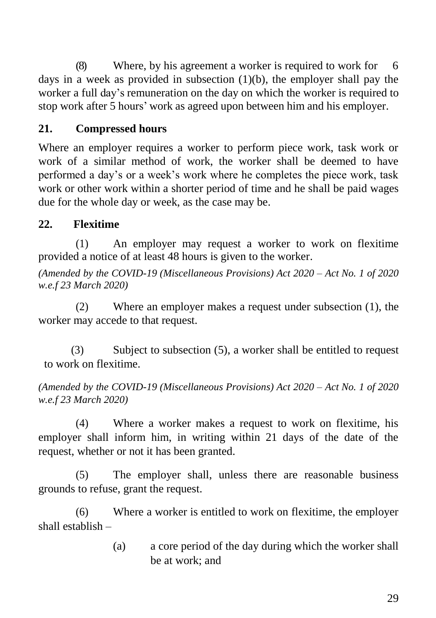(8) Where, by his agreement a worker is required to work for 6 days in a week as provided in subsection (1)(b), the employer shall pay the worker a full day's remuneration on the day on which the worker is required to stop work after 5 hours' work as agreed upon between him and his employer.

# **21. Compressed hours**

Where an employer requires a worker to perform piece work, task work or work of a similar method of work, the worker shall be deemed to have performed a day's or a week's work where he completes the piece work, task work or other work within a shorter period of time and he shall be paid wages due for the whole day or week, as the case may be.

# **22. Flexitime**

(1) An employer may request a worker to work on flexitime provided a notice of at least 48 hours is given to the worker.

*(Amended by the COVID-19 (Miscellaneous Provisions) Act 2020 – Act No. 1 of 2020 w.e.f 23 March 2020)*

(2) Where an employer makes a request under subsection (1), the worker may accede to that request.

(3) Subject to subsection (5), a worker shall be entitled to request to work on flexitime.

*(Amended by the COVID-19 (Miscellaneous Provisions) Act 2020 – Act No. 1 of 2020 w.e.f 23 March 2020)*

(4) Where a worker makes a request to work on flexitime, his employer shall inform him, in writing within 21 days of the date of the request, whether or not it has been granted.

(5) The employer shall, unless there are reasonable business grounds to refuse, grant the request.

(6) Where a worker is entitled to work on flexitime, the employer shall establish –

> (a) a core period of the day during which the worker shall be at work; and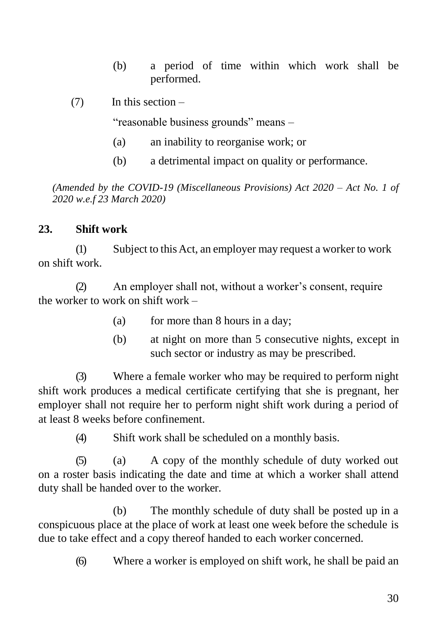- (b) a period of time within which work shall be performed.
- $(7)$  In this section –

"reasonable business grounds" means –

- (a) an inability to reorganise work; or
- (b) a detrimental impact on quality or performance.

*(Amended by the COVID-19 (Miscellaneous Provisions) Act 2020 – Act No. 1 of 2020 w.e.f 23 March 2020)*

#### **23. Shift work**

(1) Subject to thisAct, an employer may request a worker to work on shift work.

(2) An employer shall not, without a worker's consent, require the worker to work on shift work –

- (a) for more than 8 hours in a day;
- (b) at night on more than 5 consecutive nights, except in such sector or industry as may be prescribed.

(3) Where a female worker who may be required to perform night shift work produces a medical certificate certifying that she is pregnant, her employer shall not require her to perform night shift work during a period of at least 8 weeks before confinement.

(4) Shift work shall be scheduled on a monthly basis.

(5) (a) A copy of the monthly schedule of duty worked out on a roster basis indicating the date and time at which a worker shall attend duty shall be handed over to the worker.

(b) The monthly schedule of duty shall be posted up in a conspicuous place at the place of work at least one week before the schedule is due to take effect and a copy thereof handed to each worker concerned.

(6) Where a worker is employed on shift work, he shall be paid an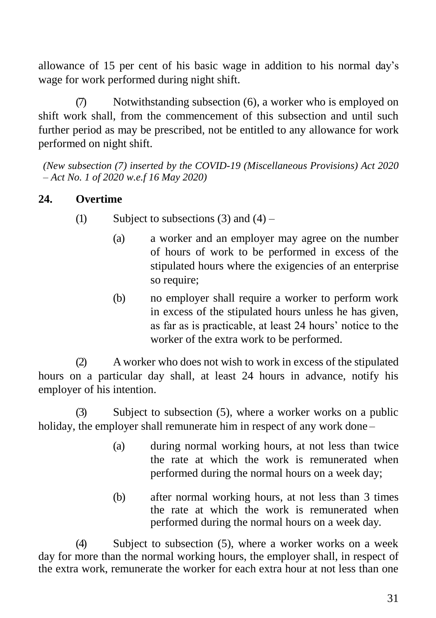allowance of 15 per cent of his basic wage in addition to his normal day's wage for work performed during night shift.

(7) Notwithstanding subsection (6), a worker who is employed on shift work shall, from the commencement of this subsection and until such further period as may be prescribed, not be entitled to any allowance for work performed on night shift.

*(New subsection (7) inserted by the COVID-19 (Miscellaneous Provisions) Act 2020 – Act No. 1 of 2020 w.e.f 16 May 2020)*

# **24. Overtime**

- (1) Subject to subsections (3) and  $(4)$ 
	- (a) a worker and an employer may agree on the number of hours of work to be performed in excess of the stipulated hours where the exigencies of an enterprise so require;
	- (b) no employer shall require a worker to perform work in excess of the stipulated hours unless he has given, as far as is practicable, at least 24 hours' notice to the worker of the extra work to be performed.

(2) A worker who does not wish to work in excess of the stipulated hours on a particular day shall, at least 24 hours in advance, notify his employer of his intention.

(3) Subject to subsection (5), where a worker works on a public holiday, the employer shall remunerate him in respect of any work done –

- (a) during normal working hours, at not less than twice the rate at which the work is remunerated when performed during the normal hours on a week day;
- (b) after normal working hours, at not less than 3 times the rate at which the work is remunerated when performed during the normal hours on a week day.

(4) Subject to subsection (5), where a worker works on a week day for more than the normal working hours, the employer shall, in respect of the extra work, remunerate the worker for each extra hour at not less than one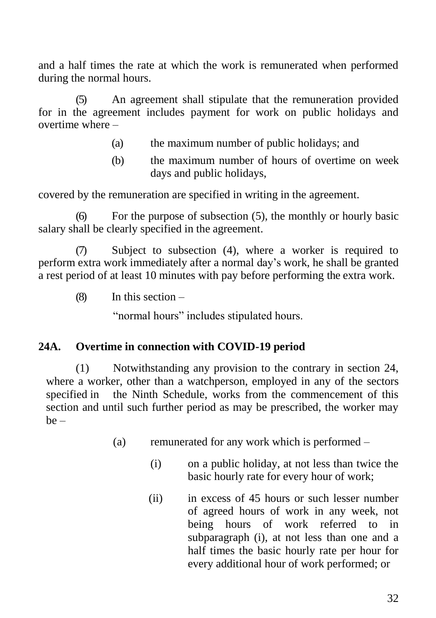and a half times the rate at which the work is remunerated when performed during the normal hours.

(5) An agreement shall stipulate that the remuneration provided for in the agreement includes payment for work on public holidays and overtime where –

- (a) the maximum number of public holidays; and
- (b) the maximum number of hours of overtime on week days and public holidays,

covered by the remuneration are specified in writing in the agreement.

(6) For the purpose of subsection (5), the monthly or hourly basic salary shall be clearly specified in the agreement.

(7) Subject to subsection (4), where a worker is required to perform extra work immediately after a normal day's work, he shall be granted a rest period of at least 10 minutes with pay before performing the extra work.

 $(8)$  In this section –

"normal hours" includes stipulated hours.

#### **24A. Overtime in connection with COVID-19 period**

(1) Notwithstanding any provision to the contrary in section 24, where a worker, other than a watchperson, employed in any of the sectors specified in the Ninth Schedule, works from the commencement of this section and until such further period as may be prescribed, the worker may  $be -$ 

- (a) remunerated for any work which is performed
	- (i) on a public holiday, at not less than twice the basic hourly rate for every hour of work;
	- (ii) in excess of 45 hours or such lesser number of agreed hours of work in any week, not being hours of work referred to in subparagraph (i), at not less than one and a half times the basic hourly rate per hour for every additional hour of work performed; or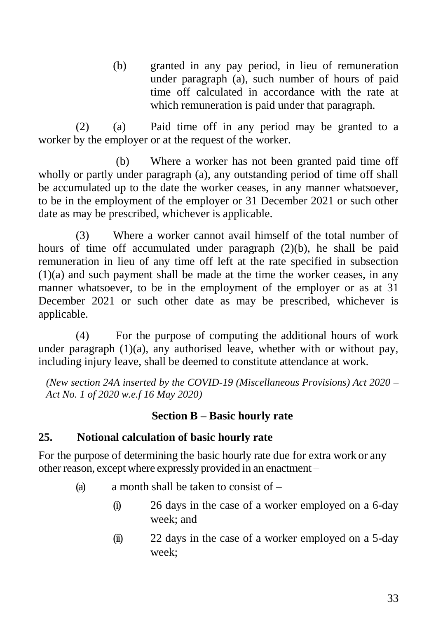(b) granted in any pay period, in lieu of remuneration under paragraph (a), such number of hours of paid time off calculated in accordance with the rate at which remuneration is paid under that paragraph.

(2) (a) Paid time off in any period may be granted to a worker by the employer or at the request of the worker.

(b) Where a worker has not been granted paid time off wholly or partly under paragraph (a), any outstanding period of time off shall be accumulated up to the date the worker ceases, in any manner whatsoever, to be in the employment of the employer or 31 December 2021 or such other date as may be prescribed, whichever is applicable.

(3) Where a worker cannot avail himself of the total number of hours of time off accumulated under paragraph (2)(b), he shall be paid remuneration in lieu of any time off left at the rate specified in subsection (1)(a) and such payment shall be made at the time the worker ceases, in any manner whatsoever, to be in the employment of the employer or as at 31 December 2021 or such other date as may be prescribed, whichever is applicable.

(4) For the purpose of computing the additional hours of work under paragraph  $(1)(a)$ , any authorised leave, whether with or without pay, including injury leave, shall be deemed to constitute attendance at work.

*(New section 24A inserted by the COVID-19 (Miscellaneous Provisions) Act 2020 – Act No. 1 of 2020 w.e.f 16 May 2020)*

# **Section B – Basic hourly rate**

## **25. Notional calculation of basic hourly rate**

For the purpose of determining the basic hourly rate due for extra work or any other reason, except where expressly provided in an enactment –

- (a) a month shall be taken to consist of  $-$ 
	- (i) 26 days in the case of a worker employed on a 6-day week; and
	- (ii) 22 days in the case of a worker employed on a 5-day week;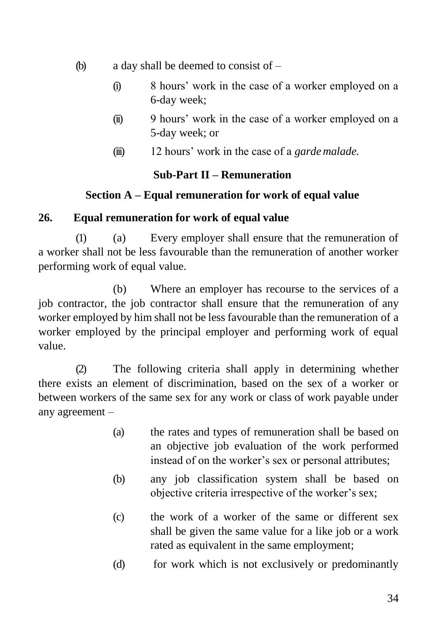- (b) a day shall be deemed to consist of
	- (i) 8 hours' work in the case of a worker employed on a 6-day week;
	- (ii) 9 hours' work in the case of a worker employed on a 5-day week; or
	- (iii) 12 hours' work in the case of a *garde malade*.

# **Sub-Part II – Remuneration**

# **Section A – Equal remuneration for work of equal value**

# **26. Equal remuneration for work of equal value**

(1) (a) Every employer shall ensure that the remuneration of a worker shall not be less favourable than the remuneration of another worker performing work of equal value.

(b) Where an employer has recourse to the services of a job contractor, the job contractor shall ensure that the remuneration of any worker employed by him shall not be less favourable than the remuneration of a worker employed by the principal employer and performing work of equal value.

(2) The following criteria shall apply in determining whether there exists an element of discrimination, based on the sex of a worker or between workers of the same sex for any work or class of work payable under any agreement –

- (a) the rates and types of remuneration shall be based on an objective job evaluation of the work performed instead of on the worker's sex or personal attributes;
- (b) any job classification system shall be based on objective criteria irrespective of the worker's sex;
- (c) the work of a worker of the same or different sex shall be given the same value for a like job or a work rated as equivalent in the same employment;
- (d) for work which is not exclusively or predominantly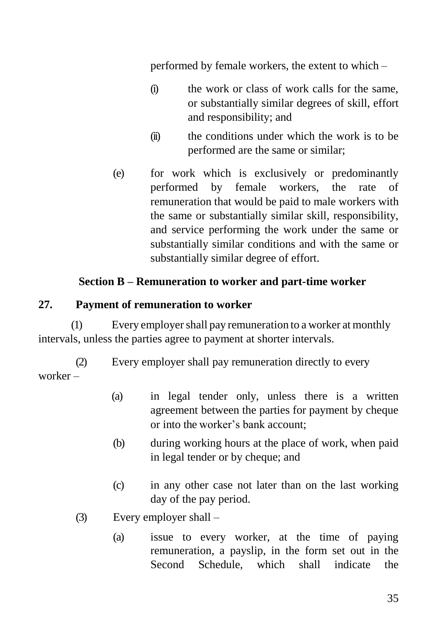performed by female workers, the extent to which –

- (i) the work or class of work calls for the same, or substantially similar degrees of skill, effort and responsibility; and
- (ii) the conditions under which the work is to be performed are the same or similar;
- (e) for work which is exclusively or predominantly performed by female workers, the rate of remuneration that would be paid to male workers with the same or substantially similar skill, responsibility, and service performing the work under the same or substantially similar conditions and with the same or substantially similar degree of effort.

# **Section B – Remuneration to worker and part-time worker**

## **27. Payment of remuneration to worker**

(1) Every employershall pay remuneration to a worker at monthly intervals, unless the parties agree to payment at shorter intervals.

(2) Every employer shall pay remuneration directly to every worker –

- (a) in legal tender only, unless there is a written agreement between the parties for payment by cheque or into the worker's bank account;
- (b) during working hours at the place of work, when paid in legal tender or by cheque; and
- (c) in any other case not later than on the last working day of the pay period.
- (3) Every employer shall
	- (a) issue to every worker, at the time of paying remuneration, a payslip, in the form set out in the Second Schedule, which shall indicate the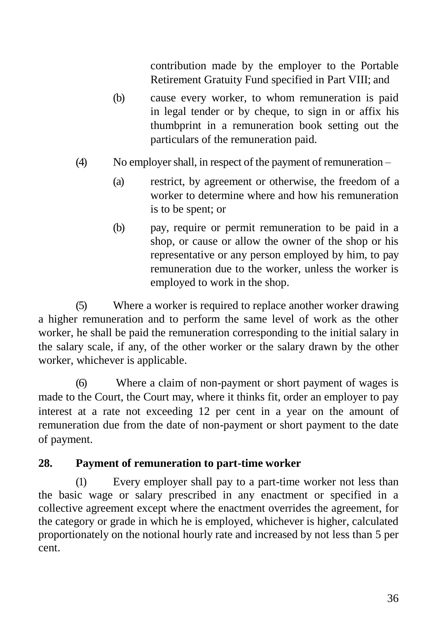contribution made by the employer to the Portable Retirement Gratuity Fund specified in Part VIII; and

- (b) cause every worker, to whom remuneration is paid in legal tender or by cheque, to sign in or affix his thumbprint in a remuneration book setting out the particulars of the remuneration paid.
- (4) No employershall, in respect of the payment of remuneration
	- (a) restrict, by agreement or otherwise, the freedom of a worker to determine where and how his remuneration is to be spent; or
	- (b) pay, require or permit remuneration to be paid in a shop, or cause or allow the owner of the shop or his representative or any person employed by him, to pay remuneration due to the worker, unless the worker is employed to work in the shop.

(5) Where a worker is required to replace another worker drawing a higher remuneration and to perform the same level of work as the other worker, he shall be paid the remuneration corresponding to the initial salary in the salary scale, if any, of the other worker or the salary drawn by the other worker, whichever is applicable.

(6) Where a claim of non-payment or short payment of wages is made to the Court, the Court may, where it thinks fit, order an employer to pay interest at a rate not exceeding 12 per cent in a year on the amount of remuneration due from the date of non-payment or short payment to the date of payment.

#### **28. Payment of remuneration to part-time worker**

(1) Every employer shall pay to a part-time worker not less than the basic wage or salary prescribed in any enactment or specified in a collective agreement except where the enactment overrides the agreement, for the category or grade in which he is employed, whichever is higher, calculated proportionately on the notional hourly rate and increased by not less than 5 per cent.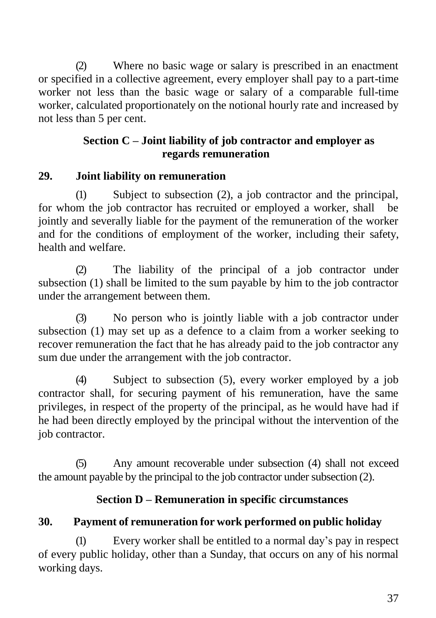(2) Where no basic wage or salary is prescribed in an enactment or specified in a collective agreement, every employer shall pay to a part-time worker not less than the basic wage or salary of a comparable full-time worker, calculated proportionately on the notional hourly rate and increased by not less than 5 per cent.

## **Section C – Joint liability of job contractor and employer as regards remuneration**

## **29. Joint liability on remuneration**

(1) Subject to subsection (2), a job contractor and the principal, for whom the job contractor has recruited or employed a worker, shall be jointly and severally liable for the payment of the remuneration of the worker and for the conditions of employment of the worker, including their safety, health and welfare.

(2) The liability of the principal of a job contractor under subsection (1) shall be limited to the sum payable by him to the job contractor under the arrangement between them.

(3) No person who is jointly liable with a job contractor under subsection (1) may set up as a defence to a claim from a worker seeking to recover remuneration the fact that he has already paid to the job contractor any sum due under the arrangement with the job contractor.

(4) Subject to subsection (5), every worker employed by a job contractor shall, for securing payment of his remuneration, have the same privileges, in respect of the property of the principal, as he would have had if he had been directly employed by the principal without the intervention of the job contractor.

(5) Any amount recoverable under subsection (4) shall not exceed the amount payable by the principal to the job contractor under subsection  $(2)$ .

## **Section D – Remuneration in specific circumstances**

## **30. Payment of remuneration for work performed on public holiday**

(1) Every worker shall be entitled to a normal day's pay in respect of every public holiday, other than a Sunday, that occurs on any of his normal working days.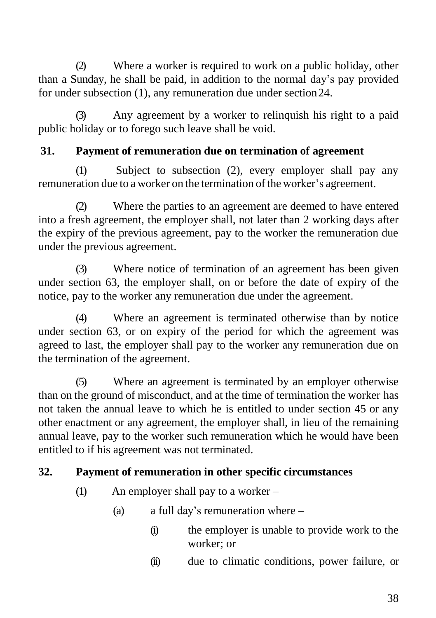(2) Where a worker is required to work on a public holiday, other than a Sunday, he shall be paid, in addition to the normal day's pay provided for under subsection (1), any remuneration due under section24.

(3) Any agreement by a worker to relinquish his right to a paid public holiday or to forego such leave shall be void.

## **31. Payment of remuneration due on termination of agreement**

(1) Subject to subsection (2), every employer shall pay any remuneration due to a worker on the termination of the worker's agreement.

(2) Where the parties to an agreement are deemed to have entered into a fresh agreement, the employer shall, not later than 2 working days after the expiry of the previous agreement, pay to the worker the remuneration due under the previous agreement.

(3) Where notice of termination of an agreement has been given under section 63, the employer shall, on or before the date of expiry of the notice, pay to the worker any remuneration due under the agreement.

(4) Where an agreement is terminated otherwise than by notice under section 63, or on expiry of the period for which the agreement was agreed to last, the employer shall pay to the worker any remuneration due on the termination of the agreement.

(5) Where an agreement is terminated by an employer otherwise than on the ground of misconduct, and at the time of termination the worker has not taken the annual leave to which he is entitled to under section 45 or any other enactment or any agreement, the employer shall, in lieu of the remaining annual leave, pay to the worker such remuneration which he would have been entitled to if his agreement was not terminated.

# **32. Payment of remuneration in other specific circumstances**

- (1) An employer shall pay to a worker
	- (a) a full day's remuneration where
		- (i) the employer is unable to provide work to the worker; or
		- (ii) due to climatic conditions, power failure, or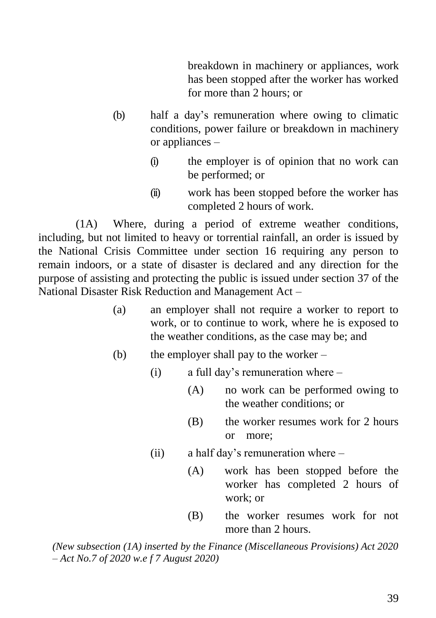breakdown in machinery or appliances, work has been stopped after the worker has worked for more than 2 hours; or

- (b) half a day's remuneration where owing to climatic conditions, power failure or breakdown in machinery or appliances –
	- (i) the employer is of opinion that no work can be performed; or
	- (ii) work has been stopped before the worker has completed 2 hours of work.

(1A) Where, during a period of extreme weather conditions, including, but not limited to heavy or torrential rainfall, an order is issued by the National Crisis Committee under section 16 requiring any person to remain indoors, or a state of disaster is declared and any direction for the purpose of assisting and protecting the public is issued under section 37 of the National Disaster Risk Reduction and Management Act –

- (a) an employer shall not require a worker to report to work, or to continue to work, where he is exposed to the weather conditions, as the case may be; and
- (b) the employer shall pay to the worker
	- (i) a full day's remuneration where
		- (A) no work can be performed owing to the weather conditions; or
		- (B) the worker resumes work for 2 hours or more;
	- (ii) a half day's remuneration where
		- (A) work has been stopped before the worker has completed 2 hours of work; or
		- (B) the worker resumes work for not more than 2 hours.

*(New subsection (1A) inserted by the Finance (Miscellaneous Provisions) Act 2020 – Act No.7 of 2020 w.e f 7 August 2020)*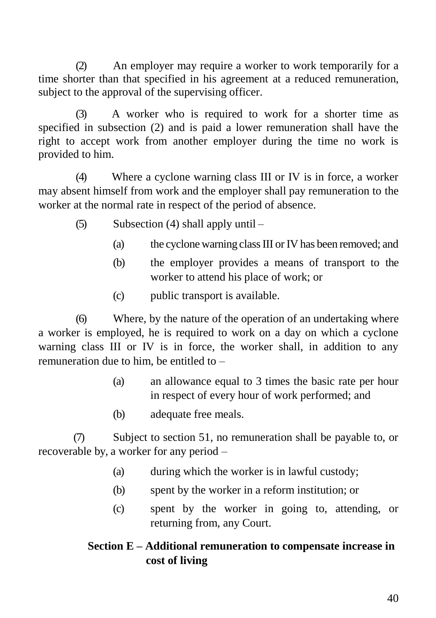(2) An employer may require a worker to work temporarily for a time shorter than that specified in his agreement at a reduced remuneration, subject to the approval of the supervising officer.

(3) A worker who is required to work for a shorter time as specified in subsection (2) and is paid a lower remuneration shall have the right to accept work from another employer during the time no work is provided to him.

(4) Where a cyclone warning class III or IV is in force, a worker may absent himself from work and the employer shall pay remuneration to the worker at the normal rate in respect of the period of absence.

- (5) Subsection (4) shall apply until
	- (a) the cyclone warning class III or IV has been removed; and
	- (b) the employer provides a means of transport to the worker to attend his place of work; or
	- (c) public transport is available.

(6) Where, by the nature of the operation of an undertaking where a worker is employed, he is required to work on a day on which a cyclone warning class III or IV is in force, the worker shall, in addition to any remuneration due to him, be entitled to –

- (a) an allowance equal to 3 times the basic rate per hour in respect of every hour of work performed; and
- (b) adequate free meals.

(7) Subject to section 51, no remuneration shall be payable to, or recoverable by, a worker for any period –

- (a) during which the worker is in lawful custody;
- (b) spent by the worker in a reform institution; or
- (c) spent by the worker in going to, attending, or returning from, any Court.

# **Section E – Additional remuneration to compensate increase in cost of living**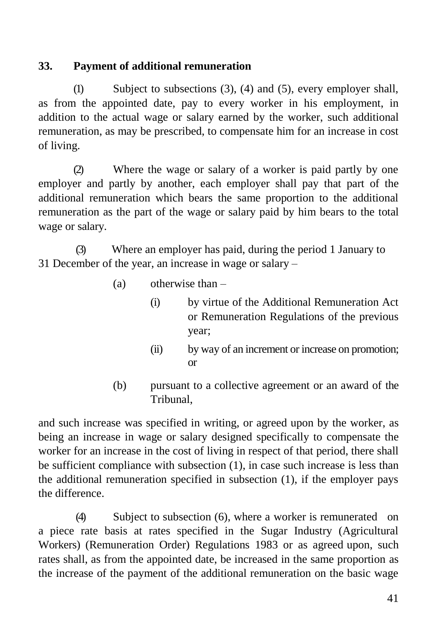## **33. Payment of additional remuneration**

(1) Subject to subsections (3), (4) and (5), every employer shall, as from the appointed date, pay to every worker in his employment, in addition to the actual wage or salary earned by the worker, such additional remuneration, as may be prescribed, to compensate him for an increase in cost of living.

(2) Where the wage or salary of a worker is paid partly by one employer and partly by another, each employer shall pay that part of the additional remuneration which bears the same proportion to the additional remuneration as the part of the wage or salary paid by him bears to the total wage or salary.

(3) Where an employer has paid, during the period 1 January to 31 December of the year, an increase in wage or salary –

- (a) otherwise than
	- (i) by virtue of the Additional Remuneration Act or Remuneration Regulations of the previous year;
	- (ii) by way of an increment or increase on promotion; or
- (b) pursuant to a collective agreement or an award of the Tribunal,

and such increase was specified in writing, or agreed upon by the worker, as being an increase in wage or salary designed specifically to compensate the worker for an increase in the cost of living in respect of that period, there shall be sufficient compliance with subsection (1), in case such increase is less than the additional remuneration specified in subsection (1), if the employer pays the difference.

(4) Subject to subsection (6), where a worker is remunerated on a piece rate basis at rates specified in the Sugar Industry (Agricultural Workers) (Remuneration Order) Regulations 1983 or as agreed upon, such rates shall, as from the appointed date, be increased in the same proportion as the increase of the payment of the additional remuneration on the basic wage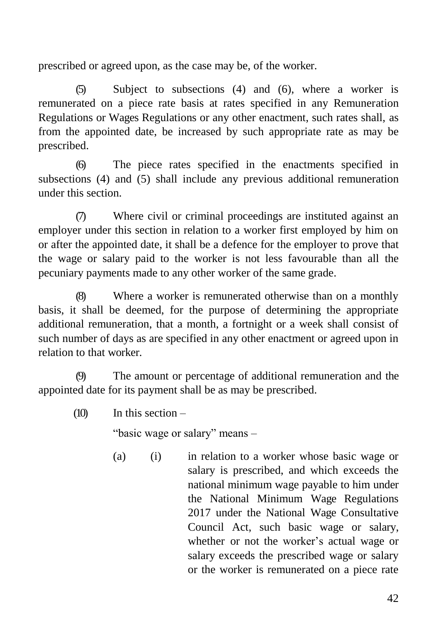prescribed or agreed upon, as the case may be, of the worker.

(5) Subject to subsections (4) and (6), where a worker is remunerated on a piece rate basis at rates specified in any Remuneration Regulations or Wages Regulations or any other enactment, such rates shall, as from the appointed date, be increased by such appropriate rate as may be prescribed.

(6) The piece rates specified in the enactments specified in subsections (4) and (5) shall include any previous additional remuneration under this section.

(7) Where civil or criminal proceedings are instituted against an employer under this section in relation to a worker first employed by him on or after the appointed date, it shall be a defence for the employer to prove that the wage or salary paid to the worker is not less favourable than all the pecuniary payments made to any other worker of the same grade.

(8) Where a worker is remunerated otherwise than on a monthly basis, it shall be deemed, for the purpose of determining the appropriate additional remuneration, that a month, a fortnight or a week shall consist of such number of days as are specified in any other enactment or agreed upon in relation to that worker.

(9) The amount or percentage of additional remuneration and the appointed date for its payment shall be as may be prescribed.

 $(10)$  In this section –

"basic wage or salary" means –

(a) (i) in relation to a worker whose basic wage or salary is prescribed, and which exceeds the national minimum wage payable to him under the National Minimum Wage Regulations 2017 under the National Wage Consultative Council Act, such basic wage or salary, whether or not the worker's actual wage or salary exceeds the prescribed wage or salary or the worker is remunerated on a piece rate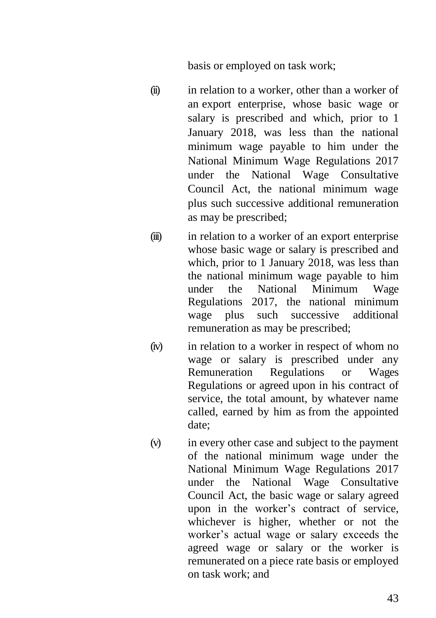basis or employed on task work;

- (ii) in relation to a worker, other than a worker of an export enterprise, whose basic wage or salary is prescribed and which, prior to 1 January 2018, was less than the national minimum wage payable to him under the National Minimum Wage Regulations 2017 under the National Wage Consultative Council Act, the national minimum wage plus such successive additional remuneration as may be prescribed;
- (iii) in relation to a worker of an export enterprise whose basic wage or salary is prescribed and which, prior to 1 January 2018, was less than the national minimum wage payable to him under the National Minimum Wage Regulations 2017, the national minimum wage plus such successive additional remuneration as may be prescribed;
- (iv) in relation to a worker in respect of whom no wage or salary is prescribed under any Remuneration Regulations or Wages Regulations or agreed upon in his contract of service, the total amount, by whatever name called, earned by him as from the appointed date;
- (v) in every other case and subject to the payment of the national minimum wage under the National Minimum Wage Regulations 2017 under the National Wage Consultative Council Act, the basic wage or salary agreed upon in the worker's contract of service, whichever is higher, whether or not the worker's actual wage or salary exceeds the agreed wage or salary or the worker is remunerated on a piece rate basis or employed on task work; and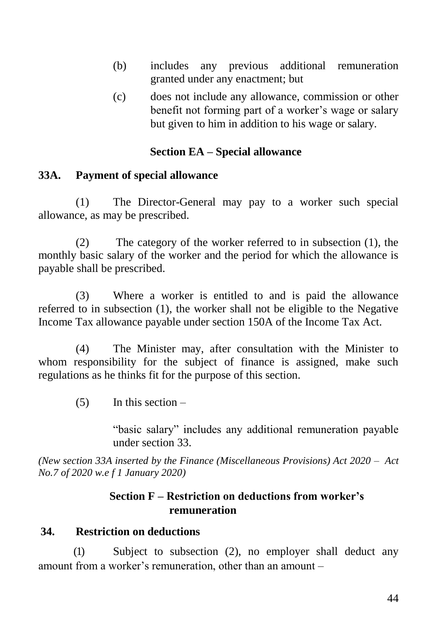- (b) includes any previous additional remuneration granted under any enactment; but
- (c) does not include any allowance, commission or other benefit not forming part of a worker's wage or salary but given to him in addition to his wage or salary.

### **Section EA – Special allowance**

#### **33A. Payment of special allowance**

(1) The Director-General may pay to a worker such special allowance, as may be prescribed.

(2) The category of the worker referred to in subsection (1), the monthly basic salary of the worker and the period for which the allowance is payable shall be prescribed.

(3) Where a worker is entitled to and is paid the allowance referred to in subsection (1), the worker shall not be eligible to the Negative Income Tax allowance payable under section 150A of the Income Tax Act.

(4) The Minister may, after consultation with the Minister to whom responsibility for the subject of finance is assigned, make such regulations as he thinks fit for the purpose of this section.

 $(5)$  In this section –

"basic salary" includes any additional remuneration payable under section 33.

*(New section 33A inserted by the Finance (Miscellaneous Provisions) Act 2020 – Act No.7 of 2020 w.e f 1 January 2020)*

### **Section F – Restriction on deductions from worker's remuneration**

#### **34. Restriction on deductions**

(1) Subject to subsection (2), no employer shall deduct any amount from a worker's remuneration, other than an amount –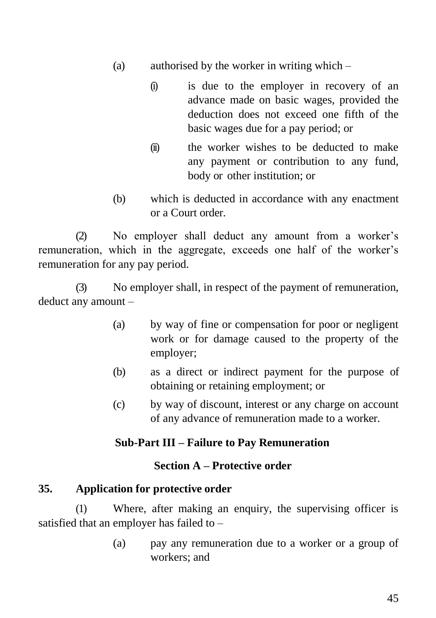- (a) authorised by the worker in writing which
	- (i) is due to the employer in recovery of an advance made on basic wages, provided the deduction does not exceed one fifth of the basic wages due for a pay period; or
	- (ii) the worker wishes to be deducted to make any payment or contribution to any fund, body or other institution; or
- (b) which is deducted in accordance with any enactment or a Court order.

(2) No employer shall deduct any amount from a worker's remuneration, which in the aggregate, exceeds one half of the worker's remuneration for any pay period.

(3) No employer shall, in respect of the payment of remuneration, deduct any amount –

- (a) by way of fine or compensation for poor or negligent work or for damage caused to the property of the employer;
- (b) as a direct or indirect payment for the purpose of obtaining or retaining employment; or
- (c) by way of discount, interest or any charge on account of any advance of remuneration made to a worker.

#### **Sub-Part III – Failure to Pay Remuneration**

#### **Section A – Protective order**

#### **35. Application for protective order**

(1) Where, after making an enquiry, the supervising officer is satisfied that an employer has failed to –

> (a) pay any remuneration due to a worker or a group of workers; and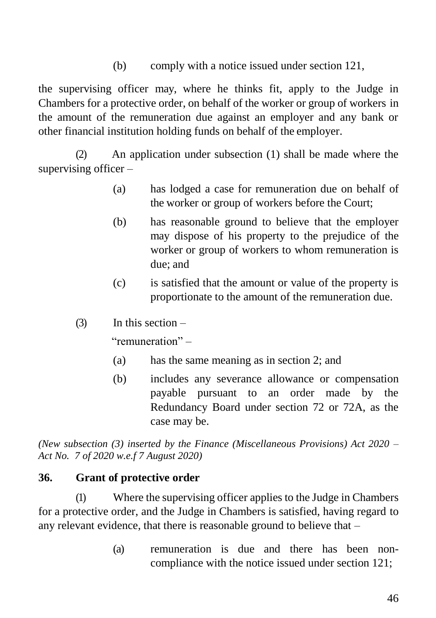(b) comply with a notice issued under section 121,

the supervising officer may, where he thinks fit, apply to the Judge in Chambers for a protective order, on behalf of the worker or group of workers in the amount of the remuneration due against an employer and any bank or other financial institution holding funds on behalf of the employer.

(2) An application under subsection (1) shall be made where the supervising officer –

- (a) has lodged a case for remuneration due on behalf of the worker or group of workers before the Court;
- (b) has reasonable ground to believe that the employer may dispose of his property to the prejudice of the worker or group of workers to whom remuneration is due; and
- (c) is satisfied that the amount or value of the property is proportionate to the amount of the remuneration due.
- $(3)$  In this section –

"remuneration" –

- (a) has the same meaning as in section 2; and
- (b) includes any severance allowance or compensation payable pursuant to an order made by the Redundancy Board under section 72 or 72A, as the case may be.

*(New subsection (3) inserted by the Finance (Miscellaneous Provisions) Act 2020 – Act No. 7 of 2020 w.e.f 7 August 2020)*

#### **36. Grant of protective order**

(1) Where the supervising officer applies to the Judge in Chambers for a protective order, and the Judge in Chambers is satisfied, having regard to any relevant evidence, that there is reasonable ground to believe that –

> (a) remuneration is due and there has been noncompliance with the notice issued under section 121;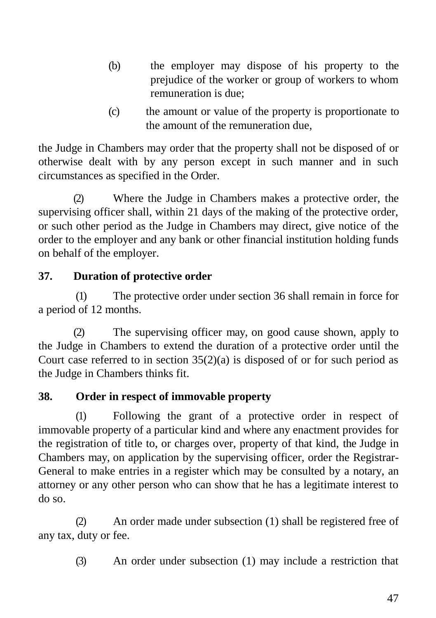- (b) the employer may dispose of his property to the prejudice of the worker or group of workers to whom remuneration is due;
- (c) the amount or value of the property is proportionate to the amount of the remuneration due,

the Judge in Chambers may order that the property shall not be disposed of or otherwise dealt with by any person except in such manner and in such circumstances as specified in the Order.

(2) Where the Judge in Chambers makes a protective order, the supervising officer shall, within 21 days of the making of the protective order, or such other period as the Judge in Chambers may direct, give notice of the order to the employer and any bank or other financial institution holding funds on behalf of the employer.

# **37. Duration of protective order**

(1) The protective order under section 36 shall remain in force for a period of 12 months.

(2) The supervising officer may, on good cause shown, apply to the Judge in Chambers to extend the duration of a protective order until the Court case referred to in section  $35(2)(a)$  is disposed of or for such period as the Judge in Chambers thinks fit.

# **38. Order in respect of immovable property**

(1) Following the grant of a protective order in respect of immovable property of a particular kind and where any enactment provides for the registration of title to, or charges over, property of that kind, the Judge in Chambers may, on application by the supervising officer, order the Registrar-General to make entries in a register which may be consulted by a notary, an attorney or any other person who can show that he has a legitimate interest to do so.

(2) An order made under subsection (1) shall be registered free of any tax, duty or fee.

(3) An order under subsection (1) may include a restriction that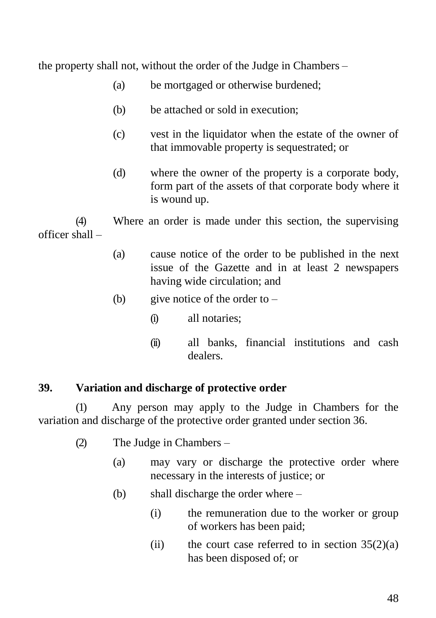the property shall not, without the order of the Judge in Chambers –

- (a) be mortgaged or otherwise burdened;
- (b) be attached or sold in execution;
- (c) vest in the liquidator when the estate of the owner of that immovable property is sequestrated; or
- (d) where the owner of the property is a corporate body, form part of the assets of that corporate body where it is wound up.

(4) Where an order is made under this section, the supervising officer shall –

- (a) cause notice of the order to be published in the next issue of the Gazette and in at least 2 newspapers having wide circulation; and
- (b) give notice of the order to  $-$ 
	- (i) all notaries;
	- (ii) all banks, financial institutions and cash dealers.

#### **39. Variation and discharge of protective order**

(1) Any person may apply to the Judge in Chambers for the variation and discharge of the protective order granted under section 36.

- (2) The Judge in Chambers
	- (a) may vary or discharge the protective order where necessary in the interests of justice; or
	- (b) shall discharge the order where
		- (i) the remuneration due to the worker or group of workers has been paid;
		- (ii) the court case referred to in section  $35(2)(a)$ has been disposed of; or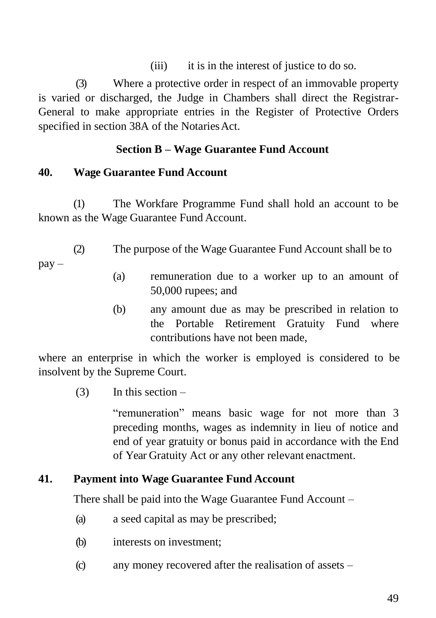(iii) it is in the interest of justice to do so.

(3) Where a protective order in respect of an immovable property is varied or discharged, the Judge in Chambers shall direct the Registrar-General to make appropriate entries in the Register of Protective Orders specified in section 38A of the Notaries Act.

# **Section B – Wage Guarantee Fund Account**

## **40. Wage Guarantee Fund Account**

(1) The Workfare Programme Fund shall hold an account to be known as the Wage Guarantee Fund Account.

(2) The purpose of the Wage Guarantee Fund Account shall be to pay –

- (a) remuneration due to a worker up to an amount of 50,000 rupees; and
- (b) any amount due as may be prescribed in relation to the Portable Retirement Gratuity Fund where contributions have not been made,

where an enterprise in which the worker is employed is considered to be insolvent by the Supreme Court.

 $(3)$  In this section –

"remuneration" means basic wage for not more than 3 preceding months, wages as indemnity in lieu of notice and end of year gratuity or bonus paid in accordance with the End of Year Gratuity Act or any other relevant enactment.

## **41. Payment into Wage Guarantee Fund Account**

There shall be paid into the Wage Guarantee Fund Account –

- (a) a seed capital as may be prescribed;
- (b) interests on investment;
- (c) any money recovered after the realisation of assets –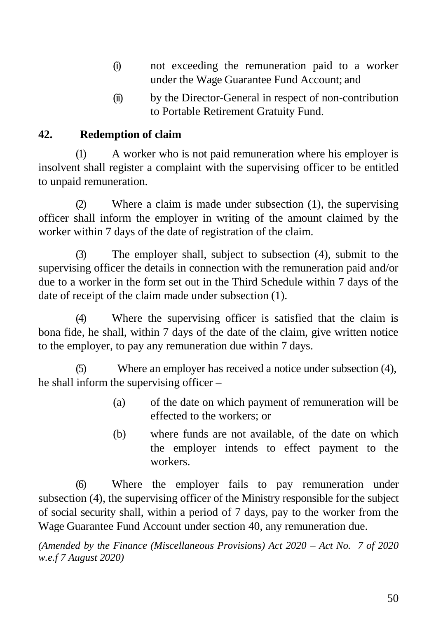- (i) not exceeding the remuneration paid to a worker under the Wage Guarantee Fund Account; and
- (ii) by the Director-General in respect of non-contribution to Portable Retirement Gratuity Fund.

# **42. Redemption of claim**

(1) A worker who is not paid remuneration where his employer is insolvent shall register a complaint with the supervising officer to be entitled to unpaid remuneration.

(2) Where a claim is made under subsection (1), the supervising officer shall inform the employer in writing of the amount claimed by the worker within 7 days of the date of registration of the claim.

(3) The employer shall, subject to subsection (4), submit to the supervising officer the details in connection with the remuneration paid and/or due to a worker in the form set out in the Third Schedule within 7 days of the date of receipt of the claim made under subsection (1).

(4) Where the supervising officer is satisfied that the claim is bona fide, he shall, within 7 days of the date of the claim, give written notice to the employer, to pay any remuneration due within 7 days.

(5) Where an employer has received a notice under subsection (4), he shall inform the supervising officer –

- (a) of the date on which payment of remuneration will be effected to the workers; or
- (b) where funds are not available, of the date on which the employer intends to effect payment to the workers.

(6) Where the employer fails to pay remuneration under subsection (4), the supervising officer of the Ministry responsible for the subject of social security shall, within a period of 7 days, pay to the worker from the Wage Guarantee Fund Account under section 40, any remuneration due.

*(Amended by the Finance (Miscellaneous Provisions) Act 2020 – Act No. 7 of 2020 w.e.f 7 August 2020)*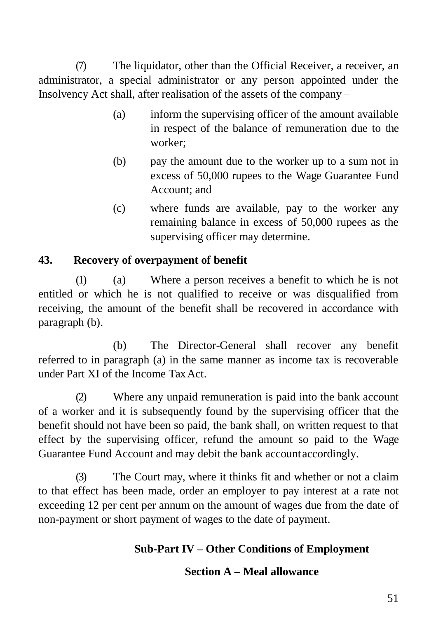(7) The liquidator, other than the Official Receiver, a receiver, an administrator, a special administrator or any person appointed under the Insolvency Act shall, after realisation of the assets of the company –

- (a) inform the supervising officer of the amount available in respect of the balance of remuneration due to the worker;
- (b) pay the amount due to the worker up to a sum not in excess of 50,000 rupees to the Wage Guarantee Fund Account; and
- (c) where funds are available, pay to the worker any remaining balance in excess of 50,000 rupees as the supervising officer may determine.

## **43. Recovery of overpayment of benefit**

(1) (a) Where a person receives a benefit to which he is not entitled or which he is not qualified to receive or was disqualified from receiving, the amount of the benefit shall be recovered in accordance with paragraph (b).

(b) The Director-General shall recover any benefit referred to in paragraph (a) in the same manner as income tax is recoverable under Part XI of the Income Tax Act.

(2) Where any unpaid remuneration is paid into the bank account of a worker and it is subsequently found by the supervising officer that the benefit should not have been so paid, the bank shall, on written request to that effect by the supervising officer, refund the amount so paid to the Wage Guarantee Fund Account and may debit the bank accountaccordingly.

(3) The Court may, where it thinks fit and whether or not a claim to that effect has been made, order an employer to pay interest at a rate not exceeding 12 per cent per annum on the amount of wages due from the date of non-payment or short payment of wages to the date of payment.

# **Sub-Part IV – Other Conditions of Employment**

## **Section A – Meal allowance**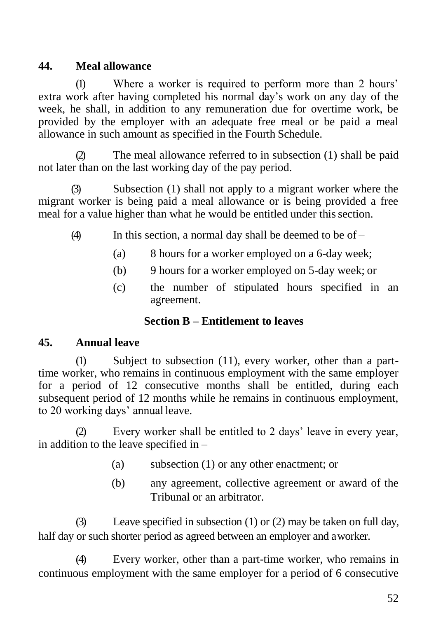# **44. Meal allowance**

(1) Where a worker is required to perform more than 2 hours' extra work after having completed his normal day's work on any day of the week, he shall, in addition to any remuneration due for overtime work, be provided by the employer with an adequate free meal or be paid a meal allowance in such amount as specified in the Fourth Schedule.

(2) The meal allowance referred to in subsection (1) shall be paid not later than on the last working day of the pay period.

(3) Subsection (1) shall not apply to a migrant worker where the migrant worker is being paid a meal allowance or is being provided a free meal for a value higher than what he would be entitled under this section.

- $(4)$  In this section, a normal day shall be deemed to be of
	- (a) 8 hours for a worker employed on a 6-day week;
	- (b) 9 hours for a worker employed on 5-day week; or
	- (c) the number of stipulated hours specified in an agreement.

### **Section B – Entitlement to leaves**

### **45. Annual leave**

(1) Subject to subsection (11), every worker, other than a parttime worker, who remains in continuous employment with the same employer for a period of 12 consecutive months shall be entitled, during each subsequent period of 12 months while he remains in continuous employment, to 20 working days' annual leave.

Every worker shall be entitled to 2 days' leave in every year, in addition to the leave specified in –

- (a) subsection (1) or any other enactment; or
- (b) any agreement, collective agreement or award of the Tribunal or an arbitrator.

(3) Leave specified in subsection (1) or (2) may be taken on full day, half day or such shorter period as agreed between an employer and aworker.

(4) Every worker, other than a part-time worker, who remains in continuous employment with the same employer for a period of 6 consecutive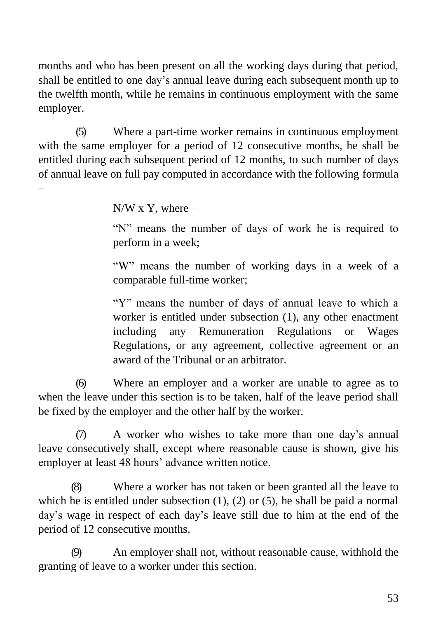months and who has been present on all the working days during that period, shall be entitled to one day's annual leave during each subsequent month up to the twelfth month, while he remains in continuous employment with the same employer.

(5) Where a part-time worker remains in continuous employment with the same employer for a period of 12 consecutive months, he shall be entitled during each subsequent period of 12 months, to such number of days of annual leave on full pay computed in accordance with the following formula

 $N/W$  x Y, where –

–

"N" means the number of days of work he is required to perform in a week;

"W" means the number of working days in a week of a comparable full-time worker;

"Y" means the number of days of annual leave to which a worker is entitled under subsection (1), any other enactment including any Remuneration Regulations or Wages Regulations, or any agreement, collective agreement or an award of the Tribunal or an arbitrator.

(6) Where an employer and a worker are unable to agree as to when the leave under this section is to be taken, half of the leave period shall be fixed by the employer and the other half by the worker.

(7) A worker who wishes to take more than one day's annual leave consecutively shall, except where reasonable cause is shown, give his employer at least 48 hours' advance written notice.

(8) Where a worker has not taken or been granted all the leave to which he is entitled under subsection  $(1)$ ,  $(2)$  or  $(5)$ , he shall be paid a normal day's wage in respect of each day's leave still due to him at the end of the period of 12 consecutive months.

(9) An employer shall not, without reasonable cause, withhold the granting of leave to a worker under this section.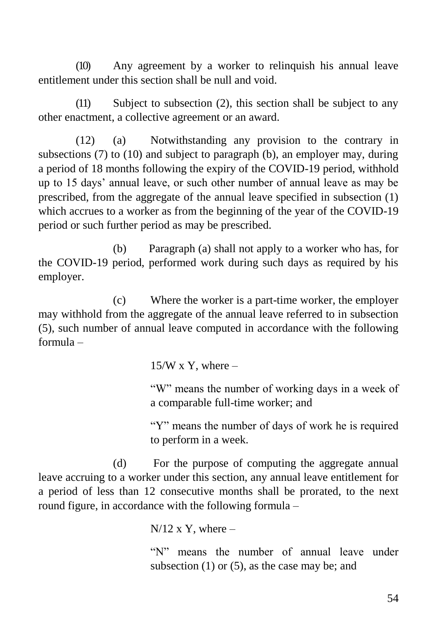(10) Any agreement by a worker to relinquish his annual leave entitlement under this section shall be null and void.

(11) Subject to subsection (2), this section shall be subject to any other enactment, a collective agreement or an award.

(12) (a) Notwithstanding any provision to the contrary in subsections (7) to (10) and subject to paragraph (b), an employer may, during a period of 18 months following the expiry of the COVID-19 period, withhold up to 15 days' annual leave, or such other number of annual leave as may be prescribed, from the aggregate of the annual leave specified in subsection (1) which accrues to a worker as from the beginning of the year of the COVID-19 period or such further period as may be prescribed.

(b) Paragraph (a) shall not apply to a worker who has, for the COVID-19 period, performed work during such days as required by his employer.

(c) Where the worker is a part-time worker, the employer may withhold from the aggregate of the annual leave referred to in subsection (5), such number of annual leave computed in accordance with the following formula –

 $15/W$  x Y, where  $-$ 

"W" means the number of working days in a week of a comparable full-time worker; and

"Y" means the number of days of work he is required to perform in a week.

(d) For the purpose of computing the aggregate annual leave accruing to a worker under this section, any annual leave entitlement for a period of less than 12 consecutive months shall be prorated, to the next round figure, in accordance with the following formula –

 $N/12$  x Y, where –

"N" means the number of annual leave under subsection  $(1)$  or  $(5)$ , as the case may be; and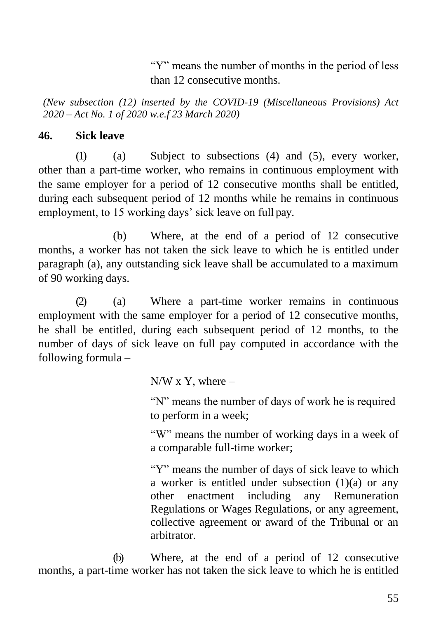"Y" means the number of months in the period of less than 12 consecutive months.

*(New subsection (12) inserted by the COVID-19 (Miscellaneous Provisions) Act 2020 – Act No. 1 of 2020 w.e.f 23 March 2020)*

#### **46. Sick leave**

(1) (a) Subject to subsections (4) and (5), every worker, other than a part-time worker, who remains in continuous employment with the same employer for a period of 12 consecutive months shall be entitled, during each subsequent period of 12 months while he remains in continuous employment, to 15 working days' sick leave on full pay.

(b) Where, at the end of a period of 12 consecutive months, a worker has not taken the sick leave to which he is entitled under paragraph (a), any outstanding sick leave shall be accumulated to a maximum of 90 working days.

(2) (a) Where a part-time worker remains in continuous employment with the same employer for a period of 12 consecutive months, he shall be entitled, during each subsequent period of 12 months, to the number of days of sick leave on full pay computed in accordance with the following formula –

 $N/W$  x Y, where –

"N" means the number of days of work he is required to perform in a week;

"W" means the number of working days in a week of a comparable full-time worker;

"Y" means the number of days of sick leave to which a worker is entitled under subsection  $(1)(a)$  or any other enactment including any Remuneration Regulations or Wages Regulations, or any agreement, collective agreement or award of the Tribunal or an arbitrator.

(b) Where, at the end of a period of 12 consecutive months, a part-time worker has not taken the sick leave to which he is entitled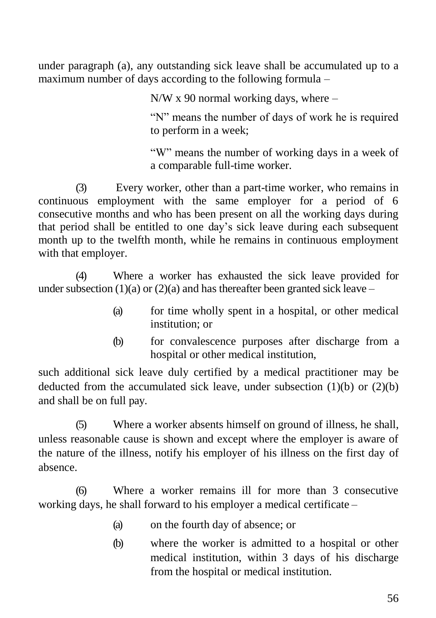under paragraph (a), any outstanding sick leave shall be accumulated up to a maximum number of days according to the following formula –

N/W x 90 normal working days, where –

"N" means the number of days of work he is required to perform in a week;

"W" means the number of working days in a week of a comparable full-time worker.

(3) Every worker, other than a part-time worker, who remains in continuous employment with the same employer for a period of 6 consecutive months and who has been present on all the working days during that period shall be entitled to one day's sick leave during each subsequent month up to the twelfth month, while he remains in continuous employment with that employer.

(4) Where a worker has exhausted the sick leave provided for under subsection  $(1)(a)$  or  $(2)(a)$  and has thereafter been granted sick leave –

- (a) for time wholly spent in a hospital, or other medical institution; or
- (b) for convalescence purposes after discharge from a hospital or other medical institution,

such additional sick leave duly certified by a medical practitioner may be deducted from the accumulated sick leave, under subsection  $(1)(b)$  or  $(2)(b)$ and shall be on full pay.

(5) Where a worker absents himself on ground of illness, he shall, unless reasonable cause is shown and except where the employer is aware of the nature of the illness, notify his employer of his illness on the first day of absence.

(6) Where a worker remains ill for more than 3 consecutive working days, he shall forward to his employer a medical certificate –

- (a) on the fourth day of absence; or
- (b) where the worker is admitted to a hospital or other medical institution, within 3 days of his discharge from the hospital or medical institution.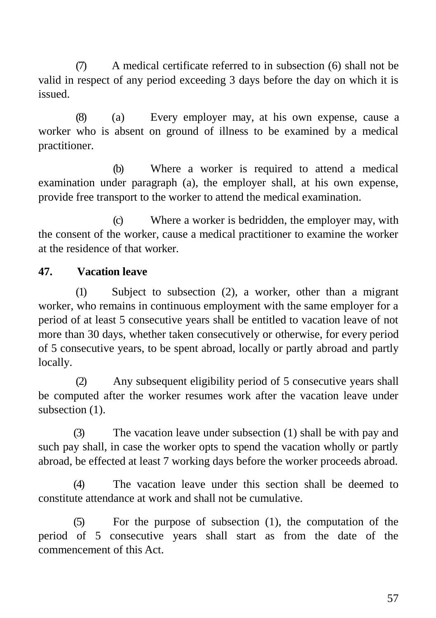(7) A medical certificate referred to in subsection (6) shall not be valid in respect of any period exceeding 3 days before the day on which it is issued.

(8) (a) Every employer may, at his own expense, cause a worker who is absent on ground of illness to be examined by a medical practitioner.

(b) Where a worker is required to attend a medical examination under paragraph (a), the employer shall, at his own expense, provide free transport to the worker to attend the medical examination.

(c) Where a worker is bedridden, the employer may, with the consent of the worker, cause a medical practitioner to examine the worker at the residence of that worker.

### **47. Vacation leave**

(1) Subject to subsection (2), a worker, other than a migrant worker, who remains in continuous employment with the same employer for a period of at least 5 consecutive years shall be entitled to vacation leave of not more than 30 days, whether taken consecutively or otherwise, for every period of 5 consecutive years, to be spent abroad, locally or partly abroad and partly locally.

(2) Any subsequent eligibility period of 5 consecutive years shall be computed after the worker resumes work after the vacation leave under subsection  $(1)$ .

(3) The vacation leave under subsection (1) shall be with pay and such pay shall, in case the worker opts to spend the vacation wholly or partly abroad, be effected at least 7 working days before the worker proceeds abroad.

(4) The vacation leave under this section shall be deemed to constitute attendance at work and shall not be cumulative.

(5) For the purpose of subsection (1), the computation of the period of 5 consecutive years shall start as from the date of the commencement of this Act.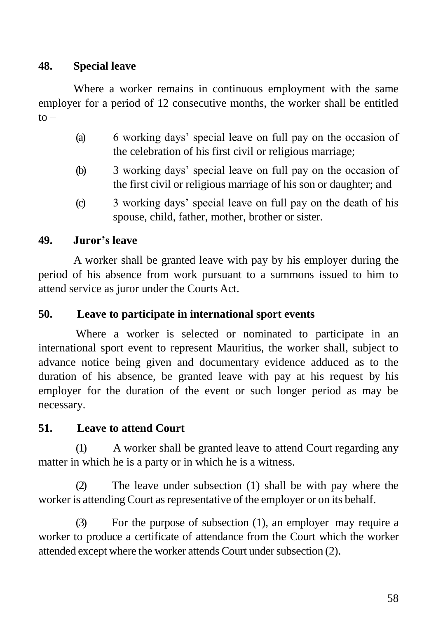# **48. Special leave**

Where a worker remains in continuous employment with the same employer for a period of 12 consecutive months, the worker shall be entitled  $to -$ 

- (a) 6 working days' special leave on full pay on the occasion of the celebration of his first civil or religious marriage;
- (b) 3 working days' special leave on full pay on the occasion of the first civil or religious marriage of his son or daughter; and
- (c) 3 working days' special leave on full pay on the death of his spouse, child, father, mother, brother or sister.

# **49. Juror's leave**

A worker shall be granted leave with pay by his employer during the period of his absence from work pursuant to a summons issued to him to attend service as juror under the Courts Act.

### **50. Leave to participate in international sport events**

Where a worker is selected or nominated to participate in an international sport event to represent Mauritius, the worker shall, subject to advance notice being given and documentary evidence adduced as to the duration of his absence, be granted leave with pay at his request by his employer for the duration of the event or such longer period as may be necessary.

## **51. Leave to attend Court**

(1) A worker shall be granted leave to attend Court regarding any matter in which he is a party or in which he is a witness.

(2) The leave under subsection (1) shall be with pay where the worker is attending Court as representative of the employer or on its behalf.

(3) For the purpose of subsection (1), an employer may require a worker to produce a certificate of attendance from the Court which the worker attended except where the worker attends Court under subsection (2).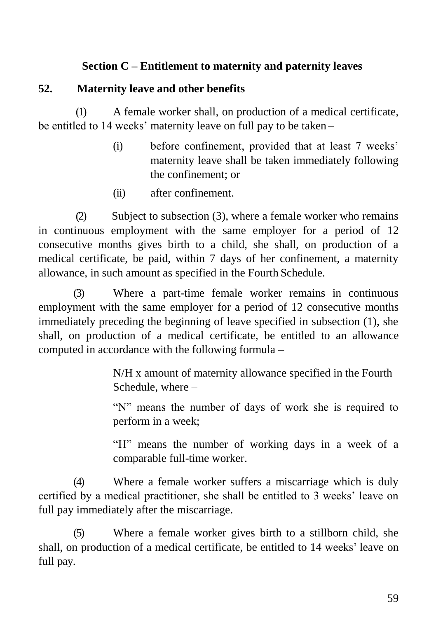## **Section C – Entitlement to maternity and paternity leaves**

### **52. Maternity leave and other benefits**

(1) A female worker shall, on production of a medical certificate, be entitled to 14 weeks' maternity leave on full pay to be taken –

- (i) before confinement, provided that at least 7 weeks' maternity leave shall be taken immediately following the confinement; or
- (ii) after confinement.

(2) Subject to subsection (3), where a female worker who remains in continuous employment with the same employer for a period of 12 consecutive months gives birth to a child, she shall, on production of a medical certificate, be paid, within 7 days of her confinement, a maternity allowance, in such amount as specified in the Fourth Schedule.

(3) Where a part-time female worker remains in continuous employment with the same employer for a period of 12 consecutive months immediately preceding the beginning of leave specified in subsection (1), she shall, on production of a medical certificate, be entitled to an allowance computed in accordance with the following formula –

> N/H x amount of maternity allowance specified in the Fourth Schedule, where –

"N" means the number of days of work she is required to perform in a week;

"H" means the number of working days in a week of a comparable full-time worker.

(4) Where a female worker suffers a miscarriage which is duly certified by a medical practitioner, she shall be entitled to 3 weeks' leave on full pay immediately after the miscarriage.

(5) Where a female worker gives birth to a stillborn child, she shall, on production of a medical certificate, be entitled to 14 weeks' leave on full pay.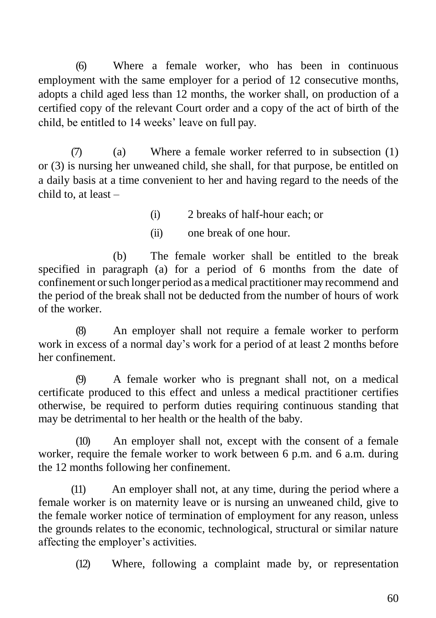(6) Where a female worker, who has been in continuous employment with the same employer for a period of 12 consecutive months, adopts a child aged less than 12 months, the worker shall, on production of a certified copy of the relevant Court order and a copy of the act of birth of the child, be entitled to 14 weeks' leave on full pay.

 $(7)$  (a) Where a female worker referred to in subsection (1) or (3) is nursing her unweaned child, she shall, for that purpose, be entitled on a daily basis at a time convenient to her and having regard to the needs of the child to, at least –

(i) 2 breaks of half-hour each; or

(ii) one break of one hour.

(b) The female worker shall be entitled to the break specified in paragraph (a) for a period of 6 months from the date of confinement orsuch longer period as a medical practitioner may recommend and the period of the break shall not be deducted from the number of hours of work of the worker.

(8) An employer shall not require a female worker to perform work in excess of a normal day's work for a period of at least 2 months before her confinement.

(9) A female worker who is pregnant shall not, on a medical certificate produced to this effect and unless a medical practitioner certifies otherwise, be required to perform duties requiring continuous standing that may be detrimental to her health or the health of the baby.

(10) An employer shall not, except with the consent of a female worker, require the female worker to work between 6 p.m. and 6 a.m. during the 12 months following her confinement.

(11) An employer shall not, at any time, during the period where a female worker is on maternity leave or is nursing an unweaned child, give to the female worker notice of termination of employment for any reason, unless the grounds relates to the economic, technological, structural or similar nature affecting the employer's activities.

(12) Where, following a complaint made by, or representation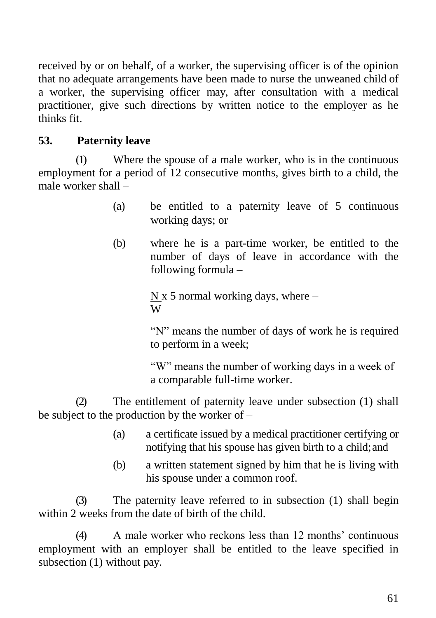received by or on behalf, of a worker, the supervising officer is of the opinion that no adequate arrangements have been made to nurse the unweaned child of a worker, the supervising officer may, after consultation with a medical practitioner, give such directions by written notice to the employer as he thinks fit.

# **53. Paternity leave**

(1) Where the spouse of a male worker, who is in the continuous employment for a period of 12 consecutive months, gives birth to a child, the male worker shall –

- (a) be entitled to a paternity leave of 5 continuous working days; or
- (b) where he is a part-time worker, be entitled to the number of days of leave in accordance with the following formula –

N x 5 normal working days, where  $-$ W

"N" means the number of days of work he is required to perform in a week;

"W" means the number of working days in a week of a comparable full-time worker.

(2) The entitlement of paternity leave under subsection (1) shall be subject to the production by the worker of –

- (a) a certificate issued by a medical practitioner certifying or notifying that his spouse has given birth to a child;and
- (b) a written statement signed by him that he is living with his spouse under a common roof.

(3) The paternity leave referred to in subsection (1) shall begin within 2 weeks from the date of birth of the child.

(4) A male worker who reckons less than 12 months' continuous employment with an employer shall be entitled to the leave specified in subsection (1) without pay.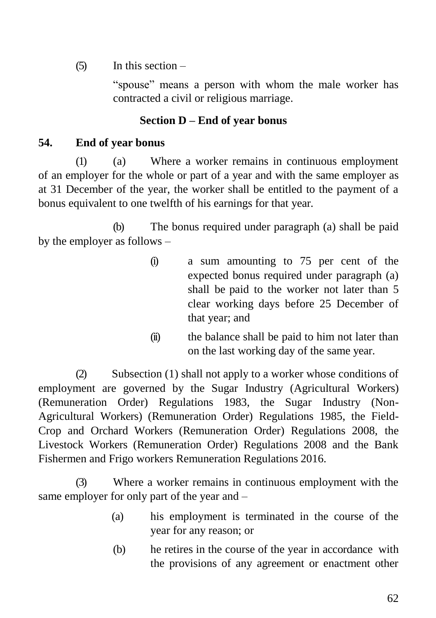$(5)$  In this section –

"spouse" means a person with whom the male worker has contracted a civil or religious marriage.

# **Section D – End of year bonus**

## **54. End of year bonus**

(1) (a) Where a worker remains in continuous employment of an employer for the whole or part of a year and with the same employer as at 31 December of the year, the worker shall be entitled to the payment of a bonus equivalent to one twelfth of his earnings for that year.

(b) The bonus required under paragraph (a) shall be paid by the employer as follows –

- (i) a sum amounting to 75 per cent of the expected bonus required under paragraph (a) shall be paid to the worker not later than 5 clear working days before 25 December of that year; and
- (ii) the balance shall be paid to him not later than on the last working day of the same year.

(2) Subsection (1) shall not apply to a worker whose conditions of employment are governed by the Sugar Industry (Agricultural Workers) (Remuneration Order) Regulations 1983, the Sugar Industry (Non-Agricultural Workers) (Remuneration Order) Regulations 1985, the Field-Crop and Orchard Workers (Remuneration Order) Regulations 2008, the Livestock Workers (Remuneration Order) Regulations 2008 and the Bank Fishermen and Frigo workers Remuneration Regulations 2016.

(3) Where a worker remains in continuous employment with the same employer for only part of the year and –

- (a) his employment is terminated in the course of the year for any reason; or
- (b) he retires in the course of the year in accordance with the provisions of any agreement or enactment other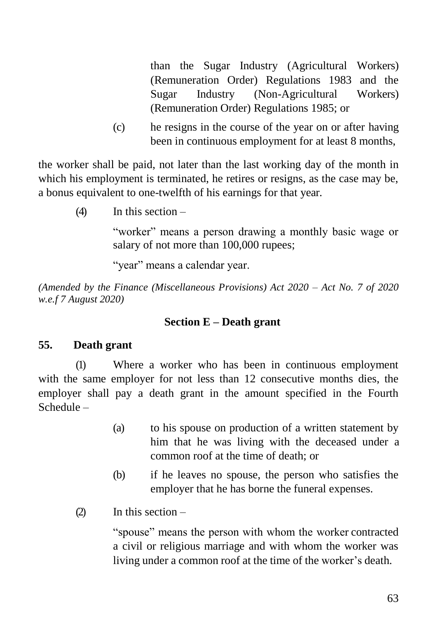than the Sugar Industry (Agricultural Workers) (Remuneration Order) Regulations 1983 and the Sugar Industry (Non-Agricultural Workers) (Remuneration Order) Regulations 1985; or

(c) he resigns in the course of the year on or after having been in continuous employment for at least 8 months,

the worker shall be paid, not later than the last working day of the month in which his employment is terminated, he retires or resigns, as the case may be, a bonus equivalent to one-twelfth of his earnings for that year.

(4) In this section –

"worker" means a person drawing a monthly basic wage or salary of not more than 100,000 rupees;

"year" means a calendar year.

*(Amended by the Finance (Miscellaneous Provisions) Act 2020 – Act No. 7 of 2020 w.e.f 7 August 2020)*

### **Section E – Death grant**

## **55. Death grant**

(1) Where a worker who has been in continuous employment with the same employer for not less than 12 consecutive months dies, the employer shall pay a death grant in the amount specified in the Fourth Schedule –

- (a) to his spouse on production of a written statement by him that he was living with the deceased under a common roof at the time of death; or
- (b) if he leaves no spouse, the person who satisfies the employer that he has borne the funeral expenses.
- (2) In this section –

"spouse" means the person with whom the worker contracted a civil or religious marriage and with whom the worker was living under a common roof at the time of the worker's death.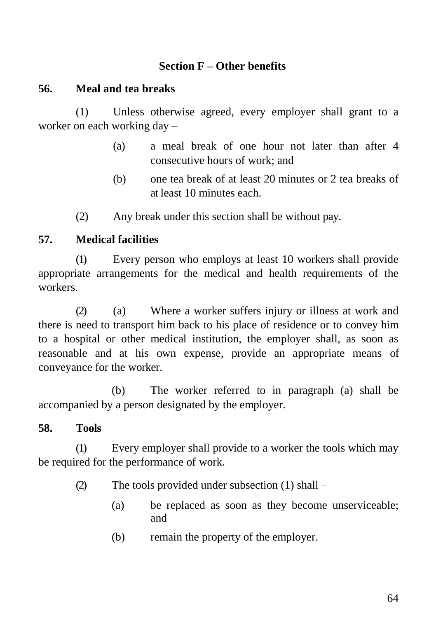### **Section F – Other benefits**

### **56. Meal and tea breaks**

(1) Unless otherwise agreed, every employer shall grant to a worker on each working day –

- (a) a meal break of one hour not later than after 4 consecutive hours of work; and
- (b) one tea break of at least 20 minutes or 2 tea breaks of at least 10 minutes each.
- (2) Any break under this section shall be without pay.

### **57. Medical facilities**

(1) Every person who employs at least 10 workers shall provide appropriate arrangements for the medical and health requirements of the workers.

(2) (a) Where a worker suffers injury or illness at work and there is need to transport him back to his place of residence or to convey him to a hospital or other medical institution, the employer shall, as soon as reasonable and at his own expense, provide an appropriate means of conveyance for the worker.

(b) The worker referred to in paragraph (a) shall be accompanied by a person designated by the employer.

### **58. Tools**

(1) Every employer shall provide to a worker the tools which may be required for the performance of work.

- (2) The tools provided under subsection (1) shall
	- (a) be replaced as soon as they become unserviceable; and
	- (b) remain the property of the employer.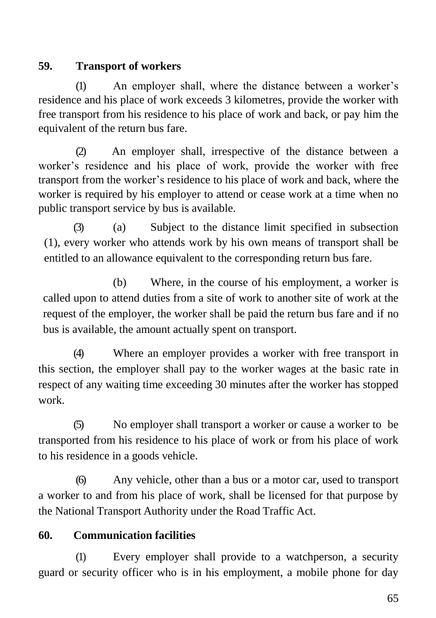# **59. Transport of workers**

(1) An employer shall, where the distance between a worker's residence and his place of work exceeds 3 kilometres, provide the worker with free transport from his residence to his place of work and back, or pay him the equivalent of the return bus fare.

(2) An employer shall, irrespective of the distance between a worker's residence and his place of work, provide the worker with free transport from the worker's residence to his place of work and back, where the worker is required by his employer to attend or cease work at a time when no public transport service by bus is available.

(3) (a) Subject to the distance limit specified in subsection (1), every worker who attends work by his own means of transport shall be entitled to an allowance equivalent to the corresponding return bus fare.

(b) Where, in the course of his employment, a worker is called upon to attend duties from a site of work to another site of work at the request of the employer, the worker shall be paid the return bus fare and if no bus is available, the amount actually spent on transport.

(4) Where an employer provides a worker with free transport in this section, the employer shall pay to the worker wages at the basic rate in respect of any waiting time exceeding 30 minutes after the worker has stopped work.

(5) No employer shall transport a worker or cause a worker to be transported from his residence to his place of work or from his place of work to his residence in a goods vehicle.

(6) Any vehicle, other than a bus or a motor car, used to transport a worker to and from his place of work, shall be licensed for that purpose by the National Transport Authority under the Road Traffic Act.

# **60. Communication facilities**

(1) Every employer shall provide to a watchperson, a security guard or security officer who is in his employment, a mobile phone for day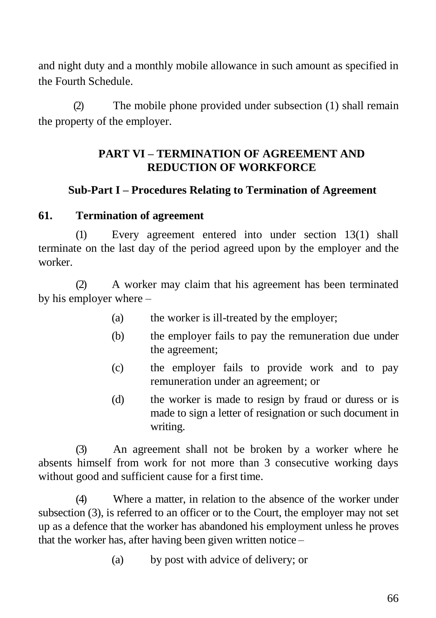and night duty and a monthly mobile allowance in such amount as specified in the Fourth Schedule.

(2) The mobile phone provided under subsection (1) shall remain the property of the employer.

### **PART VI – TERMINATION OF AGREEMENT AND REDUCTION OF WORKFORCE**

### **Sub-Part I – Procedures Relating to Termination of Agreement**

#### **61. Termination of agreement**

(1) Every agreement entered into under section 13(1) shall terminate on the last day of the period agreed upon by the employer and the worker.

(2) A worker may claim that his agreement has been terminated by his employer where –

- (a) the worker is ill-treated by the employer;
- (b) the employer fails to pay the remuneration due under the agreement;
- (c) the employer fails to provide work and to pay remuneration under an agreement; or
- (d) the worker is made to resign by fraud or duress or is made to sign a letter of resignation or such document in writing.

(3) An agreement shall not be broken by a worker where he absents himself from work for not more than 3 consecutive working days without good and sufficient cause for a first time.

(4) Where a matter, in relation to the absence of the worker under subsection (3), is referred to an officer or to the Court, the employer may not set up as a defence that the worker has abandoned his employment unless he proves that the worker has, after having been given written notice –

(a) by post with advice of delivery; or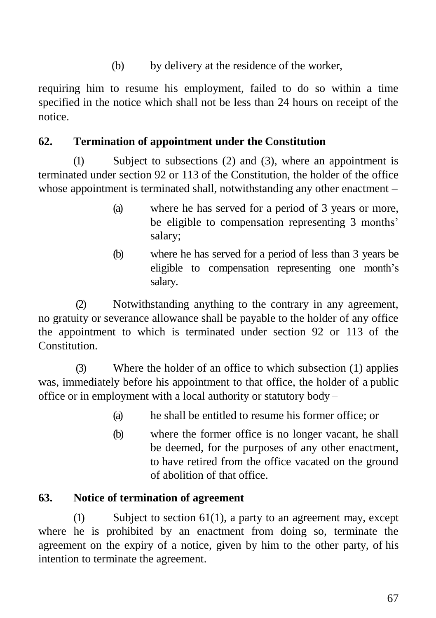(b) by delivery at the residence of the worker,

requiring him to resume his employment, failed to do so within a time specified in the notice which shall not be less than 24 hours on receipt of the notice.

### **62. Termination of appointment under the Constitution**

(1) Subject to subsections (2) and (3), where an appointment is terminated under section 92 or 113 of the Constitution, the holder of the office whose appointment is terminated shall, notwithstanding any other enactment –

- (a) where he has served for a period of 3 years or more, be eligible to compensation representing 3 months' salary;
- (b) where he has served for a period of less than 3 years be eligible to compensation representing one month's salary.

(2) Notwithstanding anything to the contrary in any agreement, no gratuity or severance allowance shall be payable to the holder of any office the appointment to which is terminated under section 92 or 113 of the Constitution.

(3) Where the holder of an office to which subsection (1) applies was, immediately before his appointment to that office, the holder of a public office or in employment with a local authority or statutory body –

- (a) he shall be entitled to resume his former office; or
- (b) where the former office is no longer vacant, he shall be deemed, for the purposes of any other enactment, to have retired from the office vacated on the ground of abolition of that office.

### **63. Notice of termination of agreement**

 $(1)$  Subject to section 61(1), a party to an agreement may, except where he is prohibited by an enactment from doing so, terminate the agreement on the expiry of a notice, given by him to the other party, of his intention to terminate the agreement.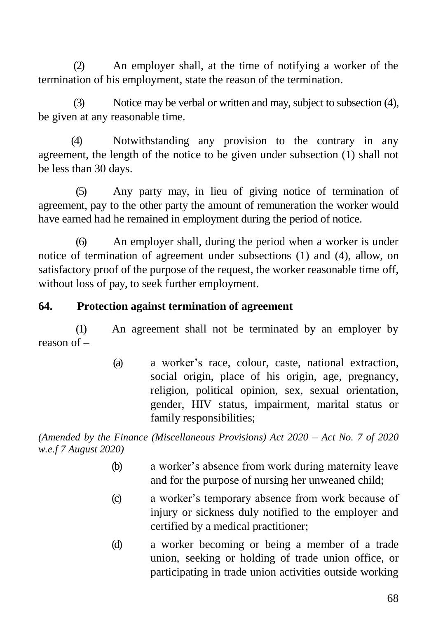(2) An employer shall, at the time of notifying a worker of the termination of his employment, state the reason of the termination.

(3) Notice may be verbal or written and may, subject to subsection (4), be given at any reasonable time.

(4) Notwithstanding any provision to the contrary in any agreement, the length of the notice to be given under subsection (1) shall not be less than 30 days.

(5) Any party may, in lieu of giving notice of termination of agreement, pay to the other party the amount of remuneration the worker would have earned had he remained in employment during the period of notice.

(6) An employer shall, during the period when a worker is under notice of termination of agreement under subsections (1) and (4), allow, on satisfactory proof of the purpose of the request, the worker reasonable time off, without loss of pay, to seek further employment.

### **64. Protection against termination of agreement**

(1) An agreement shall not be terminated by an employer by reason of –

> (a) a worker's race, colour, caste, national extraction, social origin, place of his origin, age, pregnancy, religion, political opinion, sex, sexual orientation, gender, HIV status, impairment, marital status or family responsibilities;

*(Amended by the Finance (Miscellaneous Provisions) Act 2020 – Act No. 7 of 2020 w.e.f 7 August 2020)*

- (b) a worker's absence from work during maternity leave and for the purpose of nursing her unweaned child;
- (c) a worker's temporary absence from work because of injury or sickness duly notified to the employer and certified by a medical practitioner;
- (d) a worker becoming or being a member of a trade union, seeking or holding of trade union office, or participating in trade union activities outside working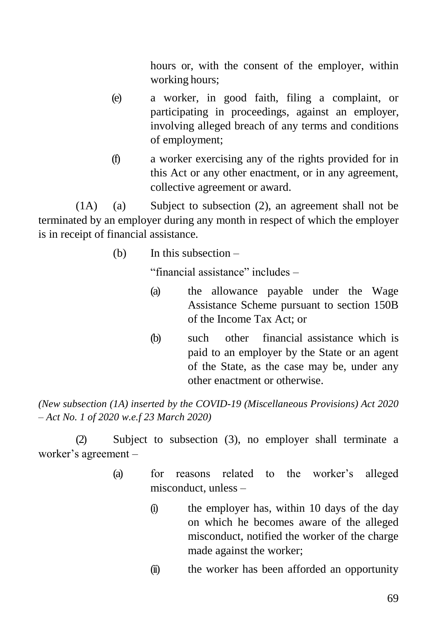hours or, with the consent of the employer, within working hours;

- (e) a worker, in good faith, filing a complaint, or participating in proceedings, against an employer, involving alleged breach of any terms and conditions of employment;
- (f) a worker exercising any of the rights provided for in this Act or any other enactment, or in any agreement, collective agreement or award.

(1A) (a) Subject to subsection (2), an agreement shall not be terminated by an employer during any month in respect of which the employer is in receipt of financial assistance.

(b) In this subsection –

"financial assistance" includes –

- (a) the allowance payable under the Wage Assistance Scheme pursuant to section 150B of the Income Tax Act; or
- (b) such other financial assistance which is paid to an employer by the State or an agent of the State, as the case may be, under any other enactment or otherwise.

*(New subsection (1A) inserted by the COVID-19 (Miscellaneous Provisions) Act 2020 – Act No. 1 of 2020 w.e.f 23 March 2020)*

(2) Subject to subsection (3), no employer shall terminate a worker's agreement –

- (a) for reasons related to the worker's alleged misconduct, unless –
	- (i) the employer has, within 10 days of the day on which he becomes aware of the alleged misconduct, notified the worker of the charge made against the worker;
	- (ii) the worker has been afforded an opportunity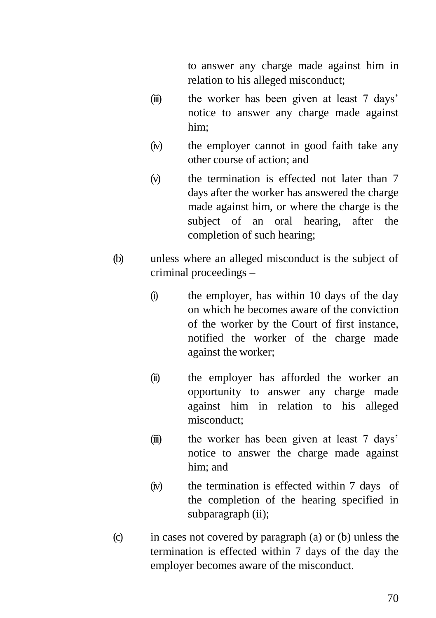to answer any charge made against him in relation to his alleged misconduct;

- (iii) the worker has been given at least 7 days' notice to answer any charge made against him;
- (iv) the employer cannot in good faith take any other course of action; and
- (v) the termination is effected not later than 7 days after the worker has answered the charge made against him, or where the charge is the subject of an oral hearing, after the completion of such hearing;
- (b) unless where an alleged misconduct is the subject of criminal proceedings –
	- (i) the employer, has within 10 days of the day on which he becomes aware of the conviction of the worker by the Court of first instance, notified the worker of the charge made against the worker;
	- (ii) the employer has afforded the worker an opportunity to answer any charge made against him in relation to his alleged misconduct;
	- (iii) the worker has been given at least 7 days' notice to answer the charge made against him; and
	- (iv) the termination is effected within 7 days of the completion of the hearing specified in subparagraph (ii);
- (c) in cases not covered by paragraph (a) or (b) unless the termination is effected within 7 days of the day the employer becomes aware of the misconduct.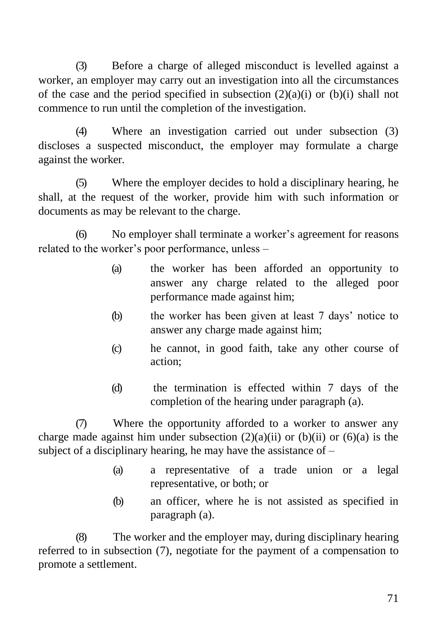(3) Before a charge of alleged misconduct is levelled against a worker, an employer may carry out an investigation into all the circumstances of the case and the period specified in subsection  $(2)(a)(i)$  or  $(b)(i)$  shall not commence to run until the completion of the investigation.

(4) Where an investigation carried out under subsection (3) discloses a suspected misconduct, the employer may formulate a charge against the worker.

(5) Where the employer decides to hold a disciplinary hearing, he shall, at the request of the worker, provide him with such information or documents as may be relevant to the charge.

(6) No employer shall terminate a worker's agreement for reasons related to the worker's poor performance, unless –

- (a) the worker has been afforded an opportunity to answer any charge related to the alleged poor performance made against him;
- (b) the worker has been given at least 7 days' notice to answer any charge made against him;
- (c) he cannot, in good faith, take any other course of action;
- (d) the termination is effected within 7 days of the completion of the hearing under paragraph (a).

(7) Where the opportunity afforded to a worker to answer any charge made against him under subsection  $(2)(a)(ii)$  or  $(b)(ii)$  or  $(6)(a)$  is the subject of a disciplinary hearing, he may have the assistance of –

- (a) a representative of a trade union or a legal representative, or both; or
- (b) an officer, where he is not assisted as specified in paragraph (a).

(8) The worker and the employer may, during disciplinary hearing referred to in subsection (7), negotiate for the payment of a compensation to promote a settlement.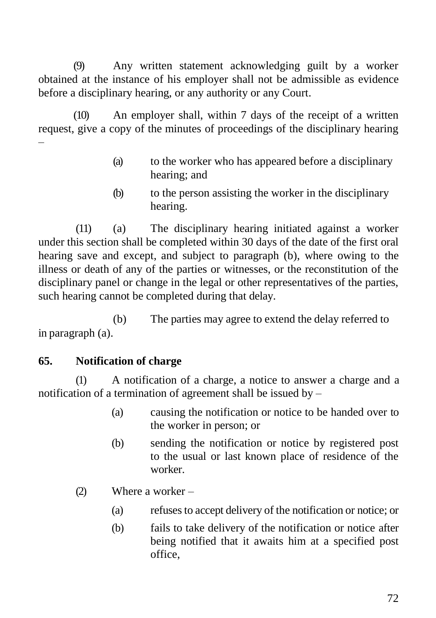(9) Any written statement acknowledging guilt by a worker obtained at the instance of his employer shall not be admissible as evidence before a disciplinary hearing, or any authority or any Court.

(10) An employer shall, within 7 days of the receipt of a written request, give a copy of the minutes of proceedings of the disciplinary hearing –

- (a) to the worker who has appeared before a disciplinary hearing; and
- (b) to the person assisting the worker in the disciplinary hearing.

(11) (a) The disciplinary hearing initiated against a worker under this section shall be completed within 30 days of the date of the first oral hearing save and except, and subject to paragraph (b), where owing to the illness or death of any of the parties or witnesses, or the reconstitution of the disciplinary panel or change in the legal or other representatives of the parties, such hearing cannot be completed during that delay.

(b) The parties may agree to extend the delay referred to in paragraph (a).

## **65. Notification of charge**

(1) A notification of a charge, a notice to answer a charge and a notification of a termination of agreement shall be issued by –

- (a) causing the notification or notice to be handed over to the worker in person; or
- (b) sending the notification or notice by registered post to the usual or last known place of residence of the worker.
- (2) Where a worker
	- (a) refusesto accept delivery of the notification or notice; or
	- (b) fails to take delivery of the notification or notice after being notified that it awaits him at a specified post office,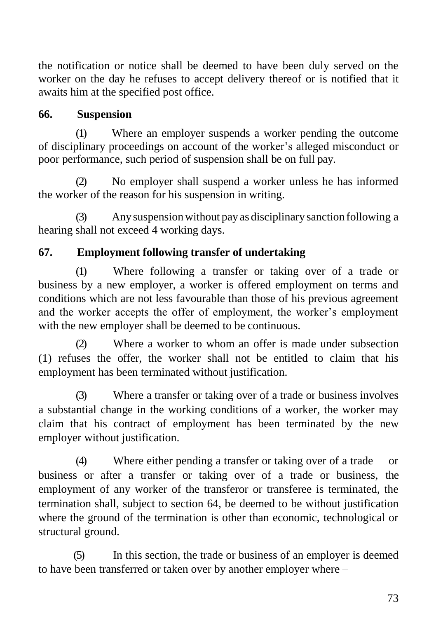the notification or notice shall be deemed to have been duly served on the worker on the day he refuses to accept delivery thereof or is notified that it awaits him at the specified post office.

## **66. Suspension**

(1) Where an employer suspends a worker pending the outcome of disciplinary proceedings on account of the worker's alleged misconduct or poor performance, such period of suspension shall be on full pay.

(2) No employer shall suspend a worker unless he has informed the worker of the reason for his suspension in writing.

(3) Any suspensionwithout pay as disciplinary sanction following a hearing shall not exceed 4 working days.

## **67. Employment following transfer of undertaking**

(1) Where following a transfer or taking over of a trade or business by a new employer, a worker is offered employment on terms and conditions which are not less favourable than those of his previous agreement and the worker accepts the offer of employment, the worker's employment with the new employer shall be deemed to be continuous.

(2) Where a worker to whom an offer is made under subsection (1) refuses the offer, the worker shall not be entitled to claim that his employment has been terminated without justification.

(3) Where a transfer or taking over of a trade or business involves a substantial change in the working conditions of a worker, the worker may claim that his contract of employment has been terminated by the new employer without justification.

(4) Where either pending a transfer or taking over of a trade or business or after a transfer or taking over of a trade or business, the employment of any worker of the transferor or transferee is terminated, the termination shall, subject to section 64, be deemed to be without justification where the ground of the termination is other than economic, technological or structural ground.

(5) In this section, the trade or business of an employer is deemed to have been transferred or taken over by another employer where –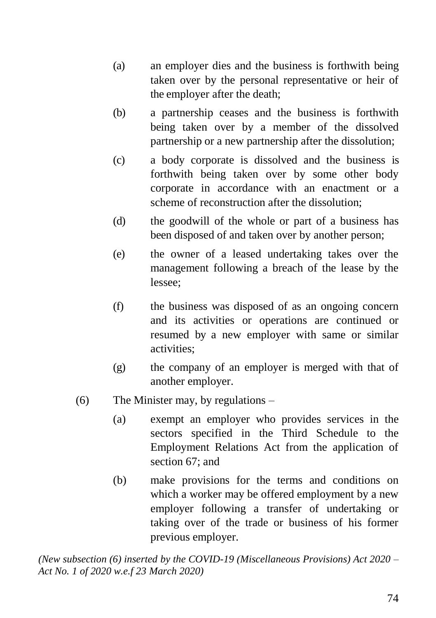- (a) an employer dies and the business is forthwith being taken over by the personal representative or heir of the employer after the death;
- (b) a partnership ceases and the business is forthwith being taken over by a member of the dissolved partnership or a new partnership after the dissolution;
- (c) a body corporate is dissolved and the business is forthwith being taken over by some other body corporate in accordance with an enactment or a scheme of reconstruction after the dissolution;
- (d) the goodwill of the whole or part of a business has been disposed of and taken over by another person;
- (e) the owner of a leased undertaking takes over the management following a breach of the lease by the lessee;
- (f) the business was disposed of as an ongoing concern and its activities or operations are continued or resumed by a new employer with same or similar activities;
- (g) the company of an employer is merged with that of another employer.
- (6) The Minister may, by regulations
	- (a) exempt an employer who provides services in the sectors specified in the Third Schedule to the Employment Relations Act from the application of section 67; and
	- (b) make provisions for the terms and conditions on which a worker may be offered employment by a new employer following a transfer of undertaking or taking over of the trade or business of his former previous employer.

*(New subsection (6) inserted by the COVID-19 (Miscellaneous Provisions) Act 2020 – Act No. 1 of 2020 w.e.f 23 March 2020)*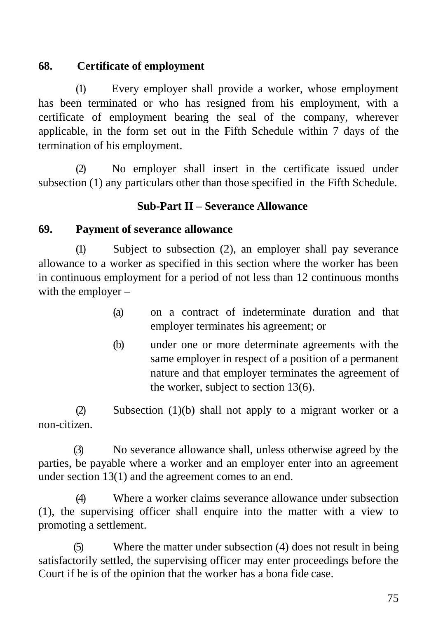# **68. Certificate of employment**

(1) Every employer shall provide a worker, whose employment has been terminated or who has resigned from his employment, with a certificate of employment bearing the seal of the company, wherever applicable, in the form set out in the Fifth Schedule within 7 days of the termination of his employment.

(2) No employer shall insert in the certificate issued under subsection (1) any particulars other than those specified in the Fifth Schedule.

### **Sub-Part II – Severance Allowance**

### **69. Payment of severance allowance**

(1) Subject to subsection (2), an employer shall pay severance allowance to a worker as specified in this section where the worker has been in continuous employment for a period of not less than 12 continuous months with the employer –

- (a) on a contract of indeterminate duration and that employer terminates his agreement; or
- (b) under one or more determinate agreements with the same employer in respect of a position of a permanent nature and that employer terminates the agreement of the worker, subject to section 13(6).

(2) Subsection (1)(b) shall not apply to a migrant worker or a non-citizen.

(3) No severance allowance shall, unless otherwise agreed by the parties, be payable where a worker and an employer enter into an agreement under section 13(1) and the agreement comes to an end.

(4) Where a worker claims severance allowance under subsection (1), the supervising officer shall enquire into the matter with a view to promoting a settlement.

(5) Where the matter under subsection (4) does not result in being satisfactorily settled, the supervising officer may enter proceedings before the Court if he is of the opinion that the worker has a bona fide case.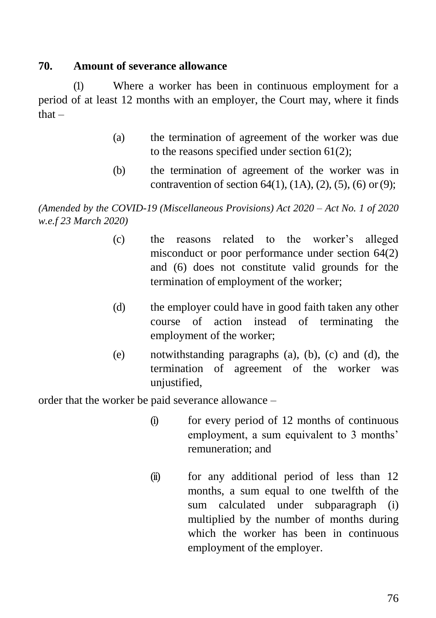### **70. Amount of severance allowance**

(1) Where a worker has been in continuous employment for a period of at least 12 months with an employer, the Court may, where it finds that –

- (a) the termination of agreement of the worker was due to the reasons specified under section 61(2);
- (b) the termination of agreement of the worker was in contravention of section  $64(1)$ ,  $(1A)$ ,  $(2)$ ,  $(5)$ ,  $(6)$  or $(9)$ ;

*(Amended by the COVID-19 (Miscellaneous Provisions) Act 2020 – Act No. 1 of 2020 w.e.f 23 March 2020)*

- (c) the reasons related to the worker's alleged misconduct or poor performance under section 64(2) and (6) does not constitute valid grounds for the termination of employment of the worker;
- (d) the employer could have in good faith taken any other course of action instead of terminating the employment of the worker;
- (e) notwithstanding paragraphs (a), (b), (c) and (d), the termination of agreement of the worker was unjustified,

order that the worker be paid severance allowance –

- (i) for every period of 12 months of continuous employment, a sum equivalent to 3 months' remuneration; and
- (ii) for any additional period of less than 12 months, a sum equal to one twelfth of the sum calculated under subparagraph (i) multiplied by the number of months during which the worker has been in continuous employment of the employer.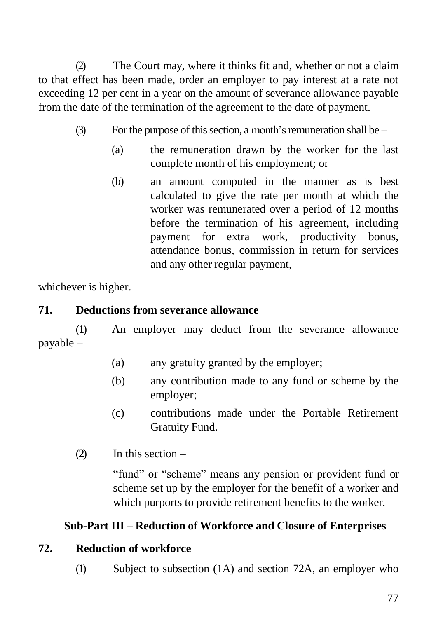(2) The Court may, where it thinks fit and, whether or not a claim to that effect has been made, order an employer to pay interest at a rate not exceeding 12 per cent in a year on the amount of severance allowance payable from the date of the termination of the agreement to the date of payment.

- (3) For the purpose of this section, a month's remuneration shall be  $-$ 
	- (a) the remuneration drawn by the worker for the last complete month of his employment; or
	- (b) an amount computed in the manner as is best calculated to give the rate per month at which the worker was remunerated over a period of 12 months before the termination of his agreement, including payment for extra work, productivity bonus, attendance bonus, commission in return for services and any other regular payment,

whichever is higher.

## **71. Deductions from severance allowance**

(1) An employer may deduct from the severance allowance payable –

- (a) any gratuity granted by the employer;
- (b) any contribution made to any fund or scheme by the employer;
- (c) contributions made under the Portable Retirement Gratuity Fund.
- (2) In this section –

"fund" or "scheme" means any pension or provident fund or scheme set up by the employer for the benefit of a worker and which purports to provide retirement benefits to the worker.

# **Sub-Part III – Reduction of Workforce and Closure of Enterprises**

### **72. Reduction of workforce**

(1) Subject to subsection (1A) and section 72A, an employer who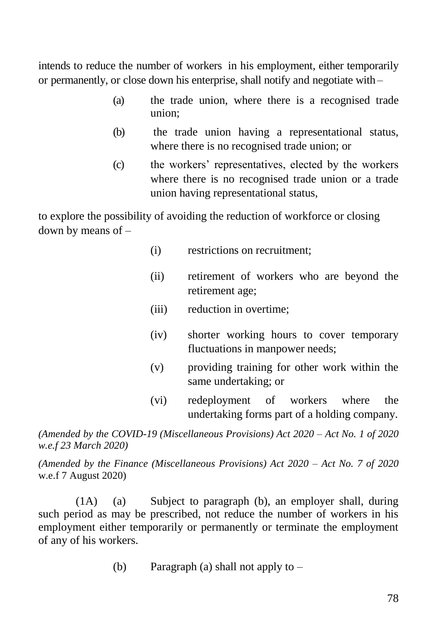intends to reduce the number of workers in his employment, either temporarily or permanently, or close down his enterprise, shall notify and negotiate with –

- (a) the trade union, where there is a recognised trade union;
- (b) the trade union having a representational status, where there is no recognised trade union; or
- (c) the workers' representatives, elected by the workers where there is no recognised trade union or a trade union having representational status,

to explore the possibility of avoiding the reduction of workforce or closing down by means of –

- (i) restrictions on recruitment;
- (ii) retirement of workers who are beyond the retirement age;
- (iii) reduction in overtime;
- (iv) shorter working hours to cover temporary fluctuations in manpower needs;
- (v) providing training for other work within the same undertaking; or
- (vi) redeployment of workers where the undertaking forms part of a holding company.

*(Amended by the COVID-19 (Miscellaneous Provisions) Act 2020 – Act No. 1 of 2020 w.e.f 23 March 2020)*

*(Amended by the Finance (Miscellaneous Provisions) Act 2020 – Act No. 7 of 2020* w.e.f 7 August 2020)

(1A) (a) Subject to paragraph (b), an employer shall, during such period as may be prescribed, not reduce the number of workers in his employment either temporarily or permanently or terminate the employment of any of his workers.

(b) Paragraph (a) shall not apply to –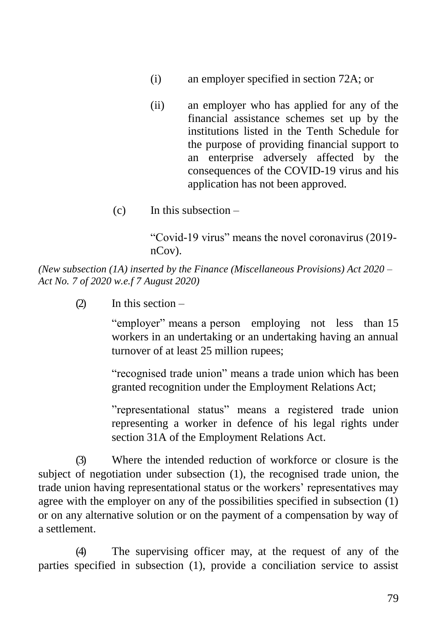- (i) an employer specified in section 72A; or
- (ii) an employer who has applied for any of the financial assistance schemes set up by the institutions listed in the Tenth Schedule for the purpose of providing financial support to an enterprise adversely affected by the consequences of the COVID-19 virus and his application has not been approved.
- $(c)$  In this subsection –

"Covid-19 virus" means the novel coronavirus (2019 nCov).

*(New subsection (1A) inserted by the Finance (Miscellaneous Provisions) Act 2020 – Act No. 7 of 2020 w.e.f 7 August 2020)*

(2) In this section –

"employer" means a person employing not less than 15 workers in an undertaking or an undertaking having an annual turnover of at least 25 million rupees;

"recognised trade union" means a trade union which has been granted recognition under the Employment Relations Act;

"representational status" means a registered trade union representing a worker in defence of his legal rights under section 31A of the Employment Relations Act.

(3) Where the intended reduction of workforce or closure is the subject of negotiation under subsection (1), the recognised trade union, the trade union having representational status or the workers' representatives may agree with the employer on any of the possibilities specified in subsection (1) or on any alternative solution or on the payment of a compensation by way of a settlement.

(4) The supervising officer may, at the request of any of the parties specified in subsection (1), provide a conciliation service to assist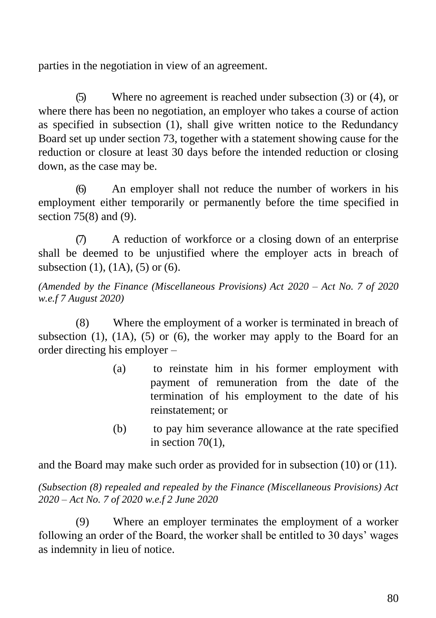parties in the negotiation in view of an agreement.

(5) Where no agreement is reached under subsection (3) or (4), or where there has been no negotiation, an employer who takes a course of action as specified in subsection (1), shall give written notice to the Redundancy Board set up under section 73, together with a statement showing cause for the reduction or closure at least 30 days before the intended reduction or closing down, as the case may be.

(6) An employer shall not reduce the number of workers in his employment either temporarily or permanently before the time specified in section 75(8) and (9).

(7) A reduction of workforce or a closing down of an enterprise shall be deemed to be unjustified where the employer acts in breach of subsection (1), (1A), (5) or (6).

*(Amended by the Finance (Miscellaneous Provisions) Act 2020 – Act No. 7 of 2020 w.e.f 7 August 2020)*

(8) Where the employment of a worker is terminated in breach of subsection  $(1)$ ,  $(1A)$ ,  $(5)$  or  $(6)$ , the worker may apply to the Board for an order directing his employer –

- (a) to reinstate him in his former employment with payment of remuneration from the date of the termination of his employment to the date of his reinstatement; or
- (b) to pay him severance allowance at the rate specified in section  $70(1)$ ,

and the Board may make such order as provided for in subsection (10) or (11).

*(Subsection (8) repealed and repealed by the Finance (Miscellaneous Provisions) Act 2020 – Act No. 7 of 2020 w.e.f 2 June 2020*

(9) Where an employer terminates the employment of a worker following an order of the Board, the worker shall be entitled to 30 days' wages as indemnity in lieu of notice.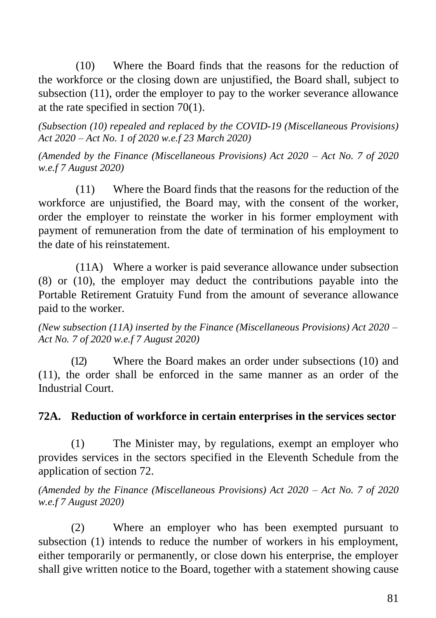(10) Where the Board finds that the reasons for the reduction of the workforce or the closing down are unjustified, the Board shall, subject to subsection (11), order the employer to pay to the worker severance allowance at the rate specified in section 70(1).

*(Subsection (10) repealed and replaced by the COVID-19 (Miscellaneous Provisions) Act 2020 – Act No. 1 of 2020 w.e.f 23 March 2020)*

*(Amended by the Finance (Miscellaneous Provisions) Act 2020 – Act No. 7 of 2020 w.e.f 7 August 2020)*

(11) Where the Board finds that the reasons for the reduction of the workforce are unjustified, the Board may, with the consent of the worker, order the employer to reinstate the worker in his former employment with payment of remuneration from the date of termination of his employment to the date of his reinstatement.

(11A) Where a worker is paid severance allowance under subsection (8) or (10), the employer may deduct the contributions payable into the Portable Retirement Gratuity Fund from the amount of severance allowance paid to the worker.

*(New subsection (11A) inserted by the Finance (Miscellaneous Provisions) Act 2020 – Act No. 7 of 2020 w.e.f 7 August 2020)*

(12) Where the Board makes an order under subsections (10) and (11), the order shall be enforced in the same manner as an order of the Industrial Court.

### **72A. Reduction of workforce in certain enterprises in the services sector**

(1) The Minister may, by regulations, exempt an employer who provides services in the sectors specified in the Eleventh Schedule from the application of section 72.

*(Amended by the Finance (Miscellaneous Provisions) Act 2020 – Act No. 7 of 2020 w.e.f 7 August 2020)*

(2) Where an employer who has been exempted pursuant to subsection (1) intends to reduce the number of workers in his employment, either temporarily or permanently, or close down his enterprise, the employer shall give written notice to the Board, together with a statement showing cause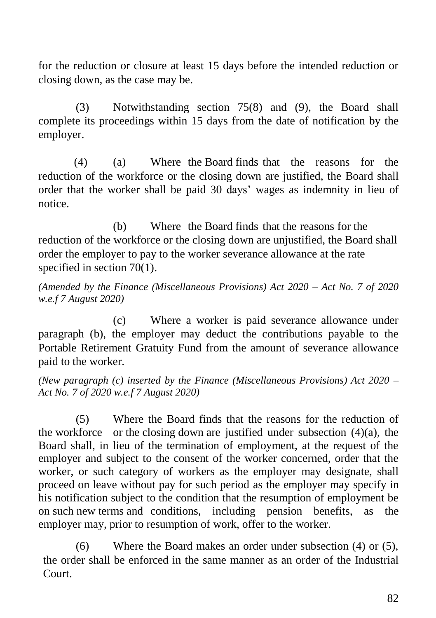for the reduction or closure at least 15 days before the intended reduction or closing down, as the case may be.

(3) Notwithstanding section 75(8) and (9), the Board shall complete its proceedings within 15 days from the date of notification by the employer.

(4) (a) Where the Board finds that the reasons for the reduction of the workforce or the closing down are justified, the Board shall order that the worker shall be paid 30 days' wages as indemnity in lieu of notice.

(b) Where the Board finds that the reasons for the reduction of the workforce or the closing down are unjustified, the Board shall order the employer to pay to the worker severance allowance at the rate specified in section 70(1).

*(Amended by the Finance (Miscellaneous Provisions) Act 2020 – Act No. 7 of 2020 w.e.f 7 August 2020)*

(c) Where a worker is paid severance allowance under paragraph (b), the employer may deduct the contributions payable to the Portable Retirement Gratuity Fund from the amount of severance allowance paid to the worker.

*(New paragraph (c) inserted by the Finance (Miscellaneous Provisions) Act 2020 – Act No. 7 of 2020 w.e.f 7 August 2020)*

(5) Where the Board finds that the reasons for the reduction of the workforce or the closing down are justified under subsection  $(4)(a)$ , the Board shall, in lieu of the termination of employment, at the request of the employer and subject to the consent of the worker concerned, order that the worker, or such category of workers as the employer may designate, shall proceed on leave without pay for such period as the employer may specify in his notification subject to the condition that the resumption of employment be on such new terms and conditions, including pension benefits, as the employer may, prior to resumption of work, offer to the worker.

(6) Where the Board makes an order under subsection (4) or (5), the order shall be enforced in the same manner as an order of the Industrial Court.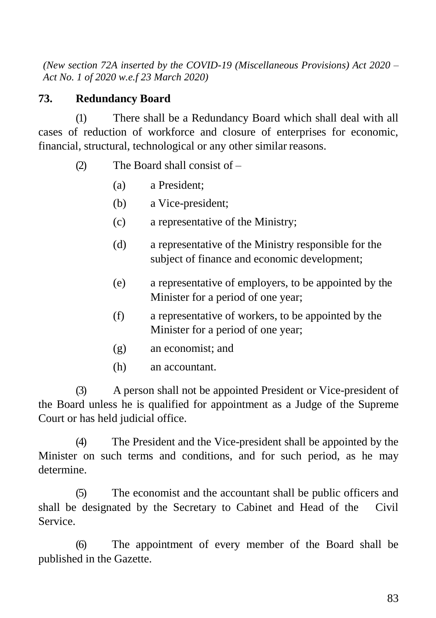*(New section 72A inserted by the COVID-19 (Miscellaneous Provisions) Act 2020 – Act No. 1 of 2020 w.e.f 23 March 2020)*

### **73. Redundancy Board**

(1) There shall be a Redundancy Board which shall deal with all cases of reduction of workforce and closure of enterprises for economic, financial, structural, technological or any other similar reasons.

- (2) The Board shall consist of
	- (a) a President;
	- (b) a Vice-president;
	- (c) a representative of the Ministry;
	- (d) a representative of the Ministry responsible for the subject of finance and economic development;
	- (e) a representative of employers, to be appointed by the Minister for a period of one year;
	- (f) a representative of workers, to be appointed by the Minister for a period of one year;
	- (g) an economist; and
	- (h) an accountant.

(3) A person shall not be appointed President or Vice-president of the Board unless he is qualified for appointment as a Judge of the Supreme Court or has held judicial office.

(4) The President and the Vice-president shall be appointed by the Minister on such terms and conditions, and for such period, as he may determine.

(5) The economist and the accountant shall be public officers and shall be designated by the Secretary to Cabinet and Head of the Civil Service.

(6) The appointment of every member of the Board shall be published in the Gazette.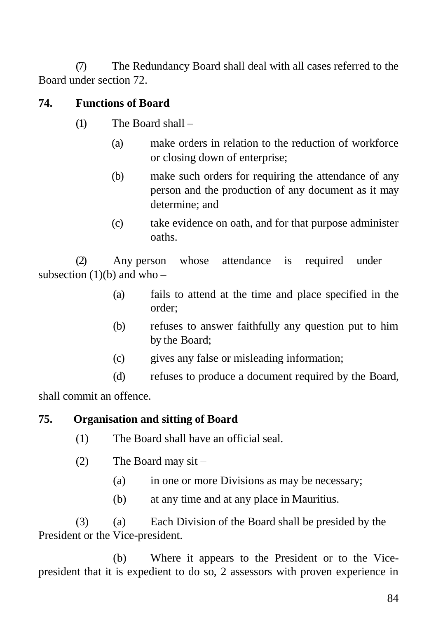(7) The Redundancy Board shall deal with all cases referred to the Board under section 72.

## **74. Functions of Board**

- (1) The Board shall
	- (a) make orders in relation to the reduction of workforce or closing down of enterprise;
	- (b) make such orders for requiring the attendance of any person and the production of any document as it may determine; and
	- (c) take evidence on oath, and for that purpose administer oaths.

(2) Any person whose attendance is required under subsection  $(1)(b)$  and who –

- (a) fails to attend at the time and place specified in the order;
- (b) refuses to answer faithfully any question put to him by the Board;
- (c) gives any false or misleading information;
- (d) refuses to produce a document required by the Board,

shall commit an offence.

### **75. Organisation and sitting of Board**

- (1) The Board shall have an official seal.
- (2) The Board may sit
	- (a) in one or more Divisions as may be necessary;
	- (b) at any time and at any place in Mauritius.

(3) (a) Each Division of the Board shall be presided by the President or the Vice-president.

(b) Where it appears to the President or to the Vicepresident that it is expedient to do so, 2 assessors with proven experience in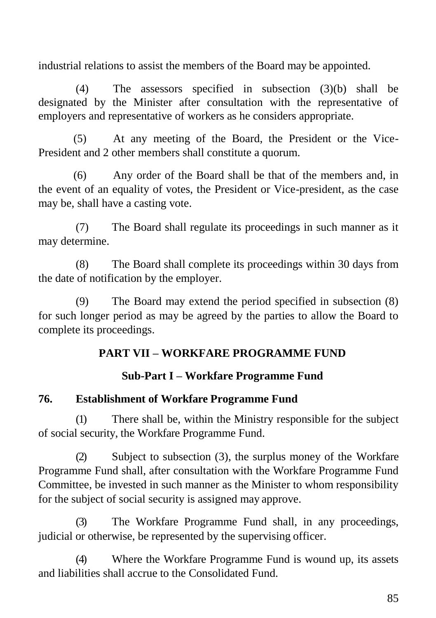industrial relations to assist the members of the Board may be appointed.

(4) The assessors specified in subsection (3)(b) shall be designated by the Minister after consultation with the representative of employers and representative of workers as he considers appropriate.

(5) At any meeting of the Board, the President or the Vice-President and 2 other members shall constitute a quorum.

(6) Any order of the Board shall be that of the members and, in the event of an equality of votes, the President or Vice-president, as the case may be, shall have a casting vote.

(7) The Board shall regulate its proceedings in such manner as it may determine.

(8) The Board shall complete its proceedings within 30 days from the date of notification by the employer.

(9) The Board may extend the period specified in subsection (8) for such longer period as may be agreed by the parties to allow the Board to complete its proceedings.

### **PART VII – WORKFARE PROGRAMME FUND**

### **Sub-Part I – Workfare Programme Fund**

### **76. Establishment of Workfare Programme Fund**

(1) There shall be, within the Ministry responsible for the subject of social security, the Workfare Programme Fund.

(2) Subject to subsection (3), the surplus money of the Workfare Programme Fund shall, after consultation with the Workfare Programme Fund Committee, be invested in such manner as the Minister to whom responsibility for the subject of social security is assigned may approve.

(3) The Workfare Programme Fund shall, in any proceedings, judicial or otherwise, be represented by the supervising officer.

(4) Where the Workfare Programme Fund is wound up, its assets and liabilities shall accrue to the Consolidated Fund.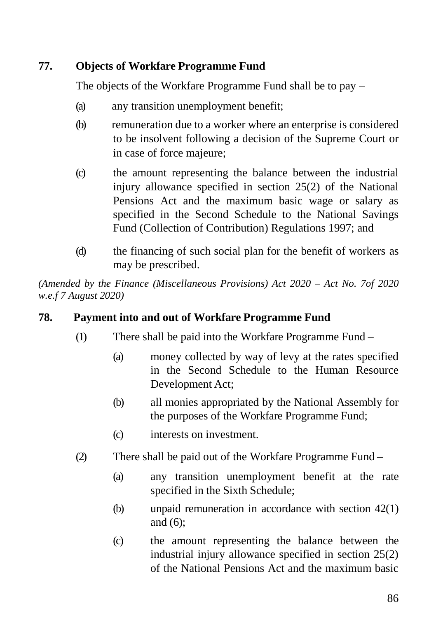# **77. Objects of Workfare Programme Fund**

The objects of the Workfare Programme Fund shall be to pay –

- (a) any transition unemployment benefit;
- (b) remuneration due to a worker where an enterprise is considered to be insolvent following a decision of the Supreme Court or in case of force majeure;
- (c) the amount representing the balance between the industrial injury allowance specified in section 25(2) of the National Pensions Act and the maximum basic wage or salary as specified in the Second Schedule to the National Savings Fund (Collection of Contribution) Regulations 1997; and
- (d) the financing of such social plan for the benefit of workers as may be prescribed.

*(Amended by the Finance (Miscellaneous Provisions) Act 2020 – Act No. 7of 2020 w.e.f 7 August 2020)*

### **78. Payment into and out of Workfare Programme Fund**

- (1) There shall be paid into the Workfare Programme Fund
	- (a) money collected by way of levy at the rates specified in the Second Schedule to the Human Resource Development Act;
	- (b) all monies appropriated by the National Assembly for the purposes of the Workfare Programme Fund;
	- (c) interests on investment.
- (2) There shall be paid out of the Workfare Programme Fund
	- (a) any transition unemployment benefit at the rate specified in the Sixth Schedule;
	- (b) unpaid remuneration in accordance with section 42(1) and (6);
	- (c) the amount representing the balance between the industrial injury allowance specified in section 25(2) of the National Pensions Act and the maximum basic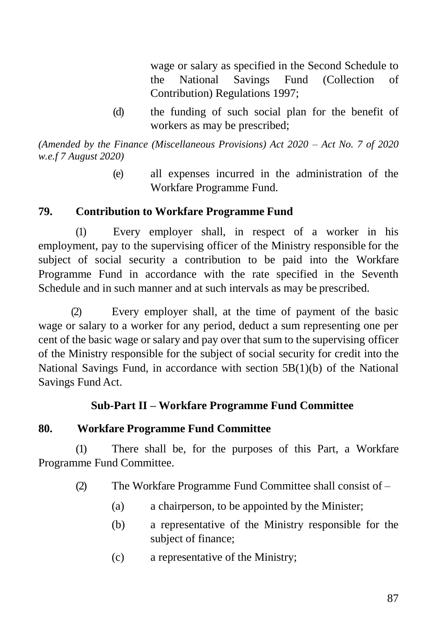wage or salary as specified in the Second Schedule to the National Savings Fund (Collection of Contribution) Regulations 1997;

(d) the funding of such social plan for the benefit of workers as may be prescribed;

*(Amended by the Finance (Miscellaneous Provisions) Act 2020 – Act No. 7 of 2020 w.e.f 7 August 2020)*

> (e) all expenses incurred in the administration of the Workfare Programme Fund.

### **79. Contribution to Workfare Programme Fund**

(1) Every employer shall, in respect of a worker in his employment, pay to the supervising officer of the Ministry responsible for the subject of social security a contribution to be paid into the Workfare Programme Fund in accordance with the rate specified in the Seventh Schedule and in such manner and at such intervals as may be prescribed.

(2) Every employer shall, at the time of payment of the basic wage or salary to a worker for any period, deduct a sum representing one per cent of the basic wage or salary and pay over that sum to the supervising officer of the Ministry responsible for the subject of social security for credit into the National Savings Fund, in accordance with section  $5B(1)(b)$  of the National Savings Fund Act.

### **Sub-Part II – Workfare Programme Fund Committee**

### **80. Workfare Programme Fund Committee**

(1) There shall be, for the purposes of this Part, a Workfare Programme Fund Committee.

- (2) The Workfare Programme Fund Committee shall consist of
	- (a) a chairperson, to be appointed by the Minister;
	- (b) a representative of the Ministry responsible for the subject of finance;
	- (c) a representative of the Ministry;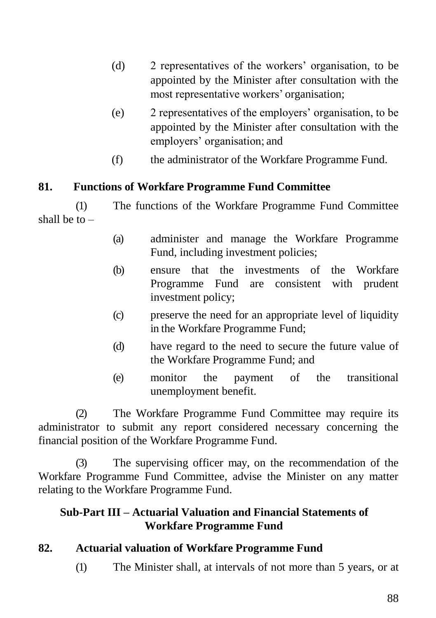- (d) 2 representatives of the workers' organisation, to be appointed by the Minister after consultation with the most representative workers' organisation;
- (e) 2 representatives of the employers' organisation, to be appointed by the Minister after consultation with the employers' organisation; and
- (f) the administrator of the Workfare Programme Fund.

### **81. Functions of Workfare Programme Fund Committee**

(1) The functions of the Workfare Programme Fund Committee shall be to  $-$ 

- (a) administer and manage the Workfare Programme Fund, including investment policies;
- (b) ensure that the investments of the Workfare Programme Fund are consistent with prudent investment policy;
- (c) preserve the need for an appropriate level of liquidity in the Workfare Programme Fund;
- (d) have regard to the need to secure the future value of the Workfare Programme Fund; and
- (e) monitor the payment of the transitional unemployment benefit.

(2) The Workfare Programme Fund Committee may require its administrator to submit any report considered necessary concerning the financial position of the Workfare Programme Fund.

(3) The supervising officer may, on the recommendation of the Workfare Programme Fund Committee, advise the Minister on any matter relating to the Workfare Programme Fund.

### **Sub-Part III – Actuarial Valuation and Financial Statements of Workfare Programme Fund**

### **82. Actuarial valuation of Workfare Programme Fund**

(1) The Minister shall, at intervals of not more than 5 years, or at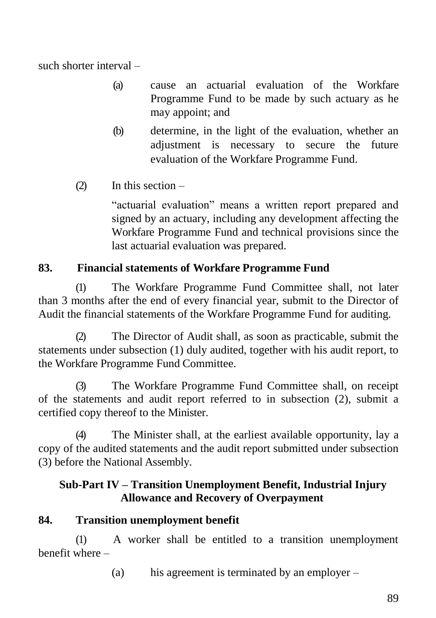such shorter interval –

- (a) cause an actuarial evaluation of the Workfare Programme Fund to be made by such actuary as he may appoint; and
- (b) determine, in the light of the evaluation, whether an adjustment is necessary to secure the future evaluation of the Workfare Programme Fund.
- $(2)$  In this section –

"actuarial evaluation" means a written report prepared and signed by an actuary, including any development affecting the Workfare Programme Fund and technical provisions since the last actuarial evaluation was prepared.

# **83. Financial statements of Workfare Programme Fund**

(1) The Workfare Programme Fund Committee shall, not later than 3 months after the end of every financial year, submit to the Director of Audit the financial statements of the Workfare Programme Fund for auditing.

(2) The Director of Audit shall, as soon as practicable, submit the statements under subsection (1) duly audited, together with his audit report, to the Workfare Programme Fund Committee.

(3) The Workfare Programme Fund Committee shall, on receipt of the statements and audit report referred to in subsection (2), submit a certified copy thereof to the Minister.

(4) The Minister shall, at the earliest available opportunity, lay a copy of the audited statements and the audit report submitted under subsection (3) before the National Assembly.

## **Sub-Part IV – Transition Unemployment Benefit, Industrial Injury Allowance and Recovery of Overpayment**

### **84. Transition unemployment benefit**

(1) A worker shall be entitled to a transition unemployment benefit where –

(a) his agreement is terminated by an employer –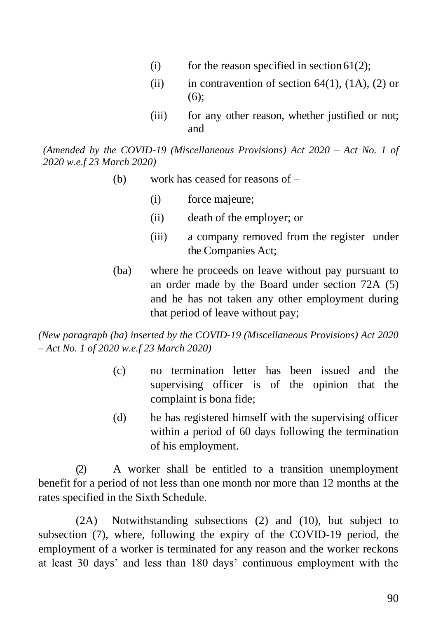- (i) for the reason specified in section  $61(2)$ :
- (ii) in contravention of section  $64(1)$ ,  $(1A)$ ,  $(2)$  or  $(6)$ :
- (iii) for any other reason, whether justified or not; and

*(Amended by the COVID-19 (Miscellaneous Provisions) Act 2020 – Act No. 1 of 2020 w.e.f 23 March 2020)*

- (b) work has ceased for reasons of
	- (i) force majeure;
	- (ii) death of the employer; or
	- (iii) a company removed from the register under the Companies Act;
- (ba) where he proceeds on leave without pay pursuant to an order made by the Board under section 72A (5) and he has not taken any other employment during that period of leave without pay;

*(New paragraph (ba) inserted by the COVID-19 (Miscellaneous Provisions) Act 2020 – Act No. 1 of 2020 w.e.f 23 March 2020)*

- (c) no termination letter has been issued and the supervising officer is of the opinion that the complaint is bona fide;
- (d) he has registered himself with the supervising officer within a period of 60 days following the termination of his employment.

(2) A worker shall be entitled to a transition unemployment benefit for a period of not less than one month nor more than 12 months at the rates specified in the Sixth Schedule.

(2A) Notwithstanding subsections (2) and (10), but subject to subsection (7), where, following the expiry of the COVID-19 period, the employment of a worker is terminated for any reason and the worker reckons at least 30 days' and less than 180 days' continuous employment with the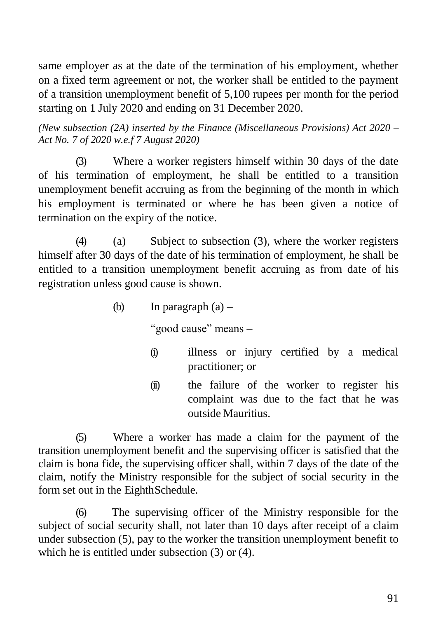same employer as at the date of the termination of his employment, whether on a fixed term agreement or not, the worker shall be entitled to the payment of a transition unemployment benefit of 5,100 rupees per month for the period starting on 1 July 2020 and ending on 31 December 2020.

*(New subsection (2A) inserted by the Finance (Miscellaneous Provisions) Act 2020 – Act No. 7 of 2020 w.e.f 7 August 2020)*

(3) Where a worker registers himself within 30 days of the date of his termination of employment, he shall be entitled to a transition unemployment benefit accruing as from the beginning of the month in which his employment is terminated or where he has been given a notice of termination on the expiry of the notice.

(4) (a) Subject to subsection (3), where the worker registers himself after 30 days of the date of his termination of employment, he shall be entitled to a transition unemployment benefit accruing as from date of his registration unless good cause is shown.

(b) In paragraph  $(a)$  –

"good cause" means –

- (i) illness or injury certified by a medical practitioner; or
- (ii) the failure of the worker to register his complaint was due to the fact that he was outside Mauritius.

(5) Where a worker has made a claim for the payment of the transition unemployment benefit and the supervising officer is satisfied that the claim is bona fide, the supervising officer shall, within 7 days of the date of the claim, notify the Ministry responsible for the subject of social security in the form set out in the EighthSchedule.

(6) The supervising officer of the Ministry responsible for the subject of social security shall, not later than 10 days after receipt of a claim under subsection (5), pay to the worker the transition unemployment benefit to which he is entitled under subsection (3) or (4).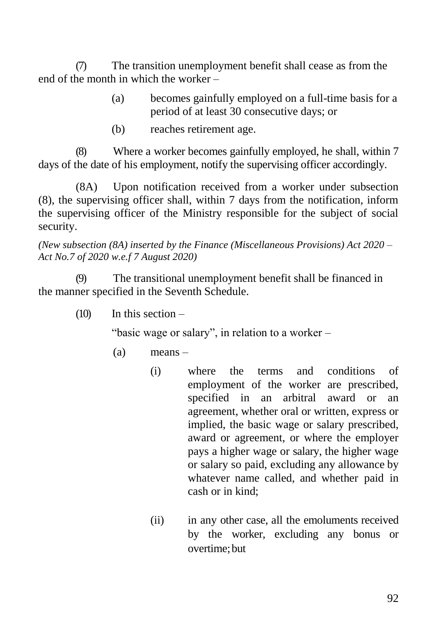(7) The transition unemployment benefit shall cease as from the end of the month in which the worker –

- (a) becomes gainfully employed on a full-time basis for a period of at least 30 consecutive days; or
- (b) reaches retirement age.

(8) Where a worker becomes gainfully employed, he shall, within 7 days of the date of his employment, notify the supervising officer accordingly.

(8A) Upon notification received from a worker under subsection (8), the supervising officer shall, within 7 days from the notification, inform the supervising officer of the Ministry responsible for the subject of social security.

*(New subsection (8A) inserted by the Finance (Miscellaneous Provisions) Act 2020 – Act No.7 of 2020 w.e.f 7 August 2020)*

(9) The transitional unemployment benefit shall be financed in the manner specified in the Seventh Schedule.

 $(10)$  In this section –

"basic wage or salary", in relation to a worker –

- (a) means
	- (i) where the terms and conditions of employment of the worker are prescribed, specified in an arbitral award or an agreement, whether oral or written, express or implied, the basic wage or salary prescribed, award or agreement, or where the employer pays a higher wage or salary, the higher wage or salary so paid, excluding any allowance by whatever name called, and whether paid in cash or in kind;
	- (ii) in any other case, all the emoluments received by the worker, excluding any bonus or overtime;but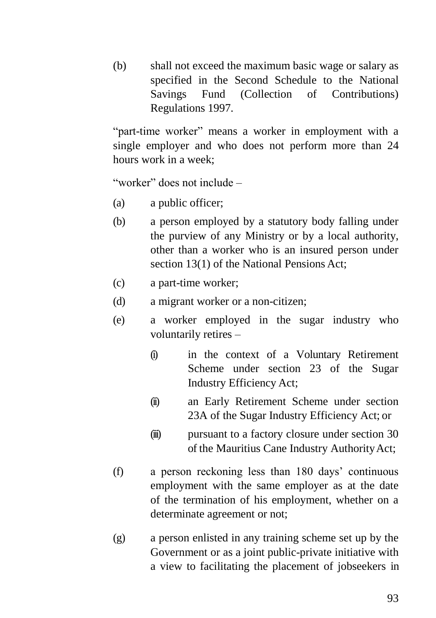(b) shall not exceed the maximum basic wage or salary as specified in the Second Schedule to the National Savings Fund (Collection of Contributions) Regulations 1997.

"part-time worker" means a worker in employment with a single employer and who does not perform more than 24 hours work in a week;

"worker" does not include –

- (a) a public officer;
- (b) a person employed by a statutory body falling under the purview of any Ministry or by a local authority, other than a worker who is an insured person under section 13(1) of the National Pensions Act;
- (c) a part-time worker;
- (d) a migrant worker or a non-citizen;
- (e) a worker employed in the sugar industry who voluntarily retires –
	- (i) in the context of a Voluntary Retirement Scheme under section 23 of the Sugar Industry Efficiency Act;
	- (ii) an Early Retirement Scheme under section 23A of the Sugar Industry Efficiency Act; or
	- (iii) pursuant to a factory closure under section 30 of the Mauritius Cane Industry AuthorityAct;
- (f) a person reckoning less than 180 days' continuous employment with the same employer as at the date of the termination of his employment, whether on a determinate agreement or not;
- (g) a person enlisted in any training scheme set up by the Government or as a joint public-private initiative with a view to facilitating the placement of jobseekers in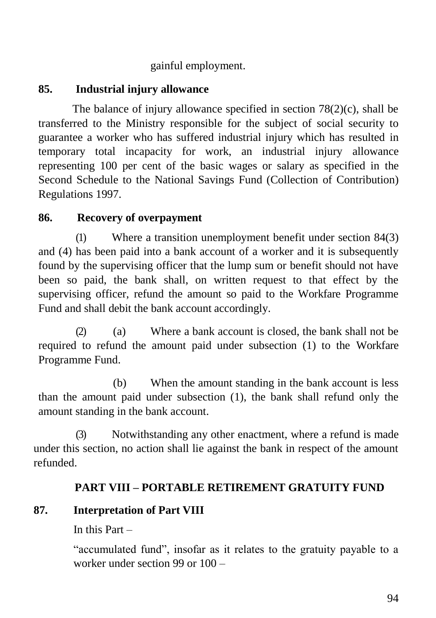### gainful employment.

## **85. Industrial injury allowance**

The balance of injury allowance specified in section  $78(2)(c)$ , shall be transferred to the Ministry responsible for the subject of social security to guarantee a worker who has suffered industrial injury which has resulted in temporary total incapacity for work, an industrial injury allowance representing 100 per cent of the basic wages or salary as specified in the Second Schedule to the National Savings Fund (Collection of Contribution) Regulations 1997.

## **86. Recovery of overpayment**

(1) Where a transition unemployment benefit under section 84(3) and (4) has been paid into a bank account of a worker and it is subsequently found by the supervising officer that the lump sum or benefit should not have been so paid, the bank shall, on written request to that effect by the supervising officer, refund the amount so paid to the Workfare Programme Fund and shall debit the bank account accordingly.

(2) (a) Where a bank account is closed, the bank shall not be required to refund the amount paid under subsection (1) to the Workfare Programme Fund.

(b) When the amount standing in the bank account is less than the amount paid under subsection (1), the bank shall refund only the amount standing in the bank account.

(3) Notwithstanding any other enactment, where a refund is made under this section, no action shall lie against the bank in respect of the amount refunded.

# **PART VIII – PORTABLE RETIREMENT GRATUITY FUND**

# **87. Interpretation of Part VIII**

In this Part –

"accumulated fund", insofar as it relates to the gratuity payable to a worker under section 99 or 100 –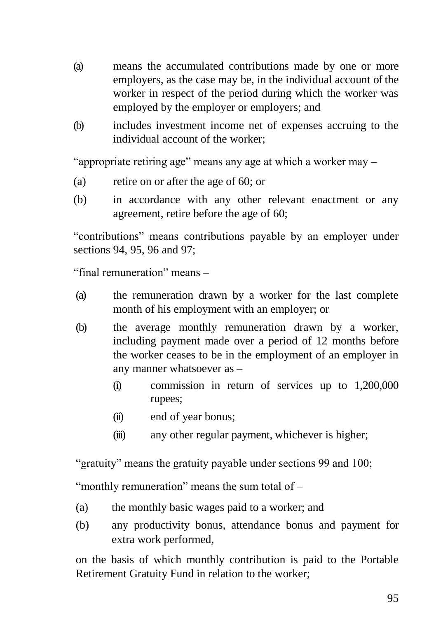- (a) means the accumulated contributions made by one or more employers, as the case may be, in the individual account of the worker in respect of the period during which the worker was employed by the employer or employers; and
- (b) includes investment income net of expenses accruing to the individual account of the worker;

"appropriate retiring age" means any age at which a worker may –

- (a) retire on or after the age of 60; or
- (b) in accordance with any other relevant enactment or any agreement, retire before the age of 60;

"contributions" means contributions payable by an employer under sections 94, 95, 96 and 97;

"final remuneration" means –

- (a) the remuneration drawn by a worker for the last complete month of his employment with an employer; or
- (b) the average monthly remuneration drawn by a worker, including payment made over a period of 12 months before the worker ceases to be in the employment of an employer in any manner whatsoever as –
	- (i) commission in return of services up to 1,200,000 rupees;
	- (ii) end of year bonus;
	- (iii) any other regular payment, whichever is higher;

"gratuity" means the gratuity payable under sections 99 and 100;

"monthly remuneration" means the sum total of –

- (a) the monthly basic wages paid to a worker; and
- (b) any productivity bonus, attendance bonus and payment for extra work performed,

on the basis of which monthly contribution is paid to the Portable Retirement Gratuity Fund in relation to the worker;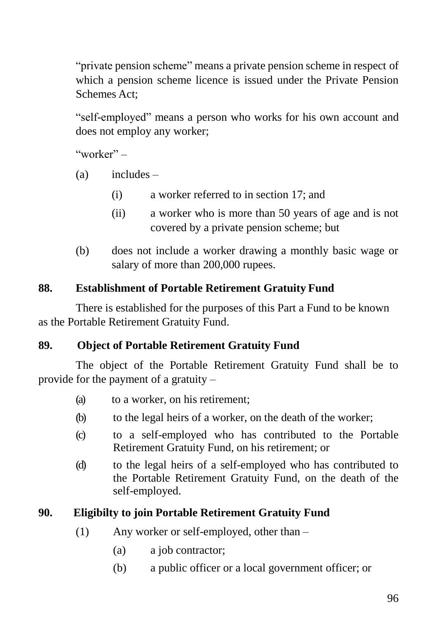"private pension scheme" means a private pension scheme in respect of which a pension scheme licence is issued under the Private Pension Schemes Act;

"self-employed" means a person who works for his own account and does not employ any worker;

"worker"  $-$ 

- (a) includes
	- (i) a worker referred to in section 17; and
	- (ii) a worker who is more than 50 years of age and is not covered by a private pension scheme; but
- (b) does not include a worker drawing a monthly basic wage or salary of more than 200,000 rupees.

### **88. Establishment of Portable Retirement Gratuity Fund**

There is established for the purposes of this Part a Fund to be known as the Portable Retirement Gratuity Fund.

### **89. Object of Portable Retirement Gratuity Fund**

The object of the Portable Retirement Gratuity Fund shall be to provide for the payment of a gratuity –

- (a) to a worker, on his retirement;
- (b) to the legal heirs of a worker, on the death of the worker;
- (c) to a self-employed who has contributed to the Portable Retirement Gratuity Fund, on his retirement; or
- (d) to the legal heirs of a self-employed who has contributed to the Portable Retirement Gratuity Fund, on the death of the self-employed.

### **90. Eligibilty to join Portable Retirement Gratuity Fund**

- (1) Any worker or self-employed, other than
	- (a) a job contractor;
	- (b) a public officer or a local government officer; or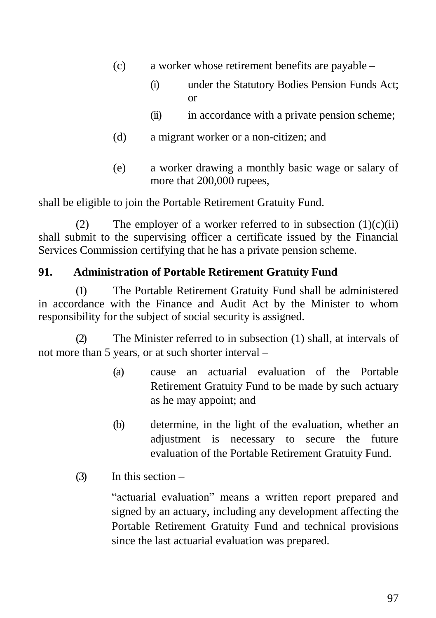- (c) a worker whose retirement benefits are payable
	- (i) under the Statutory Bodies Pension Funds Act; or
	- (ii) in accordance with a private pension scheme;
- (d) a migrant worker or a non-citizen; and
- (e) a worker drawing a monthly basic wage or salary of more that 200,000 rupees,

shall be eligible to join the Portable Retirement Gratuity Fund.

(2) The employer of a worker referred to in subsection  $(1)(c)(ii)$ shall submit to the supervising officer a certificate issued by the Financial Services Commission certifying that he has a private pension scheme.

### **91. Administration of Portable Retirement Gratuity Fund**

(1) The Portable Retirement Gratuity Fund shall be administered in accordance with the Finance and Audit Act by the Minister to whom responsibility for the subject of social security is assigned.

(2) The Minister referred to in subsection (1) shall, at intervals of not more than 5 years, or at such shorter interval –

- (a) cause an actuarial evaluation of the Portable Retirement Gratuity Fund to be made by such actuary as he may appoint; and
- (b) determine, in the light of the evaluation, whether an adjustment is necessary to secure the future evaluation of the Portable Retirement Gratuity Fund.
- (3) In this section –

"actuarial evaluation" means a written report prepared and signed by an actuary, including any development affecting the Portable Retirement Gratuity Fund and technical provisions since the last actuarial evaluation was prepared.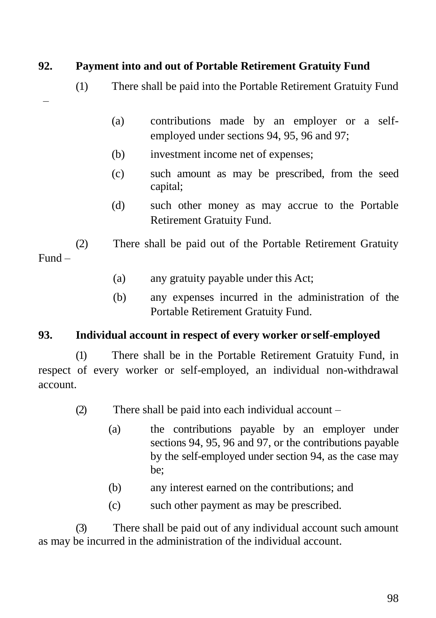# **92. Payment into and out of Portable Retirement Gratuity Fund**

- (1) There shall be paid into the Portable Retirement Gratuity Fund
- –
- (a) contributions made by an employer or a selfemployed under sections 94, 95, 96 and 97;
- (b) investment income net of expenses;
- (c) such amount as may be prescribed, from the seed capital;
- (d) such other money as may accrue to the Portable Retirement Gratuity Fund.

(2) There shall be paid out of the Portable Retirement Gratuity Fund –

- (a) any gratuity payable under this Act;
- (b) any expenses incurred in the administration of the Portable Retirement Gratuity Fund.

### **93. Individual account in respect of every worker or self-employed**

(1) There shall be in the Portable Retirement Gratuity Fund, in respect of every worker or self-employed, an individual non-withdrawal account.

- (2) There shall be paid into each individual account
	- (a) the contributions payable by an employer under sections 94, 95, 96 and 97, or the contributions payable by the self-employed under section 94, as the case may be;
	- (b) any interest earned on the contributions; and
	- (c) such other payment as may be prescribed.

(3) There shall be paid out of any individual account such amount as may be incurred in the administration of the individual account.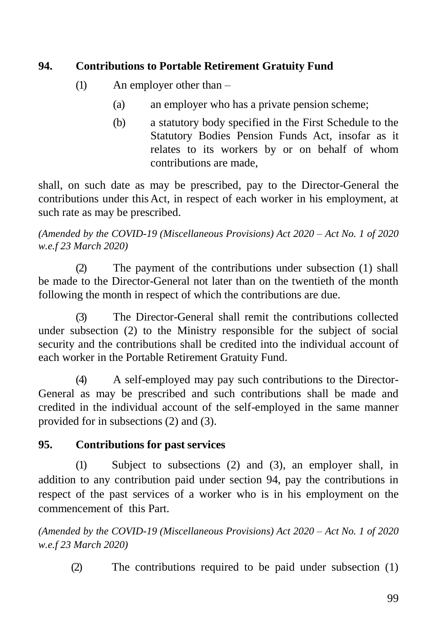# **94. Contributions to Portable Retirement Gratuity Fund**

- (1) An employer other than
	- (a) an employer who has a private pension scheme;
	- (b) a statutory body specified in the First Schedule to the Statutory Bodies Pension Funds Act, insofar as it relates to its workers by or on behalf of whom contributions are made,

shall, on such date as may be prescribed, pay to the Director-General the contributions under this Act, in respect of each worker in his employment, at such rate as may be prescribed.

*(Amended by the COVID-19 (Miscellaneous Provisions) Act 2020 – Act No. 1 of 2020 w.e.f 23 March 2020)*

(2) The payment of the contributions under subsection (1) shall be made to the Director-General not later than on the twentieth of the month following the month in respect of which the contributions are due.

(3) The Director-General shall remit the contributions collected under subsection (2) to the Ministry responsible for the subject of social security and the contributions shall be credited into the individual account of each worker in the Portable Retirement Gratuity Fund.

(4) A self-employed may pay such contributions to the Director-General as may be prescribed and such contributions shall be made and credited in the individual account of the self-employed in the same manner provided for in subsections (2) and (3).

# **95. Contributions for past services**

(1) Subject to subsections (2) and (3), an employer shall, in addition to any contribution paid under section 94, pay the contributions in respect of the past services of a worker who is in his employment on the commencement of this Part.

*(Amended by the COVID-19 (Miscellaneous Provisions) Act 2020 – Act No. 1 of 2020 w.e.f 23 March 2020)*

(2) The contributions required to be paid under subsection (1)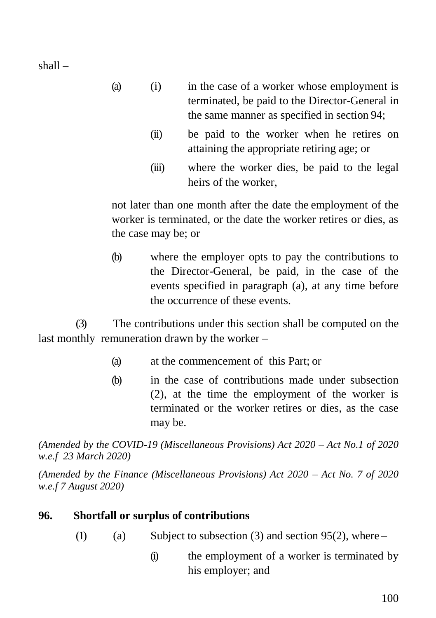shall –

- (a) (i) in the case of a worker whose employment is terminated, be paid to the Director-General in the same manner as specified in section 94;
	- (ii) be paid to the worker when he retires on attaining the appropriate retiring age; or
	- (iii) where the worker dies, be paid to the legal heirs of the worker,

not later than one month after the date the employment of the worker is terminated, or the date the worker retires or dies, as the case may be; or

(b) where the employer opts to pay the contributions to the Director-General, be paid, in the case of the events specified in paragraph (a), at any time before the occurrence of these events.

(3) The contributions under this section shall be computed on the last monthly remuneration drawn by the worker –

- (a) at the commencement of this Part; or
- (b) in the case of contributions made under subsection (2), at the time the employment of the worker is terminated or the worker retires or dies, as the case may be.

*(Amended by the COVID-19 (Miscellaneous Provisions) Act 2020 – Act No.1 of 2020 w.e.f 23 March 2020)*

*(Amended by the Finance (Miscellaneous Provisions) Act 2020 – Act No. 7 of 2020 w.e.f 7 August 2020)*

### **96. Shortfall or surplus of contributions**

- (1) (a) Subject to subsection (3) and section 95(2), where
	- (i) the employment of a worker is terminated by his employer; and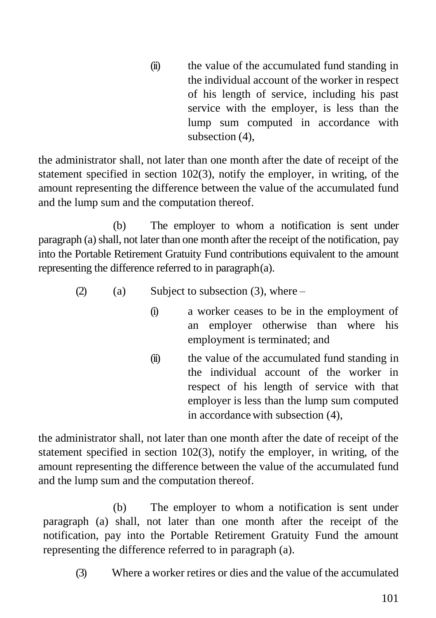(ii) the value of the accumulated fund standing in the individual account of the worker in respect of his length of service, including his past service with the employer, is less than the lump sum computed in accordance with subsection (4),

the administrator shall, not later than one month after the date of receipt of the statement specified in section 102(3), notify the employer, in writing, of the amount representing the difference between the value of the accumulated fund and the lump sum and the computation thereof.

(b) The employer to whom a notification is sent under paragraph (a) shall, not later than one month after the receipt of the notification, pay into the Portable Retirement Gratuity Fund contributions equivalent to the amount representing the difference referred to in paragraph(a).

- (2) (a) Subject to subsection (3), where
	- (i) a worker ceases to be in the employment of an employer otherwise than where his employment is terminated; and
	- (ii) the value of the accumulated fund standing in the individual account of the worker in respect of his length of service with that employer is less than the lump sum computed in accordancewith subsection (4),

the administrator shall, not later than one month after the date of receipt of the statement specified in section 102(3), notify the employer, in writing, of the amount representing the difference between the value of the accumulated fund and the lump sum and the computation thereof.

(b) The employer to whom a notification is sent under paragraph (a) shall, not later than one month after the receipt of the notification, pay into the Portable Retirement Gratuity Fund the amount representing the difference referred to in paragraph (a).

(3) Where a worker retires or dies and the value of the accumulated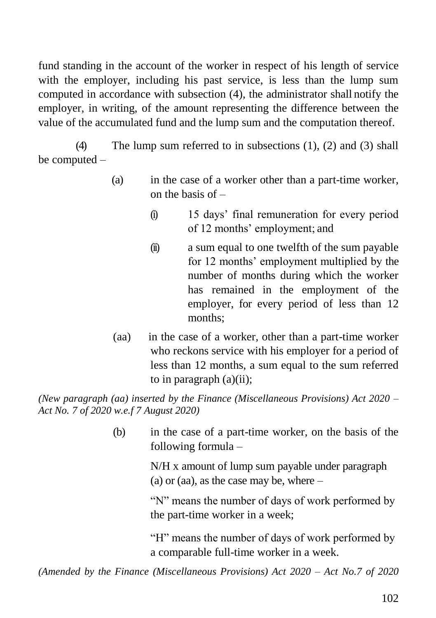fund standing in the account of the worker in respect of his length of service with the employer, including his past service, is less than the lump sum computed in accordance with subsection (4), the administrator shall notify the employer, in writing, of the amount representing the difference between the value of the accumulated fund and the lump sum and the computation thereof.

(4) The lump sum referred to in subsections (1), (2) and (3) shall be computed –

- (a) in the case of a worker other than a part-time worker, on the basis of  $-$ 
	- (i) 15 days' final remuneration for every period of 12 months' employment; and
	- (ii) a sum equal to one twelfth of the sum payable for 12 months' employment multiplied by the number of months during which the worker has remained in the employment of the employer, for every period of less than 12 months;
- (aa) in the case of a worker, other than a part-time worker who reckons service with his employer for a period of less than 12 months, a sum equal to the sum referred to in paragraph (a)(ii);

*(New paragraph (aa) inserted by the Finance (Miscellaneous Provisions) Act 2020 – Act No. 7 of 2020 w.e.f 7 August 2020)*

> (b) in the case of a part-time worker, on the basis of the following formula –

> > N/H x amount of lump sum payable under paragraph (a) or (aa), as the case may be, where  $-$

"N" means the number of days of work performed by the part-time worker in a week;

"H" means the number of days of work performed by a comparable full-time worker in a week.

*(Amended by the Finance (Miscellaneous Provisions) Act 2020 – Act No.7 of 2020*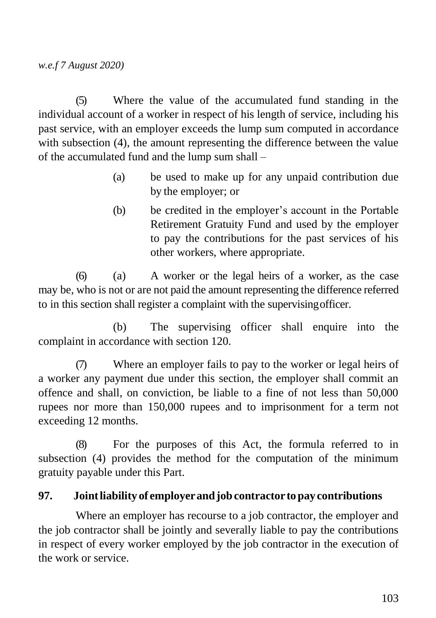(5) Where the value of the accumulated fund standing in the individual account of a worker in respect of his length of service, including his past service, with an employer exceeds the lump sum computed in accordance with subsection (4), the amount representing the difference between the value of the accumulated fund and the lump sum shall –

- (a) be used to make up for any unpaid contribution due by the employer; or
- (b) be credited in the employer's account in the Portable Retirement Gratuity Fund and used by the employer to pay the contributions for the past services of his other workers, where appropriate.

(6) (a) A worker or the legal heirs of a worker, as the case may be, who is not or are not paid the amount representing the difference referred to in this section shall register a complaint with the supervisingofficer.

(b) The supervising officer shall enquire into the complaint in accordance with section 120.

(7) Where an employer fails to pay to the worker or legal heirs of a worker any payment due under this section, the employer shall commit an offence and shall, on conviction, be liable to a fine of not less than 50,000 rupees nor more than 150,000 rupees and to imprisonment for a term not exceeding 12 months.

(8) For the purposes of this Act, the formula referred to in subsection (4) provides the method for the computation of the minimum gratuity payable under this Part.

### **97. Jointliability of employerandjobcontractor topay contributions**

Where an employer has recourse to a job contractor, the employer and the job contractor shall be jointly and severally liable to pay the contributions in respect of every worker employed by the job contractor in the execution of the work or service.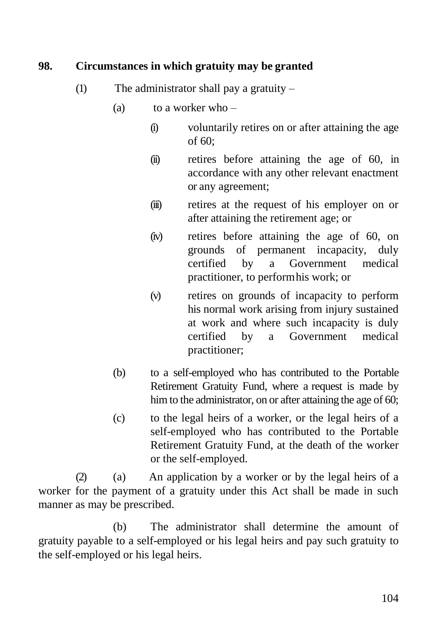### **98. Circumstances in which gratuity may be granted**

- (1) The administrator shall pay a gratuity  $-$ 
	- (a) to a worker who  $-$ 
		- (i) voluntarily retires on or after attaining the age of 60;
		- (ii) retires before attaining the age of 60, in accordance with any other relevant enactment or any agreement;
		- (iii) retires at the request of his employer on or after attaining the retirement age; or
		- (iv) retires before attaining the age of 60, on grounds of permanent incapacity, duly certified by a Government medical practitioner, to performhis work; or
		- (v) retires on grounds of incapacity to perform his normal work arising from injury sustained at work and where such incapacity is duly certified by a Government medical practitioner;
	- (b) to a self-employed who has contributed to the Portable Retirement Gratuity Fund, where a request is made by him to the administrator, on or after attaining the age of 60;
	- (c) to the legal heirs of a worker, or the legal heirs of a self-employed who has contributed to the Portable Retirement Gratuity Fund, at the death of the worker or the self-employed.

(2) (a) An application by a worker or by the legal heirs of a worker for the payment of a gratuity under this Act shall be made in such manner as may be prescribed.

(b) The administrator shall determine the amount of gratuity payable to a self-employed or his legal heirs and pay such gratuity to the self-employed or his legal heirs.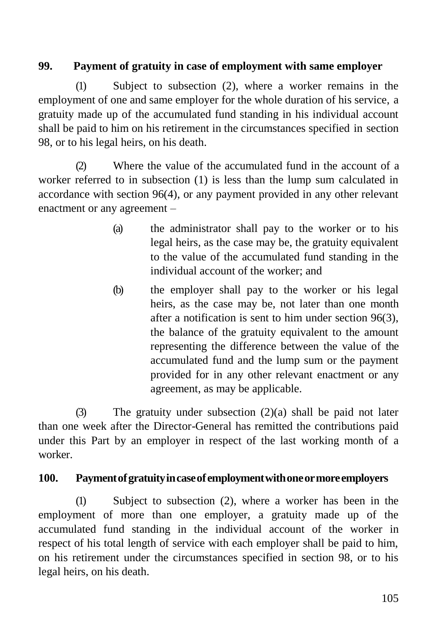## **99. Payment of gratuity in case of employment with same employer**

(1) Subject to subsection (2), where a worker remains in the employment of one and same employer for the whole duration of his service, a gratuity made up of the accumulated fund standing in his individual account shall be paid to him on his retirement in the circumstances specified in section 98, or to his legal heirs, on his death.

(2) Where the value of the accumulated fund in the account of a worker referred to in subsection (1) is less than the lump sum calculated in accordance with section 96(4), or any payment provided in any other relevant enactment or any agreement –

- (a) the administrator shall pay to the worker or to his legal heirs, as the case may be, the gratuity equivalent to the value of the accumulated fund standing in the individual account of the worker; and
- (b) the employer shall pay to the worker or his legal heirs, as the case may be, not later than one month after a notification is sent to him under section 96(3), the balance of the gratuity equivalent to the amount representing the difference between the value of the accumulated fund and the lump sum or the payment provided for in any other relevant enactment or any agreement, as may be applicable.

(3) The gratuity under subsection (2)(a) shall be paid not later than one week after the Director-General has remitted the contributions paid under this Part by an employer in respect of the last working month of a worker.

### **100. Paymentofgratuityincaseofemploymentwithoneormoreemployers**

(1) Subject to subsection (2), where a worker has been in the employment of more than one employer, a gratuity made up of the accumulated fund standing in the individual account of the worker in respect of his total length of service with each employer shall be paid to him, on his retirement under the circumstances specified in section 98, or to his legal heirs, on his death.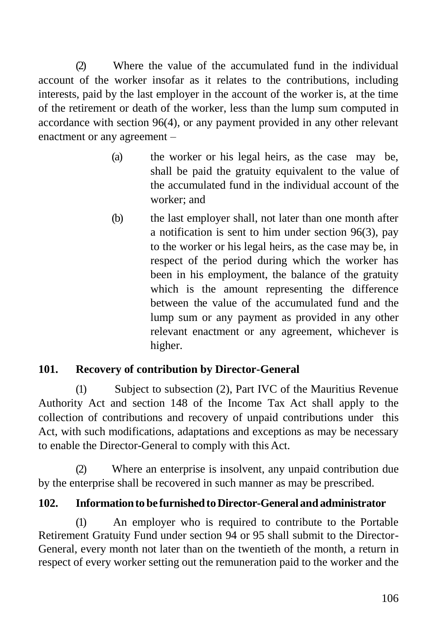(2) Where the value of the accumulated fund in the individual account of the worker insofar as it relates to the contributions, including interests, paid by the last employer in the account of the worker is, at the time of the retirement or death of the worker, less than the lump sum computed in accordance with section 96(4), or any payment provided in any other relevant enactment or any agreement –

- (a) the worker or his legal heirs, as the case may be, shall be paid the gratuity equivalent to the value of the accumulated fund in the individual account of the worker; and
- (b) the last employer shall, not later than one month after a notification is sent to him under section 96(3), pay to the worker or his legal heirs, as the case may be, in respect of the period during which the worker has been in his employment, the balance of the gratuity which is the amount representing the difference between the value of the accumulated fund and the lump sum or any payment as provided in any other relevant enactment or any agreement, whichever is higher.

# **101. Recovery of contribution by Director-General**

(1) Subject to subsection (2), Part IVC of the Mauritius Revenue Authority Act and section 148 of the Income Tax Act shall apply to the collection of contributions and recovery of unpaid contributions under this Act, with such modifications, adaptations and exceptions as may be necessary to enable the Director-General to comply with this Act.

(2) Where an enterprise is insolvent, any unpaid contribution due by the enterprise shall be recovered in such manner as may be prescribed.

# **102. Informationto be furnishedtoDirector-General andadministrator**

(1) An employer who is required to contribute to the Portable Retirement Gratuity Fund under section 94 or 95 shall submit to the Director-General, every month not later than on the twentieth of the month, a return in respect of every worker setting out the remuneration paid to the worker and the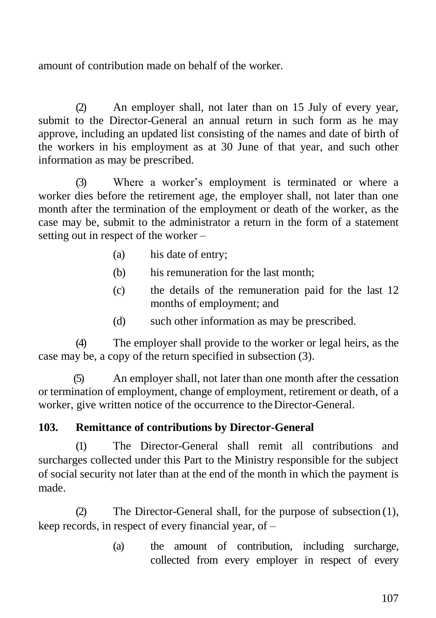amount of contribution made on behalf of the worker.

(2) An employer shall, not later than on 15 July of every year, submit to the Director-General an annual return in such form as he may approve, including an updated list consisting of the names and date of birth of the workers in his employment as at 30 June of that year, and such other information as may be prescribed.

(3) Where a worker's employment is terminated or where a worker dies before the retirement age, the employer shall, not later than one month after the termination of the employment or death of the worker, as the case may be, submit to the administrator a return in the form of a statement setting out in respect of the worker –

- (a) his date of entry;
- (b) his remuneration for the last month;
- (c) the details of the remuneration paid for the last 12 months of employment; and
- (d) such other information as may be prescribed.

(4) The employer shall provide to the worker or legal heirs, as the case may be, a copy of the return specified in subsection (3).

(5) An employer shall, not later than one month after the cessation or termination of employment, change of employment, retirement or death, of a worker, give written notice of the occurrence to the Director-General.

### **103. Remittance of contributions by Director-General**

(1) The Director-General shall remit all contributions and surcharges collected under this Part to the Ministry responsible for the subject of social security not later than at the end of the month in which the payment is made.

(2) The Director-General shall, for the purpose of subsection (1), keep records, in respect of every financial year, of –

> (a) the amount of contribution, including surcharge, collected from every employer in respect of every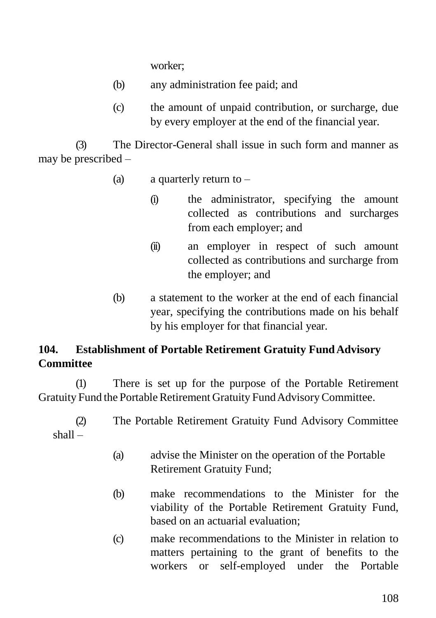worker;

- (b) any administration fee paid; and
- (c) the amount of unpaid contribution, or surcharge, due by every employer at the end of the financial year.

(3) The Director-General shall issue in such form and manner as may be prescribed –

- (a) a quarterly return to  $-$ 
	- (i) the administrator, specifying the amount collected as contributions and surcharges from each employer; and
	- (ii) an employer in respect of such amount collected as contributions and surcharge from the employer; and
- (b) a statement to the worker at the end of each financial year, specifying the contributions made on his behalf by his employer for that financial year.

# **104. Establishment of Portable Retirement Gratuity FundAdvisory Committee**

(1) There is set up for the purpose of the Portable Retirement Gratuity Fund the Portable Retirement Gratuity Fund Advisory Committee.

(2) The Portable Retirement Gratuity Fund Advisory Committee shall –

- (a) advise the Minister on the operation of the Portable Retirement Gratuity Fund;
- (b) make recommendations to the Minister for the viability of the Portable Retirement Gratuity Fund, based on an actuarial evaluation;
- (c) make recommendations to the Minister in relation to matters pertaining to the grant of benefits to the workers or self-employed under the Portable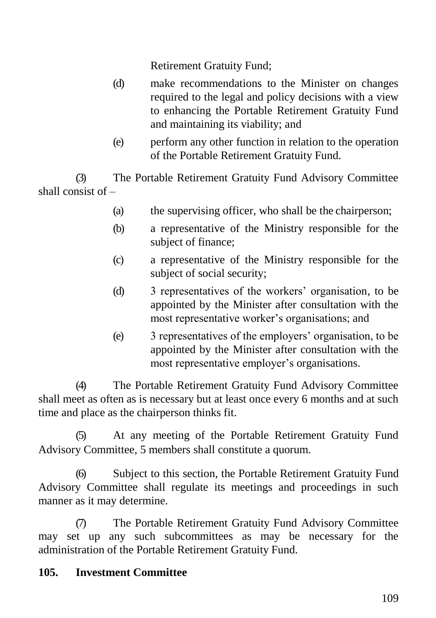Retirement Gratuity Fund;

- (d) make recommendations to the Minister on changes required to the legal and policy decisions with a view to enhancing the Portable Retirement Gratuity Fund and maintaining its viability; and
- (e) perform any other function in relation to the operation of the Portable Retirement Gratuity Fund.

(3) The Portable Retirement Gratuity Fund Advisory Committee shall consist of –

- (a) the supervising officer, who shall be the chairperson;
- (b) a representative of the Ministry responsible for the subject of finance;
- (c) a representative of the Ministry responsible for the subject of social security;
- (d) 3 representatives of the workers' organisation, to be appointed by the Minister after consultation with the most representative worker's organisations; and
- (e) 3 representatives of the employers' organisation, to be appointed by the Minister after consultation with the most representative employer's organisations.

(4) The Portable Retirement Gratuity Fund Advisory Committee shall meet as often as is necessary but at least once every 6 months and at such time and place as the chairperson thinks fit.

(5) At any meeting of the Portable Retirement Gratuity Fund Advisory Committee, 5 members shall constitute a quorum.

(6) Subject to this section, the Portable Retirement Gratuity Fund Advisory Committee shall regulate its meetings and proceedings in such manner as it may determine.

(7) The Portable Retirement Gratuity Fund Advisory Committee may set up any such subcommittees as may be necessary for the administration of the Portable Retirement Gratuity Fund.

# **105. Investment Committee**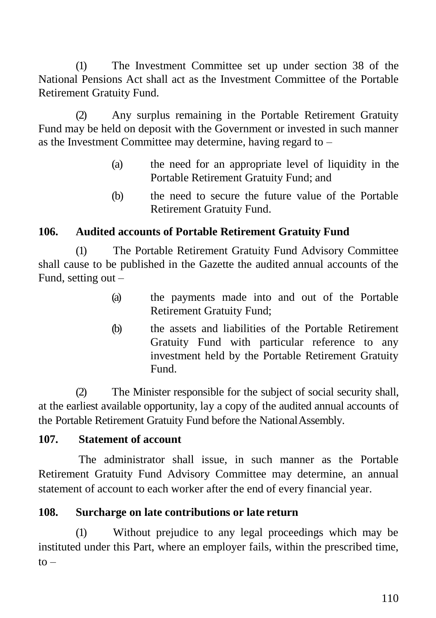(1) The Investment Committee set up under section 38 of the National Pensions Act shall act as the Investment Committee of the Portable Retirement Gratuity Fund.

(2) Any surplus remaining in the Portable Retirement Gratuity Fund may be held on deposit with the Government or invested in such manner as the Investment Committee may determine, having regard to –

- (a) the need for an appropriate level of liquidity in the Portable Retirement Gratuity Fund; and
- (b) the need to secure the future value of the Portable Retirement Gratuity Fund.

# **106. Audited accounts of Portable Retirement Gratuity Fund**

(1) The Portable Retirement Gratuity Fund Advisory Committee shall cause to be published in the Gazette the audited annual accounts of the Fund, setting out –

- (a) the payments made into and out of the Portable Retirement Gratuity Fund;
- (b) the assets and liabilities of the Portable Retirement Gratuity Fund with particular reference to any investment held by the Portable Retirement Gratuity Fund.

(2) The Minister responsible for the subject of social security shall, at the earliest available opportunity, lay a copy of the audited annual accounts of the Portable Retirement Gratuity Fund before the NationalAssembly.

#### **107. Statement of account**

The administrator shall issue, in such manner as the Portable Retirement Gratuity Fund Advisory Committee may determine, an annual statement of account to each worker after the end of every financial year.

#### **108. Surcharge on late contributions or late return**

(1) Without prejudice to any legal proceedings which may be instituted under this Part, where an employer fails, within the prescribed time,  $to -$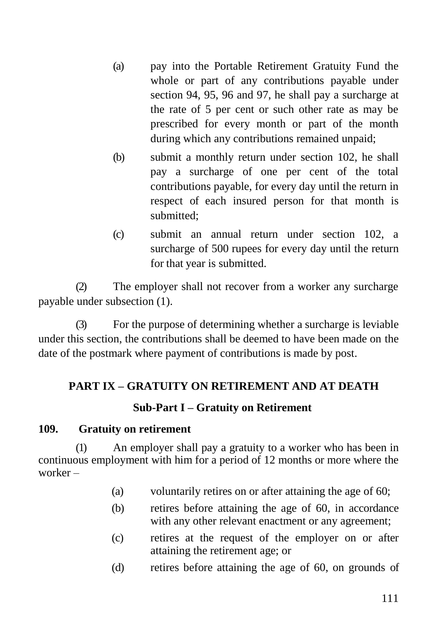- (a) pay into the Portable Retirement Gratuity Fund the whole or part of any contributions payable under section 94, 95, 96 and 97, he shall pay a surcharge at the rate of 5 per cent or such other rate as may be prescribed for every month or part of the month during which any contributions remained unpaid;
- (b) submit a monthly return under section 102, he shall pay a surcharge of one per cent of the total contributions payable, for every day until the return in respect of each insured person for that month is submitted;
- (c) submit an annual return under section 102, a surcharge of 500 rupees for every day until the return for that year is submitted.

(2) The employer shall not recover from a worker any surcharge payable under subsection (1).

(3) For the purpose of determining whether a surcharge is leviable under this section, the contributions shall be deemed to have been made on the date of the postmark where payment of contributions is made by post.

# **PART IX – GRATUITY ON RETIREMENT AND AT DEATH**

# **Sub-Part I – Gratuity on Retirement**

#### **109. Gratuity on retirement**

(1) An employer shall pay a gratuity to a worker who has been in continuous employment with him for a period of 12 months or more where the worker –

- (a) voluntarily retires on or after attaining the age of 60;
- (b) retires before attaining the age of 60, in accordance with any other relevant enactment or any agreement;
- (c) retires at the request of the employer on or after attaining the retirement age; or
- (d) retires before attaining the age of 60, on grounds of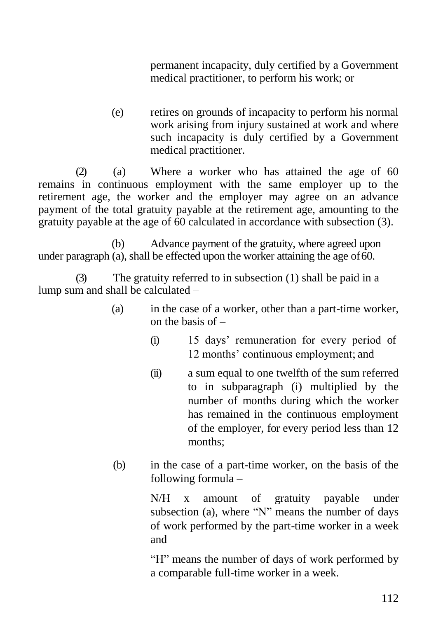permanent incapacity, duly certified by a Government medical practitioner, to perform his work; or

(e) retires on grounds of incapacity to perform his normal work arising from injury sustained at work and where such incapacity is duly certified by a Government medical practitioner.

(2) (a) Where a worker who has attained the age of 60 remains in continuous employment with the same employer up to the retirement age, the worker and the employer may agree on an advance payment of the total gratuity payable at the retirement age, amounting to the gratuity payable at the age of 60 calculated in accordance with subsection (3).

(b) Advance payment of the gratuity, where agreed upon under paragraph (a), shall be effected upon the worker attaining the age of 60.

(3) The gratuity referred to in subsection (1) shall be paid in a lump sum and shall be calculated –

- (a) in the case of a worker, other than a part-time worker, on the basis of –
	- (i) 15 days' remuneration for every period of 12 months' continuous employment; and
	- (ii) a sum equal to one twelfth of the sum referred to in subparagraph (i) multiplied by the number of months during which the worker has remained in the continuous employment of the employer, for every period less than 12 months;
- (b) in the case of a part-time worker, on the basis of the following formula –

N/H x amount of gratuity payable under subsection (a), where "N" means the number of days of work performed by the part-time worker in a week and

"H" means the number of days of work performed by a comparable full-time worker in a week.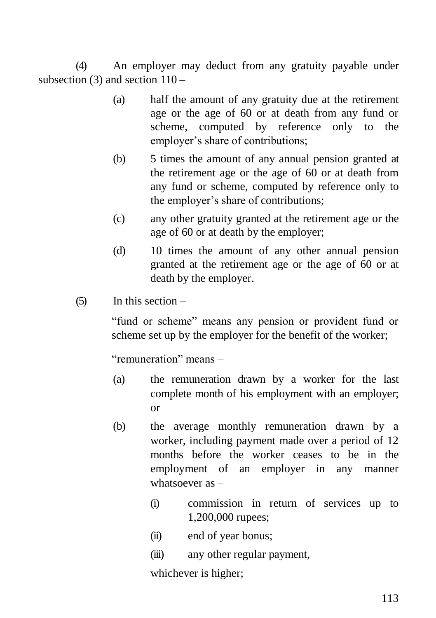(4) An employer may deduct from any gratuity payable under subsection  $(3)$  and section  $110 -$ 

- (a) half the amount of any gratuity due at the retirement age or the age of 60 or at death from any fund or scheme, computed by reference only to the employer's share of contributions;
- (b) 5 times the amount of any annual pension granted at the retirement age or the age of 60 or at death from any fund or scheme, computed by reference only to the employer's share of contributions;
- (c) any other gratuity granted at the retirement age or the age of 60 or at death by the employer;
- (d) 10 times the amount of any other annual pension granted at the retirement age or the age of 60 or at death by the employer.

### $(5)$  In this section –

"fund or scheme" means any pension or provident fund or scheme set up by the employer for the benefit of the worker;

"remuneration" means –

- (a) the remuneration drawn by a worker for the last complete month of his employment with an employer; or
- (b) the average monthly remuneration drawn by a worker, including payment made over a period of 12 months before the worker ceases to be in the employment of an employer in any manner whatsoever as –
	- (i) commission in return of services up to 1,200,000 rupees;
	- (ii) end of year bonus;
	- (iii) any other regular payment,

whichever is higher;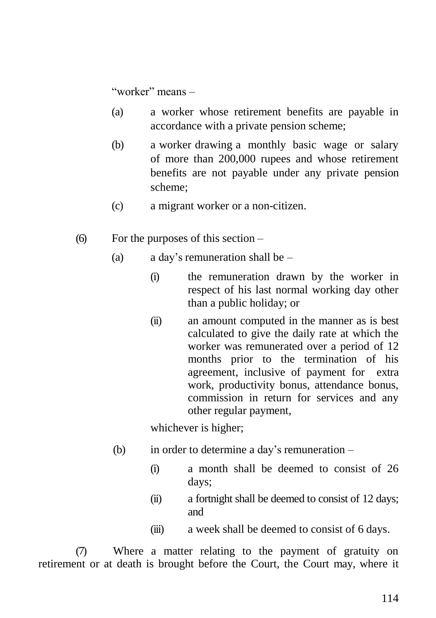"worker" means –

- (a) a worker whose retirement benefits are payable in accordance with a private pension scheme;
- (b) a worker drawing a monthly basic wage or salary of more than 200,000 rupees and whose retirement benefits are not payable under any private pension scheme;
- (c) a migrant worker or a non-citizen.
- (6) For the purposes of this section
	- (a) a day's remuneration shall be
		- (i) the remuneration drawn by the worker in respect of his last normal working day other than a public holiday; or
		- (ii) an amount computed in the manner as is best calculated to give the daily rate at which the worker was remunerated over a period of 12 months prior to the termination of his agreement, inclusive of payment for extra work, productivity bonus, attendance bonus, commission in return for services and any other regular payment,

whichever is higher;

- (b) in order to determine a day's remuneration
	- (i) a month shall be deemed to consist of 26 days;
	- (ii) a fortnight shall be deemed to consist of 12 days; and
	- (iii) a week shall be deemed to consist of 6 days.

(7) Where a matter relating to the payment of gratuity on retirement or at death is brought before the Court, the Court may, where it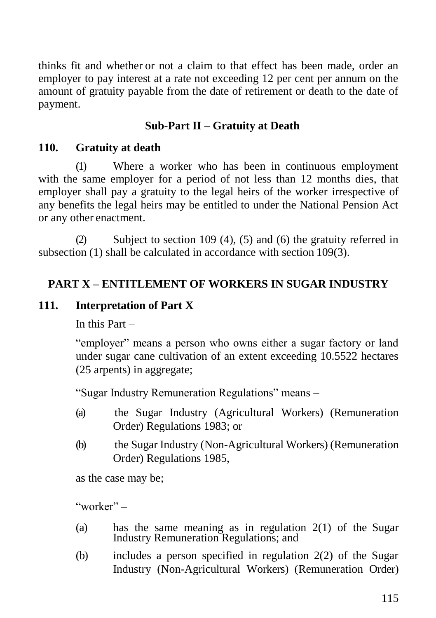thinks fit and whether or not a claim to that effect has been made, order an employer to pay interest at a rate not exceeding 12 per cent per annum on the amount of gratuity payable from the date of retirement or death to the date of payment.

# **Sub-Part II – Gratuity at Death**

### **110. Gratuity at death**

(1) Where a worker who has been in continuous employment with the same employer for a period of not less than 12 months dies, that employer shall pay a gratuity to the legal heirs of the worker irrespective of any benefits the legal heirs may be entitled to under the National Pension Act or any other enactment.

(2) Subject to section 109 (4), (5) and (6) the gratuity referred in subsection (1) shall be calculated in accordance with section 109(3).

# **PART X – ENTITLEMENT OF WORKERS IN SUGAR INDUSTRY**

# **111. Interpretation of Part X**

In this Part –

"employer" means a person who owns either a sugar factory or land under sugar cane cultivation of an extent exceeding 10.5522 hectares (25 arpents) in aggregate;

"Sugar Industry Remuneration Regulations" means –

- (a) the Sugar Industry (Agricultural Workers) (Remuneration Order) Regulations 1983; or
- (b) the Sugar Industry (Non-Agricultural Workers) (Remuneration Order) Regulations 1985,

as the case may be;

"worker" –

- (a) has the same meaning as in regulation  $2(1)$  of the Sugar Industry Remuneration Regulations; and
- (b) includes a person specified in regulation 2(2) of the Sugar Industry (Non-Agricultural Workers) (Remuneration Order)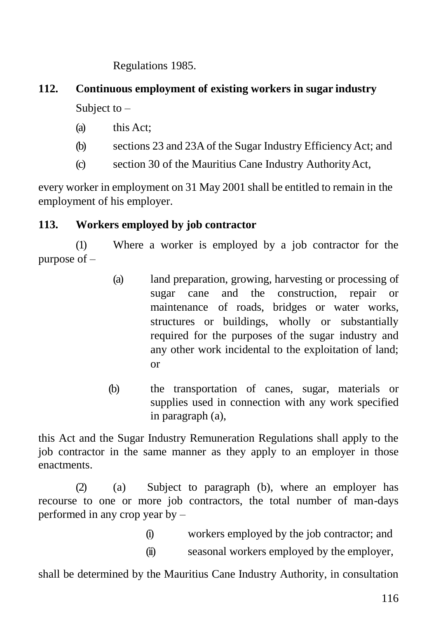Regulations 1985.

# **112. Continuous employment of existing workers in sugar industry** Subject to  $-$

- (a) this Act;
- (b) sections 23 and 23A of the Sugar Industry EfficiencyAct; and
- (c) section 30 of the Mauritius Cane Industry AuthorityAct,

every worker in employment on 31 May 2001 shall be entitled to remain in the employment of his employer.

#### **113. Workers employed by job contractor**

(1) Where a worker is employed by a job contractor for the purpose of –

- (a) land preparation, growing, harvesting or processing of sugar cane and the construction, repair or maintenance of roads, bridges or water works, structures or buildings, wholly or substantially required for the purposes of the sugar industry and any other work incidental to the exploitation of land; or
- (b) the transportation of canes, sugar, materials or supplies used in connection with any work specified in paragraph (a),

this Act and the Sugar Industry Remuneration Regulations shall apply to the job contractor in the same manner as they apply to an employer in those enactments.

(2) (a) Subject to paragraph (b), where an employer has recourse to one or more job contractors, the total number of man-days performed in any crop year by –

- (i) workers employed by the job contractor; and
- (ii) seasonal workers employed by the employer,

shall be determined by the Mauritius Cane Industry Authority, in consultation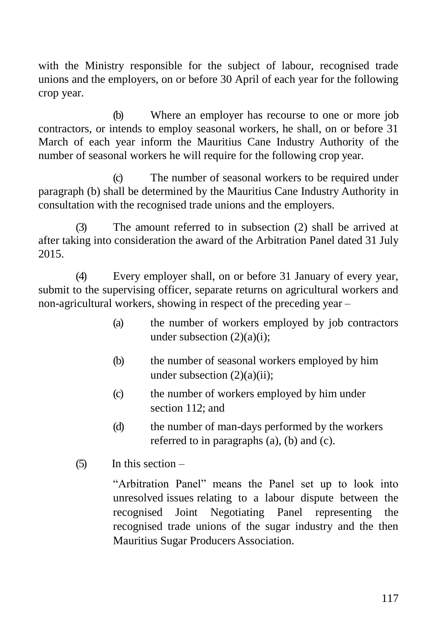with the Ministry responsible for the subject of labour, recognised trade unions and the employers, on or before 30 April of each year for the following crop year.

(b) Where an employer has recourse to one or more job contractors, or intends to employ seasonal workers, he shall, on or before 31 March of each year inform the Mauritius Cane Industry Authority of the number of seasonal workers he will require for the following crop year.

(c) The number of seasonal workers to be required under paragraph (b) shall be determined by the Mauritius Cane Industry Authority in consultation with the recognised trade unions and the employers.

(3) The amount referred to in subsection (2) shall be arrived at after taking into consideration the award of the Arbitration Panel dated 31 July 2015.

(4) Every employer shall, on or before 31 January of every year, submit to the supervising officer, separate returns on agricultural workers and non-agricultural workers, showing in respect of the preceding year –

- (a) the number of workers employed by job contractors under subsection  $(2)(a)(i)$ ;
- (b) the number of seasonal workers employed by him under subsection  $(2)(a)(ii)$ ;
- (c) the number of workers employed by him under section 112; and
- (d) the number of man-days performed by the workers referred to in paragraphs (a), (b) and (c).
- $(5)$  In this section –

"Arbitration Panel" means the Panel set up to look into unresolved issues relating to a labour dispute between the recognised Joint Negotiating Panel representing the recognised trade unions of the sugar industry and the then Mauritius Sugar Producers Association.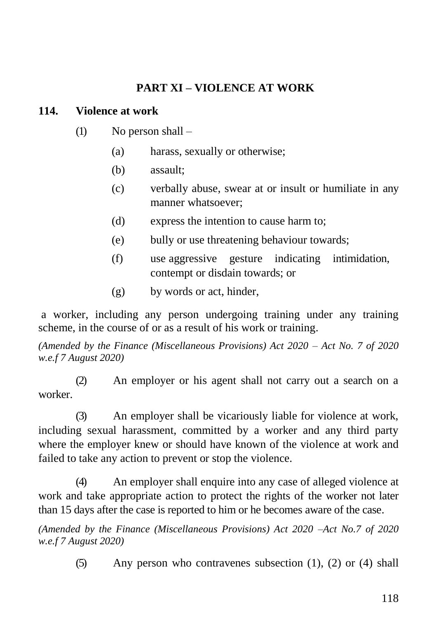# **PART XI – VIOLENCE AT WORK**

#### **114. Violence at work**

- (1) No person shall
	- (a) harass, sexually or otherwise;
	- (b) assault;
	- (c) verbally abuse, swear at or insult or humiliate in any manner whatsoever;
	- (d) express the intention to cause harm to;
	- (e) bully or use threatening behaviour towards;
	- (f) use aggressive gesture indicating intimidation, contempt or disdain towards; or
	- (g) by words or act, hinder,

a worker, including any person undergoing training under any training scheme, in the course of or as a result of his work or training.

*(Amended by the Finance (Miscellaneous Provisions) Act 2020 – Act No. 7 of 2020 w.e.f 7 August 2020)*

(2) An employer or his agent shall not carry out a search on a worker.

(3) An employer shall be vicariously liable for violence at work, including sexual harassment, committed by a worker and any third party where the employer knew or should have known of the violence at work and failed to take any action to prevent or stop the violence.

(4) An employer shall enquire into any case of alleged violence at work and take appropriate action to protect the rights of the worker not later than 15 days after the case is reported to him or he becomes aware of the case.

*(Amended by the Finance (Miscellaneous Provisions) Act 2020 –Act No.7 of 2020 w.e.f 7 August 2020)*

(5) Any person who contravenes subsection (1), (2) or (4) shall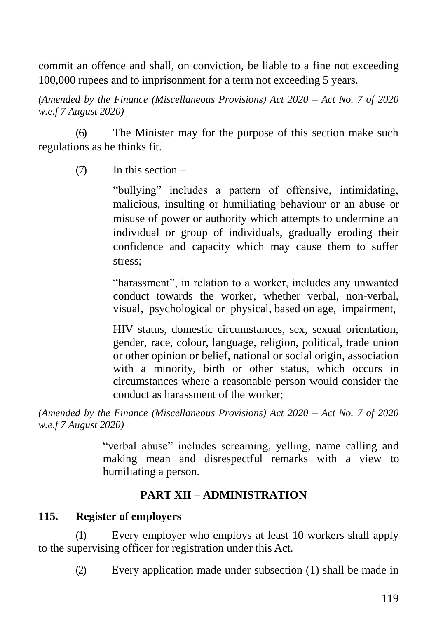commit an offence and shall, on conviction, be liable to a fine not exceeding 100,000 rupees and to imprisonment for a term not exceeding 5 years.

*(Amended by the Finance (Miscellaneous Provisions) Act 2020 – Act No. 7 of 2020 w.e.f 7 August 2020)*

(6) The Minister may for the purpose of this section make such regulations as he thinks fit.

(7) In this section –

"bullying" includes a pattern of offensive, intimidating, malicious, insulting or humiliating behaviour or an abuse or misuse of power or authority which attempts to undermine an individual or group of individuals, gradually eroding their confidence and capacity which may cause them to suffer stress;

"harassment", in relation to a worker, includes any unwanted conduct towards the worker, whether verbal, non-verbal, visual, psychological or physical, based on age, impairment,

HIV status, domestic circumstances, sex, sexual orientation, gender, race, colour, language, religion, political, trade union or other opinion or belief, national or social origin, association with a minority, birth or other status, which occurs in circumstances where a reasonable person would consider the conduct as harassment of the worker;

*(Amended by the Finance (Miscellaneous Provisions) Act 2020 – Act No. 7 of 2020 w.e.f 7 August 2020)*

> "verbal abuse" includes screaming, yelling, name calling and making mean and disrespectful remarks with a view to humiliating a person.

#### **PART XII – ADMINISTRATION**

#### **115. Register of employers**

(1) Every employer who employs at least 10 workers shall apply to the supervising officer for registration under this Act.

(2) Every application made under subsection (1) shall be made in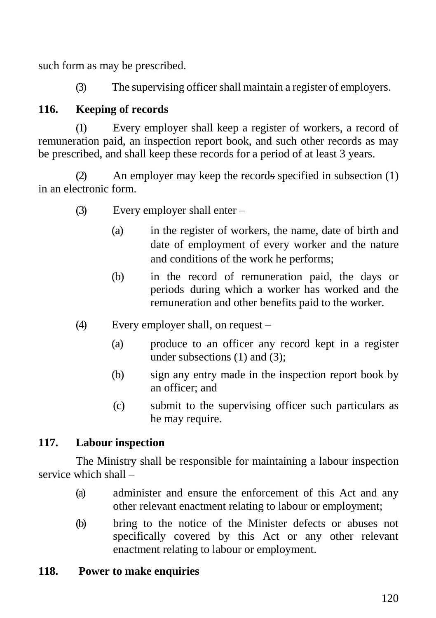such form as may be prescribed.

(3) The supervising officer shall maintain a register of employers.

# **116. Keeping of records**

(1) Every employer shall keep a register of workers, a record of remuneration paid, an inspection report book, and such other records as may be prescribed, and shall keep these records for a period of at least 3 years.

(2) An employer may keep the records specified in subsection (1) in an electronic form.

- (3) Every employer shall enter
	- (a) in the register of workers, the name, date of birth and date of employment of every worker and the nature and conditions of the work he performs;
	- (b) in the record of remuneration paid, the days or periods during which a worker has worked and the remuneration and other benefits paid to the worker.
- (4) Every employer shall, on request
	- (a) produce to an officer any record kept in a register under subsections (1) and (3);
	- (b) sign any entry made in the inspection report book by an officer; and
	- (c) submit to the supervising officer such particulars as he may require.

# **117. Labour inspection**

The Ministry shall be responsible for maintaining a labour inspection service which shall –

- (a) administer and ensure the enforcement of this Act and any other relevant enactment relating to labour or employment;
- (b) bring to the notice of the Minister defects or abuses not specifically covered by this Act or any other relevant enactment relating to labour or employment.

# **118. Power to make enquiries**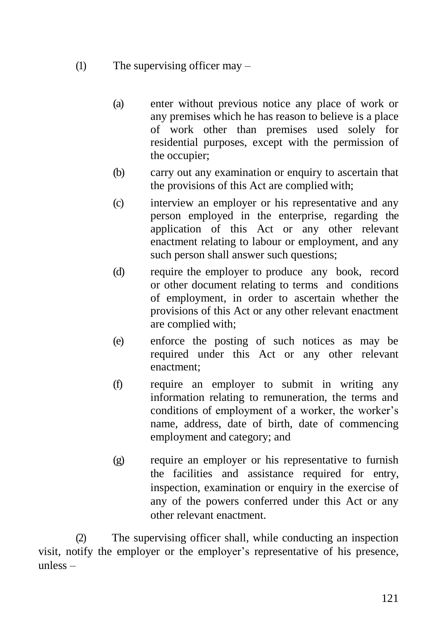- (1) The supervising officer may
	- (a) enter without previous notice any place of work or any premises which he has reason to believe is a place of work other than premises used solely for residential purposes, except with the permission of the occupier;
	- (b) carry out any examination or enquiry to ascertain that the provisions of this Act are complied with;
	- (c) interview an employer or his representative and any person employed in the enterprise, regarding the application of this Act or any other relevant enactment relating to labour or employment, and any such person shall answer such questions;
	- (d) require the employer to produce any book, record or other document relating to terms and conditions of employment, in order to ascertain whether the provisions of this Act or any other relevant enactment are complied with;
	- (e) enforce the posting of such notices as may be required under this Act or any other relevant enactment;
	- (f) require an employer to submit in writing any information relating to remuneration, the terms and conditions of employment of a worker, the worker's name, address, date of birth, date of commencing employment and category; and
	- (g) require an employer or his representative to furnish the facilities and assistance required for entry, inspection, examination or enquiry in the exercise of any of the powers conferred under this Act or any other relevant enactment.

(2) The supervising officer shall, while conducting an inspection visit, notify the employer or the employer's representative of his presence, unless –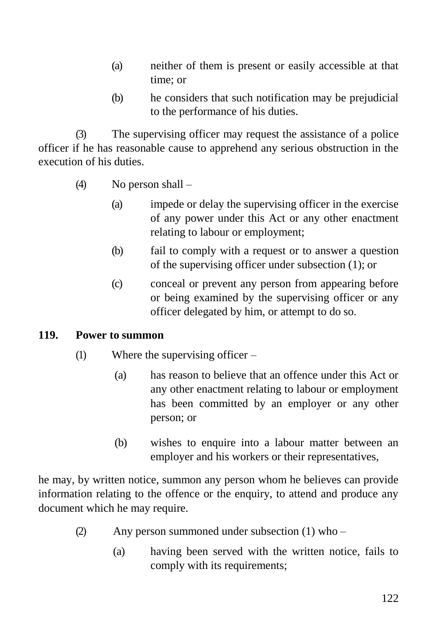- (a) neither of them is present or easily accessible at that time; or
- (b) he considers that such notification may be prejudicial to the performance of his duties.

(3) The supervising officer may request the assistance of a police officer if he has reasonable cause to apprehend any serious obstruction in the execution of his duties.

- (4) No person shall
	- (a) impede or delay the supervising officer in the exercise of any power under this Act or any other enactment relating to labour or employment;
	- (b) fail to comply with a request or to answer a question of the supervising officer under subsection (1); or
	- (c) conceal or prevent any person from appearing before or being examined by the supervising officer or any officer delegated by him, or attempt to do so.

#### **119. Power to summon**

- (1) Where the supervising officer
	- (a) has reason to believe that an offence under this Act or any other enactment relating to labour or employment has been committed by an employer or any other person; or
	- (b) wishes to enquire into a labour matter between an employer and his workers or their representatives,

he may, by written notice, summon any person whom he believes can provide information relating to the offence or the enquiry, to attend and produce any document which he may require.

- (2) Any person summoned under subsection (1) who
	- (a) having been served with the written notice, fails to comply with its requirements;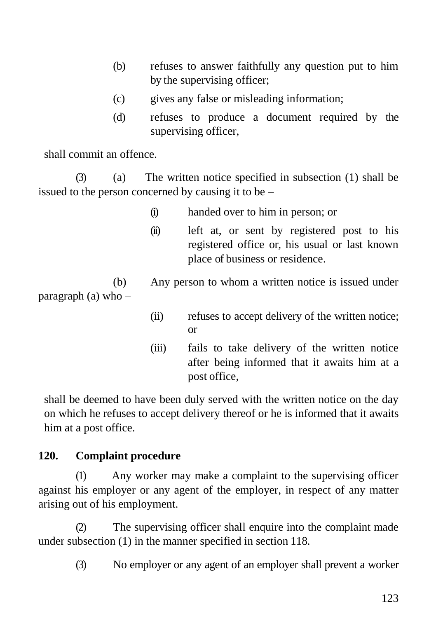- (b) refuses to answer faithfully any question put to him by the supervising officer;
- (c) gives any false or misleading information;
- (d) refuses to produce a document required by the supervising officer,

shall commit an offence.

(3) (a) The written notice specified in subsection (1) shall be issued to the person concerned by causing it to be –

- (i) handed over to him in person; or
- (ii) left at, or sent by registered post to his registered office or, his usual or last known place of business or residence.

(b) Any person to whom a written notice is issued under paragraph (a) who –

- (ii) refuses to accept delivery of the written notice; or
- (iii) fails to take delivery of the written notice after being informed that it awaits him at a post office,

shall be deemed to have been duly served with the written notice on the day on which he refuses to accept delivery thereof or he is informed that it awaits him at a post office.

# **120. Complaint procedure**

(1) Any worker may make a complaint to the supervising officer against his employer or any agent of the employer, in respect of any matter arising out of his employment.

(2) The supervising officer shall enquire into the complaint made under subsection (1) in the manner specified in section 118.

(3) No employer or any agent of an employer shall prevent a worker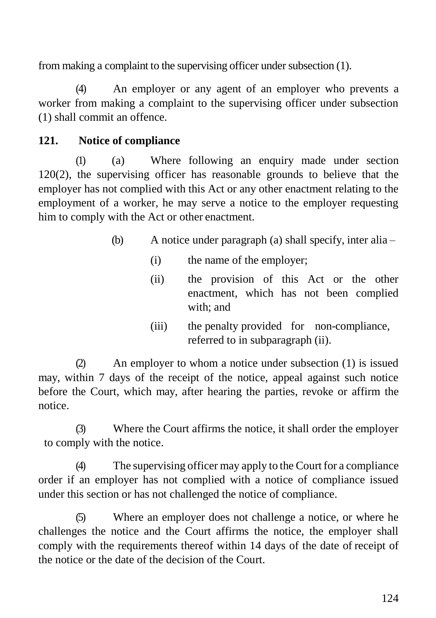from making a complaint to the supervising officer under subsection (1).

(4) An employer or any agent of an employer who prevents a worker from making a complaint to the supervising officer under subsection (1) shall commit an offence.

# **121. Notice of compliance**

(1) (a) Where following an enquiry made under section 120(2), the supervising officer has reasonable grounds to believe that the employer has not complied with this Act or any other enactment relating to the employment of a worker, he may serve a notice to the employer requesting him to comply with the Act or other enactment.

- (b) A notice under paragraph (a) shall specify, inter alia
	- (i) the name of the employer;
	- (ii) the provision of this Act or the other enactment, which has not been complied with; and
	- (iii) the penalty provided for non-compliance, referred to in subparagraph (ii).

(2) An employer to whom a notice under subsection (1) is issued may, within 7 days of the receipt of the notice, appeal against such notice before the Court, which may, after hearing the parties, revoke or affirm the notice.

(3) Where the Court affirms the notice, it shall order the employer to comply with the notice.

(4) The supervising officer may apply to the Court for a compliance order if an employer has not complied with a notice of compliance issued under this section or has not challenged the notice of compliance.

(5) Where an employer does not challenge a notice, or where he challenges the notice and the Court affirms the notice, the employer shall comply with the requirements thereof within 14 days of the date of receipt of the notice or the date of the decision of the Court.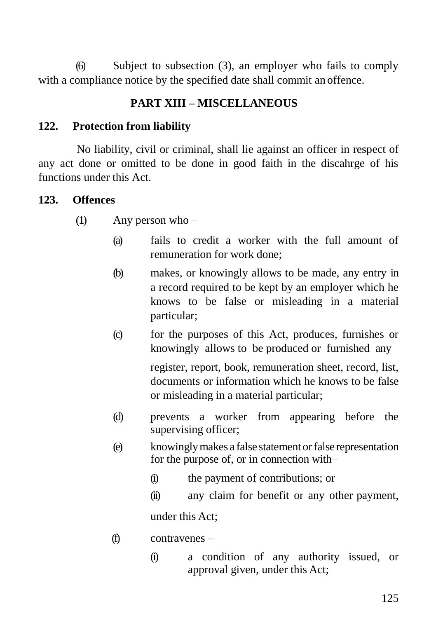(6) Subject to subsection (3), an employer who fails to comply with a compliance notice by the specified date shall commit an offence.

# **PART XIII – MISCELLANEOUS**

#### **122. Protection from liability**

No liability, civil or criminal, shall lie against an officer in respect of any act done or omitted to be done in good faith in the discahrge of his functions under this Act.

#### **123. Offences**

- (1) Any person who
	- (a) fails to credit a worker with the full amount of remuneration for work done;
	- (b) makes, or knowingly allows to be made, any entry in a record required to be kept by an employer which he knows to be false or misleading in a material particular;
	- (c) for the purposes of this Act, produces, furnishes or knowingly allows to be produced or furnished any

register, report, book, remuneration sheet, record, list, documents or information which he knows to be false or misleading in a material particular;

- (d) prevents a worker from appearing before the supervising officer;
- (e) knowinglymakes a false statement orfalse representation for the purpose of, or in connection with–
	- (i) the payment of contributions; or
	- (ii) any claim for benefit or any other payment, under this Act;
- (f) contravenes
	- (i) a condition of any authority issued, or approval given, under this Act;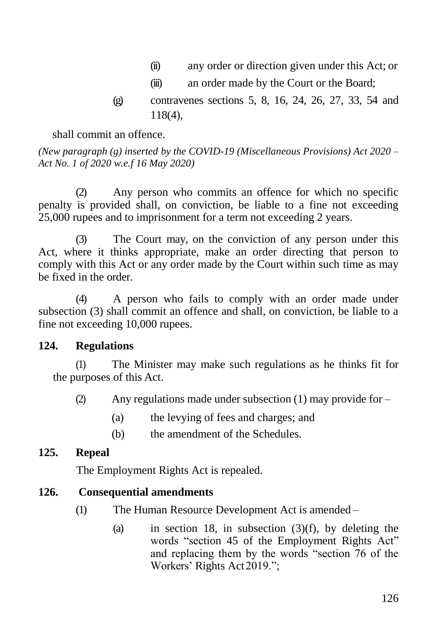- (ii) any order or direction given under this Act; or
- (iii) an order made by the Court or the Board;
- (g) contravenes sections 5, 8, 16, 24, 26, 27, 33, 54 and 118(4),

shall commit an offence.

*(New paragraph (g) inserted by the COVID-19 (Miscellaneous Provisions) Act 2020 – Act No. 1 of 2020 w.e.f 16 May 2020)*

(2) Any person who commits an offence for which no specific penalty is provided shall, on conviction, be liable to a fine not exceeding 25,000 rupees and to imprisonment for a term not exceeding 2 years.

(3) The Court may, on the conviction of any person under this Act, where it thinks appropriate, make an order directing that person to comply with this Act or any order made by the Court within such time as may be fixed in the order.

(4) A person who fails to comply with an order made under subsection (3) shall commit an offence and shall, on conviction, be liable to a fine not exceeding 10,000 rupees.

#### **124. Regulations**

(1) The Minister may make such regulations as he thinks fit for the purposes of this Act.

(2) Any regulations made under subsection (1) may provide for –

- (a) the levying of fees and charges; and
- (b) the amendment of the Schedules.

#### **125. Repeal**

The Employment Rights Act is repealed.

#### **126. Consequential amendments**

- (1) The Human Resource Development Act is amended
	- (a) in section 18, in subsection  $(3)(f)$ , by deleting the words "section 45 of the Employment Rights Act" and replacing them by the words "section 76 of the Workers' Rights Act 2019.";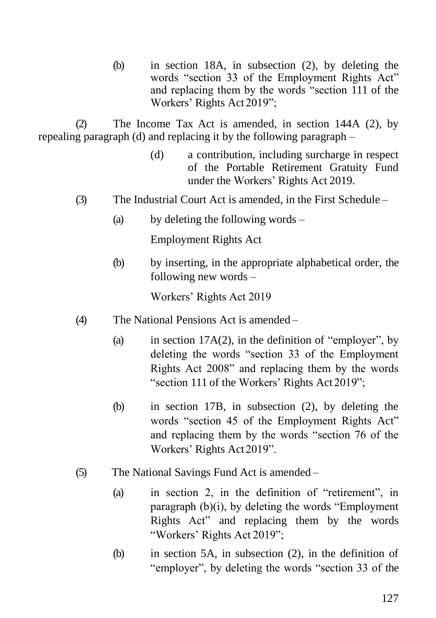(b) in section 18A, in subsection (2), by deleting the words "section 33 of the Employment Rights Act" and replacing them by the words "section 111 of the Workers' Rights Act 2019";

(2) The Income Tax Act is amended, in section 144A (2), by repealing paragraph (d) and replacing it by the following paragraph –

- (d) a contribution, including surcharge in respect of the Portable Retirement Gratuity Fund under the Workers' Rights Act 2019.
- (3) The Industrial Court Act is amended, in the First Schedule
	- (a) by deleting the following words –

Employment Rights Act

(b) by inserting, in the appropriate alphabetical order, the following new words –

Workers' Rights Act 2019

- (4) The National Pensions Act is amended
	- (a) in section  $17A(2)$ , in the definition of "employer", by deleting the words "section 33 of the Employment Rights Act 2008" and replacing them by the words "section 111 of the Workers' Rights Act 2019";
	- (b) in section 17B, in subsection (2), by deleting the words "section 45 of the Employment Rights Act" and replacing them by the words "section 76 of the Workers' Rights Act 2019".
- (5) The National Savings Fund Act is amended
	- (a) in section 2, in the definition of "retirement", in paragraph (b)(i), by deleting the words "Employment Rights Act" and replacing them by the words "Workers' Rights Act 2019";
	- (b) in section 5A, in subsection (2), in the definition of "employer", by deleting the words "section 33 of the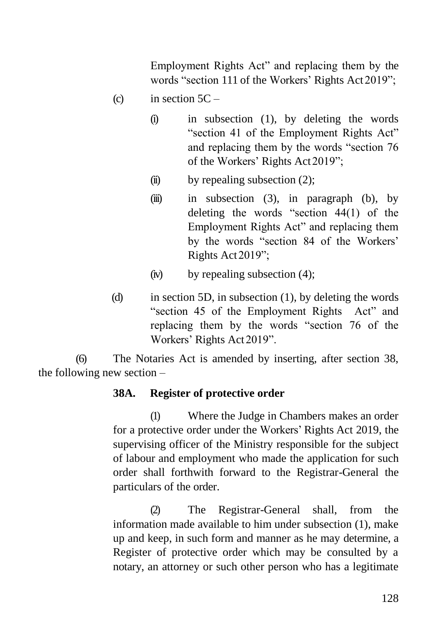Employment Rights Act" and replacing them by the words "section 111 of the Workers' Rights Act 2019";

- (c) in section  $5C -$ 
	- (i) in subsection (1), by deleting the words "section 41 of the Employment Rights Act" and replacing them by the words "section 76 of the Workers' Rights Act2019";
	- $(ii)$  by repealing subsection  $(2)$ ;
	- $(iii)$  in subsection (3), in paragraph (b), by deleting the words "section 44(1) of the Employment Rights Act" and replacing them by the words "section 84 of the Workers' Rights Act2019";
	- $(iv)$  by repealing subsection  $(4)$ ;
- (d) in section 5D, in subsection (1), by deleting the words "section 45 of the Employment Rights Act" and replacing them by the words "section 76 of the Workers' Rights Act 2019".

(6) The Notaries Act is amended by inserting, after section 38, the following new section –

#### **38A. Register of protective order**

(1) Where the Judge in Chambers makes an order for a protective order under the Workers' Rights Act 2019, the supervising officer of the Ministry responsible for the subject of labour and employment who made the application for such order shall forthwith forward to the Registrar-General the particulars of the order.

(2) The Registrar-General shall, from the information made available to him under subsection (1), make up and keep, in such form and manner as he may determine, a Register of protective order which may be consulted by a notary, an attorney or such other person who has a legitimate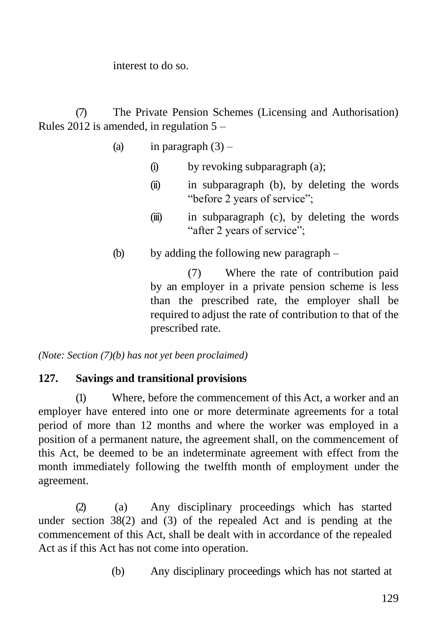interest to do so.

(7) The Private Pension Schemes (Licensing and Authorisation) Rules 2012 is amended, in regulation  $5 -$ 

- (a) in paragraph  $(3)$ 
	- (i) by revoking subparagraph (a);
	- (ii) in subparagraph (b), by deleting the words "before 2 years of service";
	- (iii) in subparagraph (c), by deleting the words "after 2 years of service";
- (b) by adding the following new paragraph –

(7) Where the rate of contribution paid by an employer in a private pension scheme is less than the prescribed rate, the employer shall be required to adjust the rate of contribution to that of the prescribed rate.

*(Note: Section (7)(b) has not yet been proclaimed)*

#### **127. Savings and transitional provisions**

(1) Where, before the commencement of this Act, a worker and an employer have entered into one or more determinate agreements for a total period of more than 12 months and where the worker was employed in a position of a permanent nature, the agreement shall, on the commencement of this Act, be deemed to be an indeterminate agreement with effect from the month immediately following the twelfth month of employment under the agreement.

(2) (a) Any disciplinary proceedings which has started under section 38(2) and (3) of the repealed Act and is pending at the commencement of this Act, shall be dealt with in accordance of the repealed Act as if this Act has not come into operation.

(b) Any disciplinary proceedings which has not started at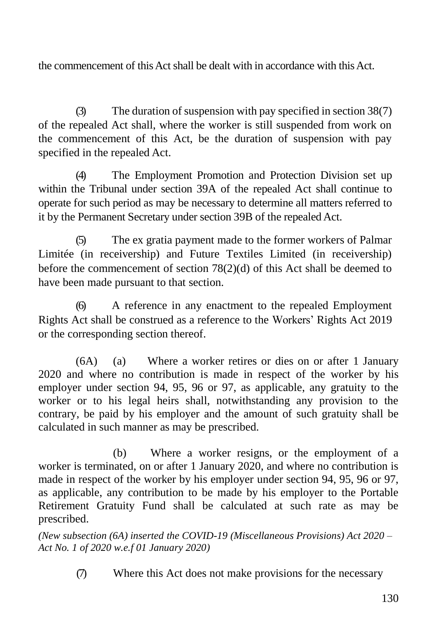the commencement of this Act shall be dealt with in accordance with this Act.

(3) The duration of suspension with pay specified in section 38(7) of the repealed Act shall, where the worker is still suspended from work on the commencement of this Act, be the duration of suspension with pay specified in the repealed Act.

(4) The Employment Promotion and Protection Division set up within the Tribunal under section 39A of the repealed Act shall continue to operate for such period as may be necessary to determine all matters referred to it by the Permanent Secretary under section 39B of the repealed Act.

(5) The ex gratia payment made to the former workers of Palmar Limitée (in receivership) and Future Textiles Limited (in receivership) before the commencement of section 78(2)(d) of this Act shall be deemed to have been made pursuant to that section.

(6) A reference in any enactment to the repealed Employment Rights Act shall be construed as a reference to the Workers' Rights Act 2019 or the corresponding section thereof.

(6A) (a) Where a worker retires or dies on or after 1 January 2020 and where no contribution is made in respect of the worker by his employer under section 94, 95, 96 or 97, as applicable, any gratuity to the worker or to his legal heirs shall, notwithstanding any provision to the contrary, be paid by his employer and the amount of such gratuity shall be calculated in such manner as may be prescribed.

(b) Where a worker resigns, or the employment of a worker is terminated, on or after 1 January 2020, and where no contribution is made in respect of the worker by his employer under section 94, 95, 96 or 97, as applicable, any contribution to be made by his employer to the Portable Retirement Gratuity Fund shall be calculated at such rate as may be prescribed.

*(New subsection (6A) inserted the COVID-19 (Miscellaneous Provisions) Act 2020 – Act No. 1 of 2020 w.e.f 01 January 2020)*

(7) Where this Act does not make provisions for the necessary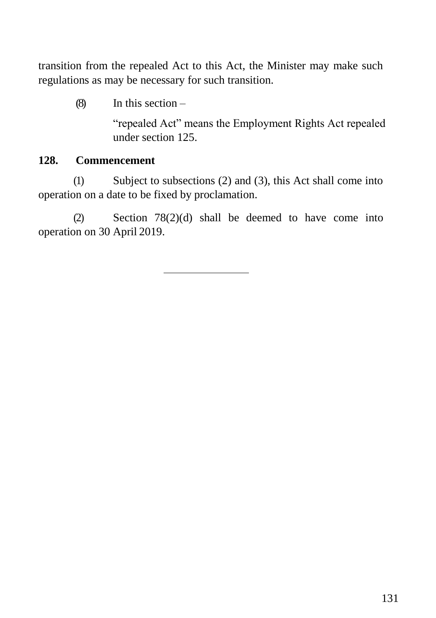transition from the repealed Act to this Act, the Minister may make such regulations as may be necessary for such transition.

 $(8)$  In this section –

"repealed Act" means the Employment Rights Act repealed under section 125.

#### **128. Commencement**

(1) Subject to subsections (2) and (3), this Act shall come into operation on a date to be fixed by proclamation.

(2) Section 78(2)(d) shall be deemed to have come into operation on 30 April 2019.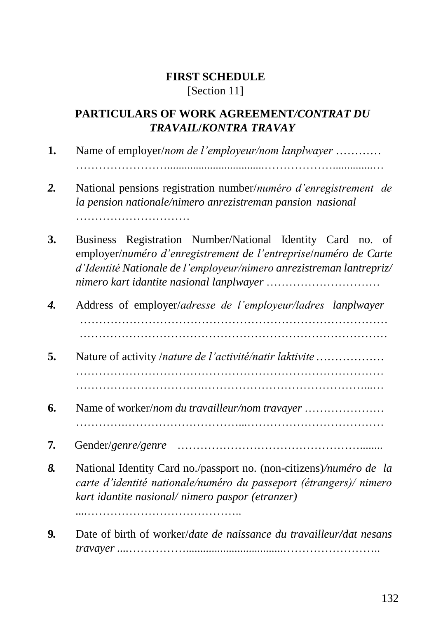# **FIRST SCHEDULE** [Section 11]

# **PARTICULARS OF WORK AGREEMENT***/CONTRAT DU TRAVAIL***/***KONTRA TRAVAY*

**1.** Name of employer/*nom de l'employeur/nom lanplwayer* ………… ……………………..................................………………..............… *2.* National pensions registration number/*numéro d'enregistrement de la pension nationale/nimero anrezistreman pansion nasional* …………………………………… **3.** Business Registration Number/National Identity Card no. of employer/*numéro d'enregistrement de l'entreprise*/*numéro de Carte d'Identité Nationale de l'employeur/nimero anrezistreman lantrepriz/ nimero kart idantite nasional lanplwayer* ………………………… *4.* Address of employer/*adresse de l'employeur/ladres lanplwayer* ……………………………………………………………………… ……………………………………………………………………… **5.** Nature of activity /*nature de l'activité/natir laktivite*……………… ……………………………………………………………………… …………………………….……………………………………...… **6.** Name of worker/*nom du travailleur/nom travayer* ………………… ………….…………………………...……………………………… **7.** Gender/*genre/genre* …………………………………………........ *8.* National Identity Card no./passport no. (non-citizens)*/numéro de la carte d'identité nationale/numéro du passeport (étrangers)/ nimero kart idantite nasional/ nimero paspor (etranzer) ....*………………………………….. **9.** Date of birth of worker/*date de naissance du travailleur/dat nesans* 

*travayer ....*……………..................................……………………..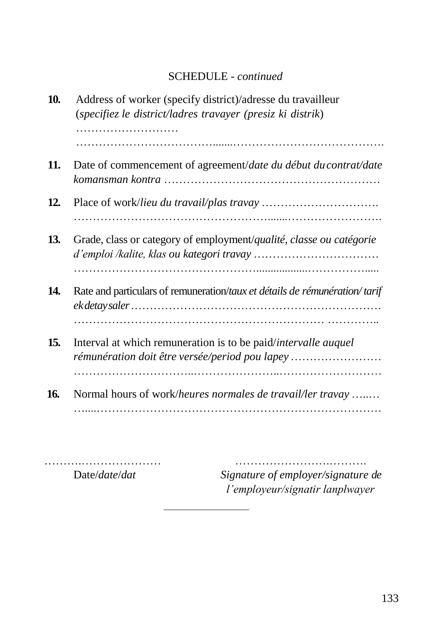# SCHEDULE - *continued*

| 10. | Address of worker (specify district)/adresse du travailleur<br>(specifiez le district/ladres travayer (presiz ki distrik) |
|-----|---------------------------------------------------------------------------------------------------------------------------|
| 11. | Date of commencement of agreement/date du début du contrat/date                                                           |
| 12. |                                                                                                                           |
| 13. | Grade, class or category of employment/qualité, classe ou catégorie                                                       |
| 14. | Rate and particulars of remuneration/taux et détails de rémunération/tarif                                                |
| 15. | Interval at which remuneration is to be paid/intervalle auquel<br>rémunération doit être versée/period pou lapey          |
| 16. | Normal hours of work/heures normales de travail/ler travay                                                                |

……….………………… …………………….………. Date/*date*/*dat Signature of employer/signature de l'employeur/signatir lanplwayer*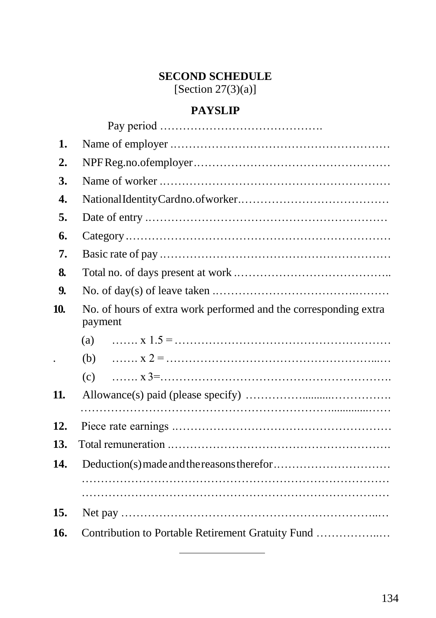# **SECOND SCHEDULE**

[Section  $27(3)(a)$ ]

# **PAYSLIP**

| 1.                   |                                                                             |
|----------------------|-----------------------------------------------------------------------------|
| $\overline{2}$ .     |                                                                             |
| 3.                   |                                                                             |
| 4.                   |                                                                             |
| 5.                   |                                                                             |
| 6.                   |                                                                             |
| 7.                   |                                                                             |
| 8.                   |                                                                             |
| 9.                   |                                                                             |
| 10.                  | No. of hours of extra work performed and the corresponding extra<br>payment |
|                      | (a)                                                                         |
| $\ddot{\phantom{0}}$ | (b)                                                                         |
|                      | (c)                                                                         |
| 11.                  |                                                                             |
|                      |                                                                             |
| 12.                  |                                                                             |
| 13.                  |                                                                             |
| 14.                  |                                                                             |
|                      |                                                                             |
| 15.                  |                                                                             |
| 16.                  | Contribution to Portable Retirement Gratuity Fund                           |
|                      |                                                                             |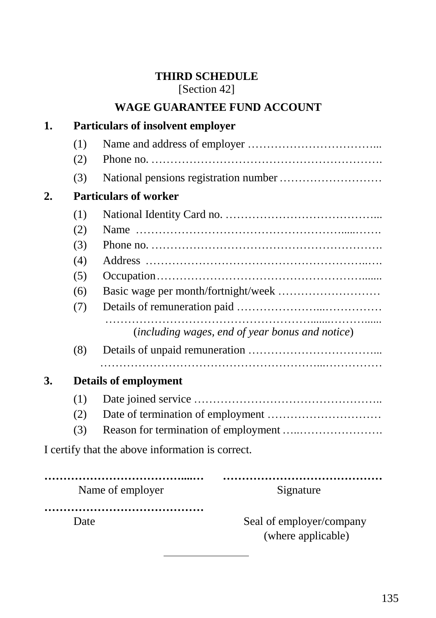## **THIRD SCHEDULE** [Section 42]

# **WAGE GUARANTEE FUND ACCOUNT**

| 1.               |                              | <b>Particulars of insolvent employer</b>                                                                              |  |  |
|------------------|------------------------------|-----------------------------------------------------------------------------------------------------------------------|--|--|
|                  | (1)                          |                                                                                                                       |  |  |
|                  | (2)                          |                                                                                                                       |  |  |
|                  | (3)                          |                                                                                                                       |  |  |
| $\overline{2}$ . | <b>Particulars of worker</b> |                                                                                                                       |  |  |
|                  | (1)                          |                                                                                                                       |  |  |
|                  | (2)                          |                                                                                                                       |  |  |
|                  | (3)                          | Phone no. $\ldots$ $\ldots$ $\ldots$ $\ldots$ $\ldots$ $\ldots$ $\ldots$ $\ldots$ $\ldots$ $\ldots$ $\ldots$ $\ldots$ |  |  |
|                  | (4)                          |                                                                                                                       |  |  |
|                  | (5)                          |                                                                                                                       |  |  |
|                  | (6)                          |                                                                                                                       |  |  |
|                  | (7)                          |                                                                                                                       |  |  |
|                  |                              | (including wages, end of year bonus and notice)                                                                       |  |  |
|                  | (8)                          |                                                                                                                       |  |  |
| 3.               | <b>Details of employment</b> |                                                                                                                       |  |  |
|                  | (1)                          |                                                                                                                       |  |  |
|                  | (2)                          |                                                                                                                       |  |  |
|                  | (3)                          |                                                                                                                       |  |  |
|                  |                              | I certify that the above information is correct.                                                                      |  |  |
|                  |                              |                                                                                                                       |  |  |
|                  |                              | Name of employer<br>Signature                                                                                         |  |  |
|                  |                              |                                                                                                                       |  |  |

Date Seal of employer/company (where applicable)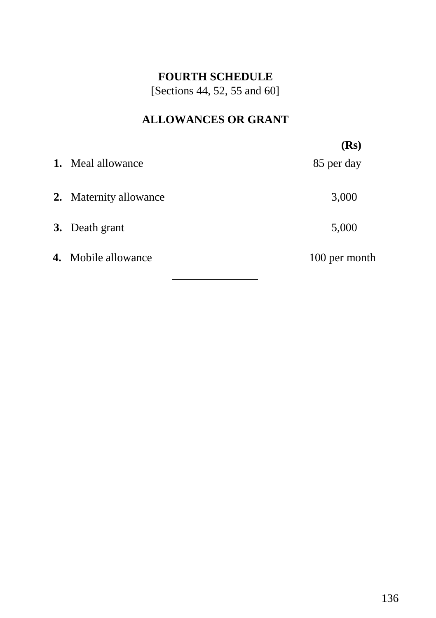### **FOURTH SCHEDULE**

[Sections 44, 52, 55 and 60]

# **ALLOWANCES OR GRANT**

|                            | (Rs)          |
|----------------------------|---------------|
| 1. Meal allowance          | 85 per day    |
| 2. Maternity allowance     | 3,000         |
| 3. Death grant             | 5,000         |
| <b>4.</b> Mobile allowance | 100 per month |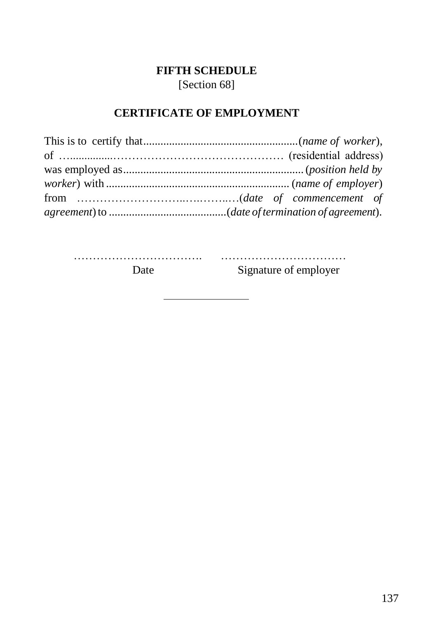# **FIFTH SCHEDULE** [Section 68]

# **CERTIFICATE OF EMPLOYMENT**

……………………………. …………………………… Date Signature of employer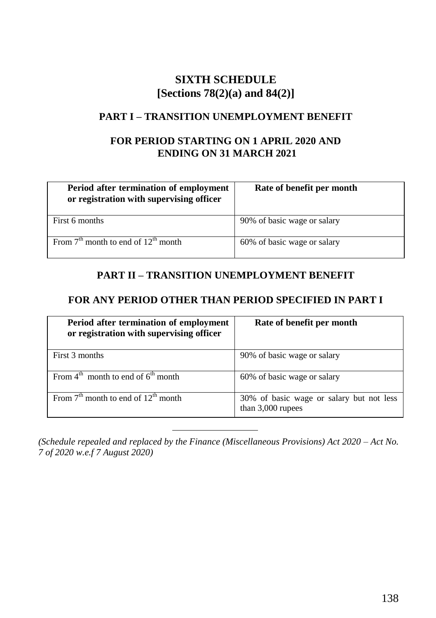# **SIXTH SCHEDULE [Sections 78(2)(a) and 84(2)]**

#### **PART I – TRANSITION UNEMPLOYMENT BENEFIT**

#### **FOR PERIOD STARTING ON 1 APRIL 2020 AND ENDING ON 31 MARCH 2021**

| Period after termination of employment<br>or registration with supervising officer | Rate of benefit per month   |
|------------------------------------------------------------------------------------|-----------------------------|
| First 6 months                                                                     | 90% of basic wage or salary |
| From $7th$ month to end of $12th$ month                                            | 60% of basic wage or salary |

#### **PART II – TRANSITION UNEMPLOYMENT BENEFIT**

#### **FOR ANY PERIOD OTHER THAN PERIOD SPECIFIED IN PART I**

| Period after termination of employment<br>or registration with supervising officer | Rate of benefit per month                                       |
|------------------------------------------------------------------------------------|-----------------------------------------------------------------|
| First 3 months                                                                     | 90% of basic wage or salary                                     |
| From $4^{\text{th}}$ month to end of $6^{\text{th}}$ month                         | 60% of basic wage or salary                                     |
| From $7th$ month to end of $12th$ month                                            | 30% of basic wage or salary but not less<br>than $3,000$ rupees |

*(Schedule repealed and replaced by the Finance (Miscellaneous Provisions) Act 2020 – Act No. 7 of 2020 w.e.f 7 August 2020)*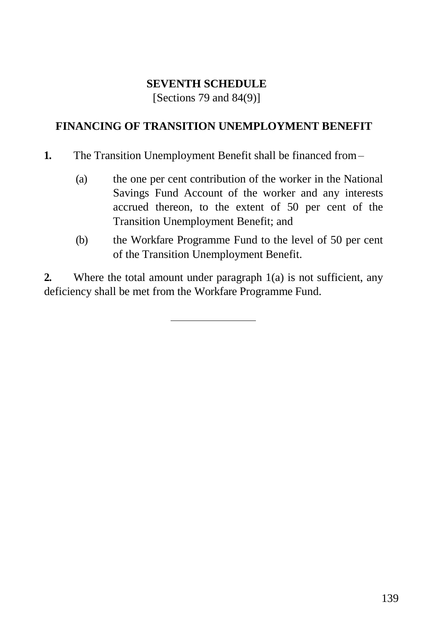#### **SEVENTH SCHEDULE**

[Sections 79 and 84(9)]

#### **FINANCING OF TRANSITION UNEMPLOYMENT BENEFIT**

- **1.** The Transition Unemployment Benefit shall be financed from–
	- (a) the one per cent contribution of the worker in the National Savings Fund Account of the worker and any interests accrued thereon, to the extent of 50 per cent of the Transition Unemployment Benefit; and
	- (b) the Workfare Programme Fund to the level of 50 per cent of the Transition Unemployment Benefit.

**2.** Where the total amount under paragraph 1(a) is not sufficient, any deficiency shall be met from the Workfare Programme Fund.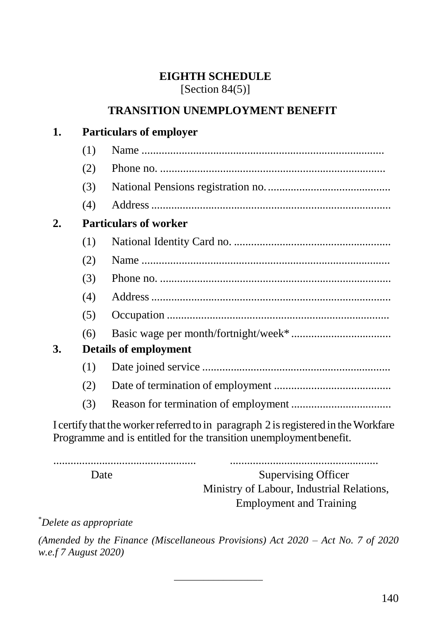#### **EIGHTH SCHEDULE**  $[Section 84(5)]$

# **TRANSITION UNEMPLOYMENT BENEFIT**

# **1. Particulars of employer**

|    | (1)                          |                                                                                    |  |  |
|----|------------------------------|------------------------------------------------------------------------------------|--|--|
|    | (2)                          |                                                                                    |  |  |
|    | (3)                          |                                                                                    |  |  |
|    | (4)                          |                                                                                    |  |  |
| 2. | <b>Particulars of worker</b> |                                                                                    |  |  |
|    | (1)                          |                                                                                    |  |  |
|    | (2)                          |                                                                                    |  |  |
|    | (3)                          |                                                                                    |  |  |
|    | (4)                          |                                                                                    |  |  |
|    | (5)                          |                                                                                    |  |  |
|    | (6)                          |                                                                                    |  |  |
| 3. | <b>Details of employment</b> |                                                                                    |  |  |
|    | (1)                          |                                                                                    |  |  |
|    | (2)                          |                                                                                    |  |  |
|    | (3)                          |                                                                                    |  |  |
|    |                              | I certify that the worker referred to in paragraph 2 is registered in the Workfare |  |  |

Programme and is entitled for the transition unemploymentbenefit.

.................................................. ....................................................

Date Supervising Officer Ministry of Labour, Industrial Relations, Employment and Training

\**Delete as appropriate*

*(Amended by the Finance (Miscellaneous Provisions) Act 2020 – Act No. 7 of 2020 w.e.f 7 August 2020)*

*\_\_\_\_\_\_\_\_\_\_\_\_\_\_\_\_\_\_*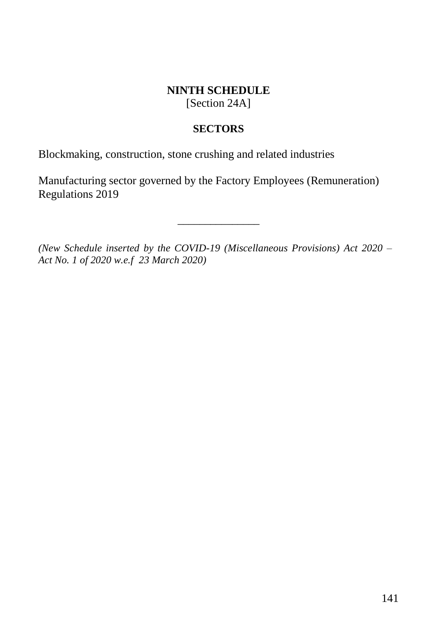#### **NINTH SCHEDULE** [Section 24A]

#### **SECTORS**

Blockmaking, construction, stone crushing and related industries

Manufacturing sector governed by the Factory Employees (Remuneration) Regulations 2019

*(New Schedule inserted by the COVID-19 (Miscellaneous Provisions) Act 2020 – Act No. 1 of 2020 w.e.f 23 March 2020)*

 $\overline{\phantom{a}}$  , where  $\overline{\phantom{a}}$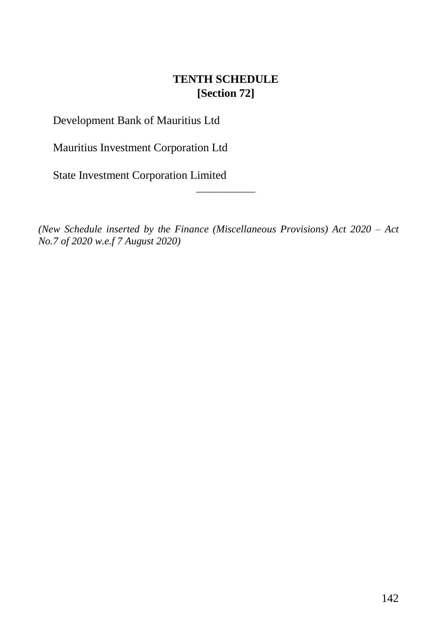# **TENTH SCHEDULE [Section 72]**

Development Bank of Mauritius Ltd

Mauritius Investment Corporation Ltd

State Investment Corporation Limited

*(New Schedule inserted by the Finance (Miscellaneous Provisions) Act 2020 – Act No.7 of 2020 w.e.f 7 August 2020)*

*\_\_\_\_\_\_\_\_\_\_\_\_*